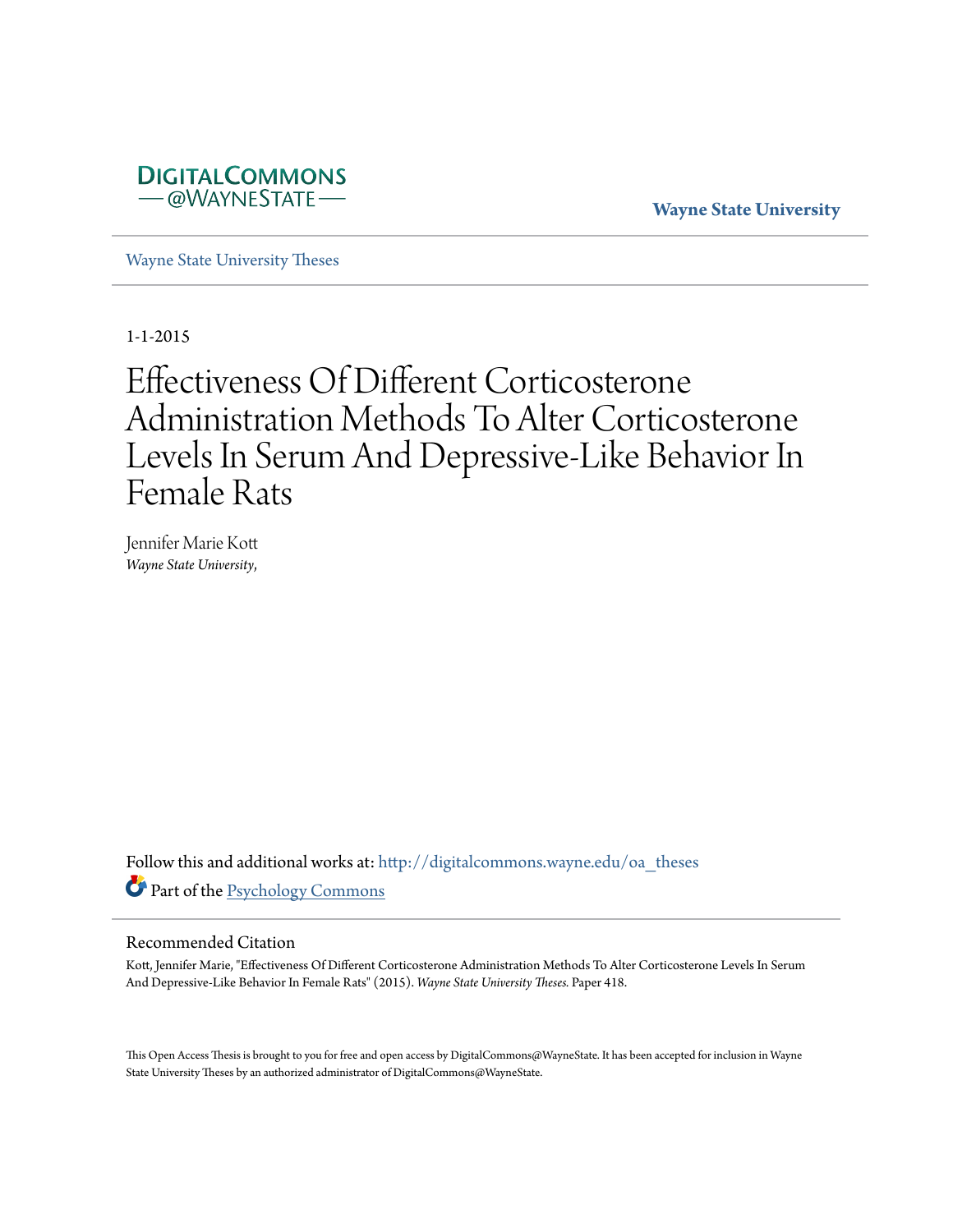

**Wayne State University**

[Wayne State University Theses](http://digitalcommons.wayne.edu/oa_theses?utm_source=digitalcommons.wayne.edu%2Foa_theses%2F418&utm_medium=PDF&utm_campaign=PDFCoverPages)

1-1-2015

# Effectiveness Of Different Corticosterone Administration Methods To Alter Corticosterone Levels In Serum And Depressive-Like Behavior In Female Rats

Jennifer Marie Kott *Wayne State University*,

Follow this and additional works at: [http://digitalcommons.wayne.edu/oa\\_theses](http://digitalcommons.wayne.edu/oa_theses?utm_source=digitalcommons.wayne.edu%2Foa_theses%2F418&utm_medium=PDF&utm_campaign=PDFCoverPages) Part of the [Psychology Commons](http://network.bepress.com/hgg/discipline/404?utm_source=digitalcommons.wayne.edu%2Foa_theses%2F418&utm_medium=PDF&utm_campaign=PDFCoverPages)

#### Recommended Citation

Kott, Jennifer Marie, "Effectiveness Of Different Corticosterone Administration Methods To Alter Corticosterone Levels In Serum And Depressive-Like Behavior In Female Rats" (2015). *Wayne State University Theses.* Paper 418.

This Open Access Thesis is brought to you for free and open access by DigitalCommons@WayneState. It has been accepted for inclusion in Wayne State University Theses by an authorized administrator of DigitalCommons@WayneState.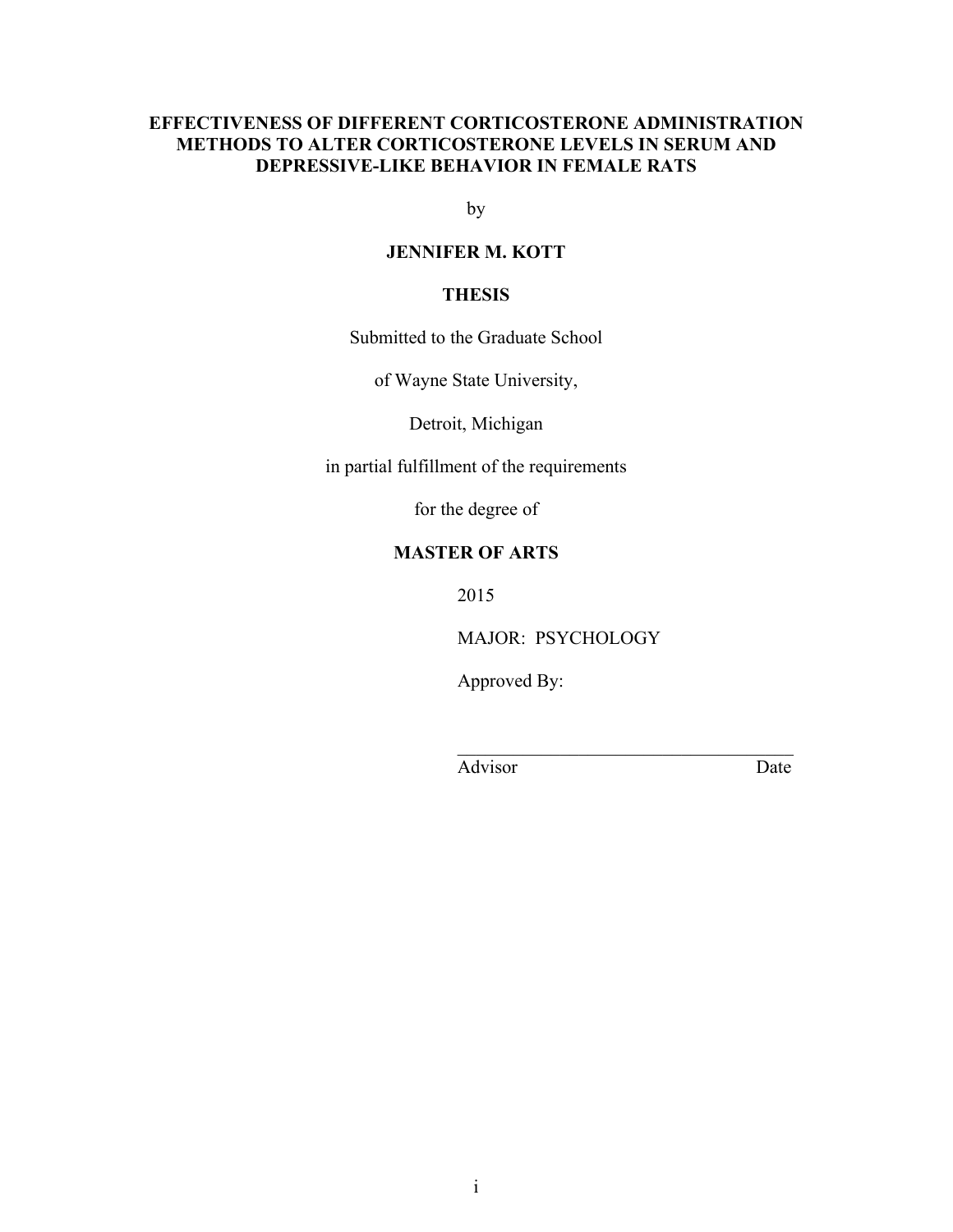### **EFFECTIVENESS OF DIFFERENT CORTICOSTERONE ADMINISTRATION METHODS TO ALTER CORTICOSTERONE LEVELS IN SERUM AND DEPRESSIVE-LIKE BEHAVIOR IN FEMALE RATS**

by

### **JENNIFER M. KOTT**

### **THESIS**

Submitted to the Graduate School

of Wayne State University,

Detroit, Michigan

in partial fulfillment of the requirements

for the degree of

### **MASTER OF ARTS**

2015

MAJOR: PSYCHOLOGY

 $\mathcal{L}_\text{max} = \frac{1}{2} \sum_{i=1}^{n} \frac{1}{2} \sum_{i=1}^{n} \frac{1}{2} \sum_{i=1}^{n} \frac{1}{2} \sum_{i=1}^{n} \frac{1}{2} \sum_{i=1}^{n} \frac{1}{2} \sum_{i=1}^{n} \frac{1}{2} \sum_{i=1}^{n} \frac{1}{2} \sum_{i=1}^{n} \frac{1}{2} \sum_{i=1}^{n} \frac{1}{2} \sum_{i=1}^{n} \frac{1}{2} \sum_{i=1}^{n} \frac{1}{2} \sum_{i=1}^{n} \frac{1$ 

Approved By:

Advisor Date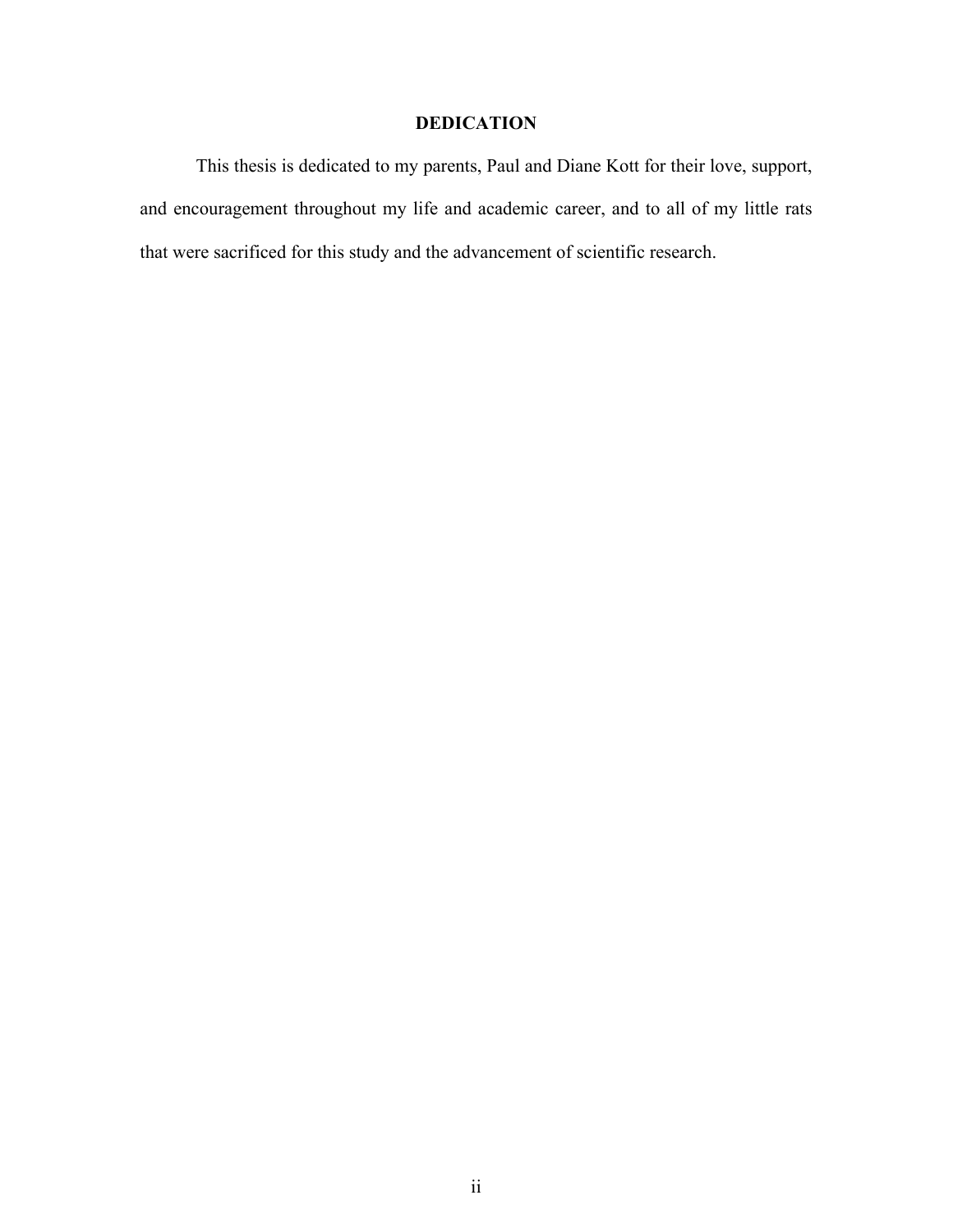### **DEDICATION**

This thesis is dedicated to my parents, Paul and Diane Kott for their love, support, and encouragement throughout my life and academic career, and to all of my little rats that were sacrificed for this study and the advancement of scientific research.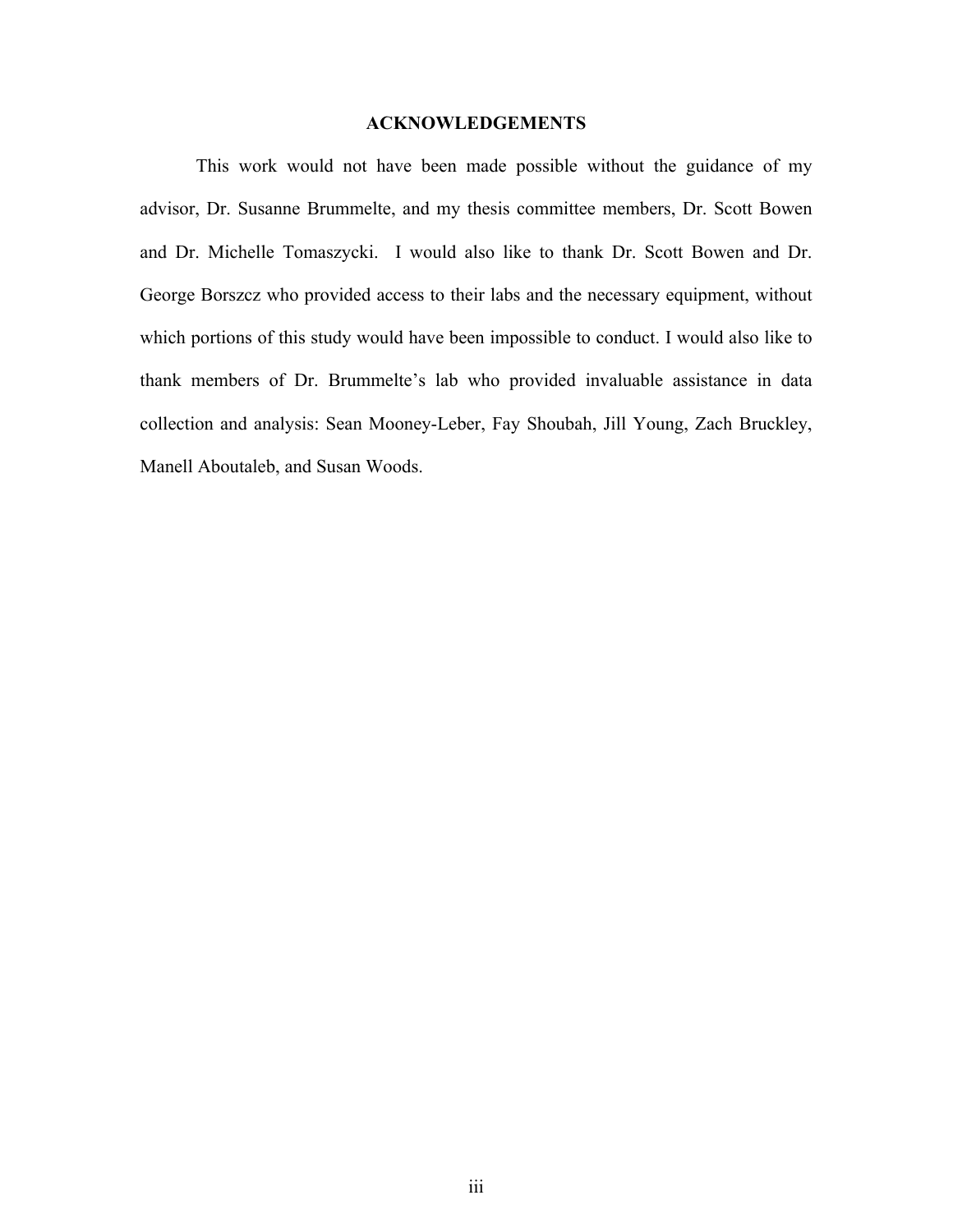#### **ACKNOWLEDGEMENTS**

This work would not have been made possible without the guidance of my advisor, Dr. Susanne Brummelte, and my thesis committee members, Dr. Scott Bowen and Dr. Michelle Tomaszycki. I would also like to thank Dr. Scott Bowen and Dr. George Borszcz who provided access to their labs and the necessary equipment, without which portions of this study would have been impossible to conduct. I would also like to thank members of Dr. Brummelte's lab who provided invaluable assistance in data collection and analysis: Sean Mooney-Leber, Fay Shoubah, Jill Young, Zach Bruckley, Manell Aboutaleb, and Susan Woods.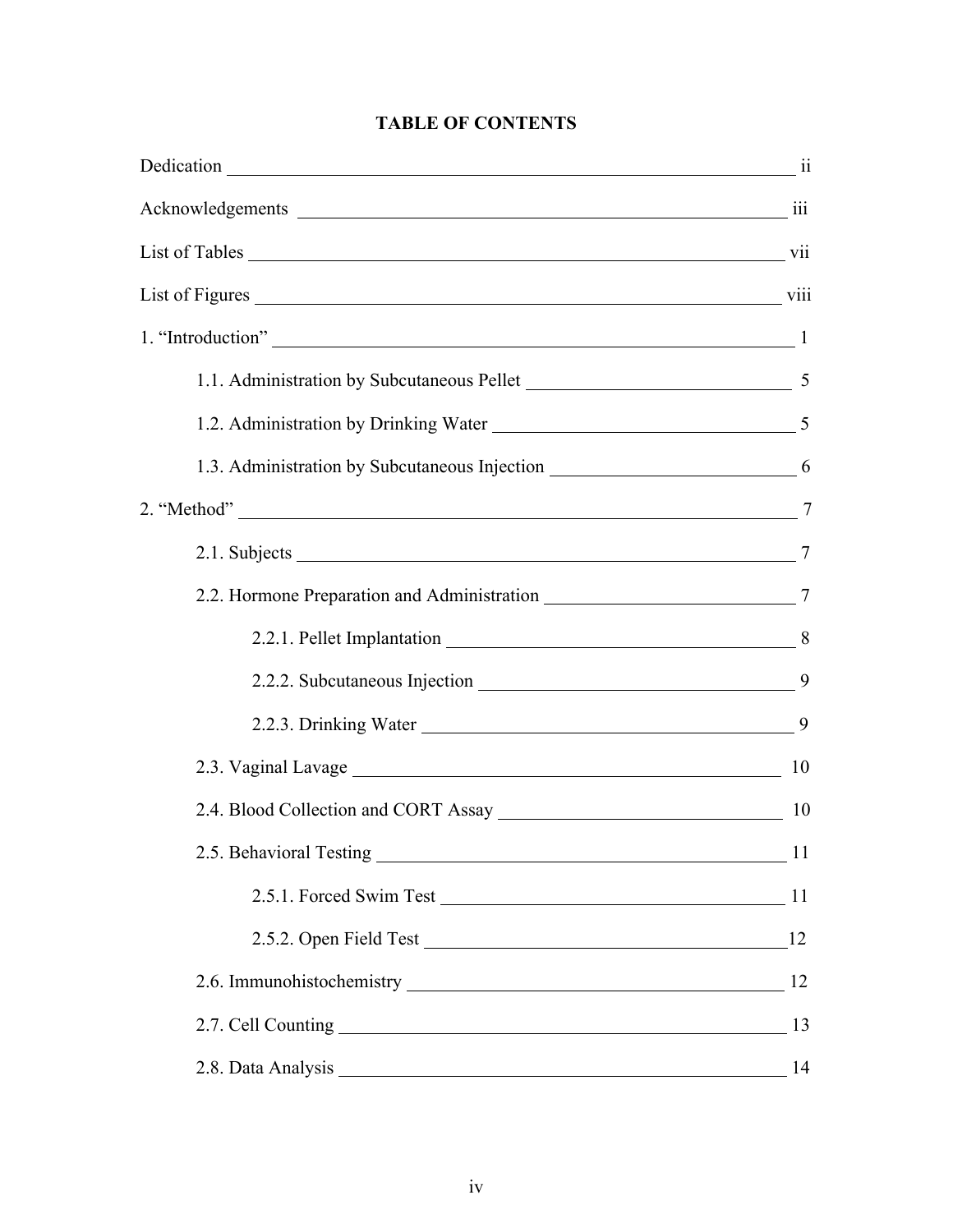| Dedication 11                                                                                         |    |
|-------------------------------------------------------------------------------------------------------|----|
|                                                                                                       |    |
|                                                                                                       |    |
|                                                                                                       |    |
| 1. "Introduction" 1                                                                                   |    |
|                                                                                                       |    |
|                                                                                                       |    |
| 1.3. Administration by Subcutaneous Injection ___________________________________ 6                   |    |
|                                                                                                       |    |
| 2.1. Subjects 2.1. Subjects 2.1. Subjects 2.1. Subjects 2.1. Subjects 2.1. Subjects 2.1. Subjects 2.7 |    |
|                                                                                                       |    |
|                                                                                                       |    |
|                                                                                                       |    |
|                                                                                                       |    |
|                                                                                                       | 10 |
| 2.4. Blood Collection and CORT Assay 10                                                               |    |
| 2.5. Behavioral Testing                                                                               | 11 |
|                                                                                                       | 11 |
|                                                                                                       | 12 |
|                                                                                                       | 12 |
|                                                                                                       | 13 |
| 2.8. Data Analysis<br><u> 1980 - Johann Barn, mars an t-Amerikaansk politiker (* 1908)</u>            | 14 |

## **TABLE OF CONTENTS**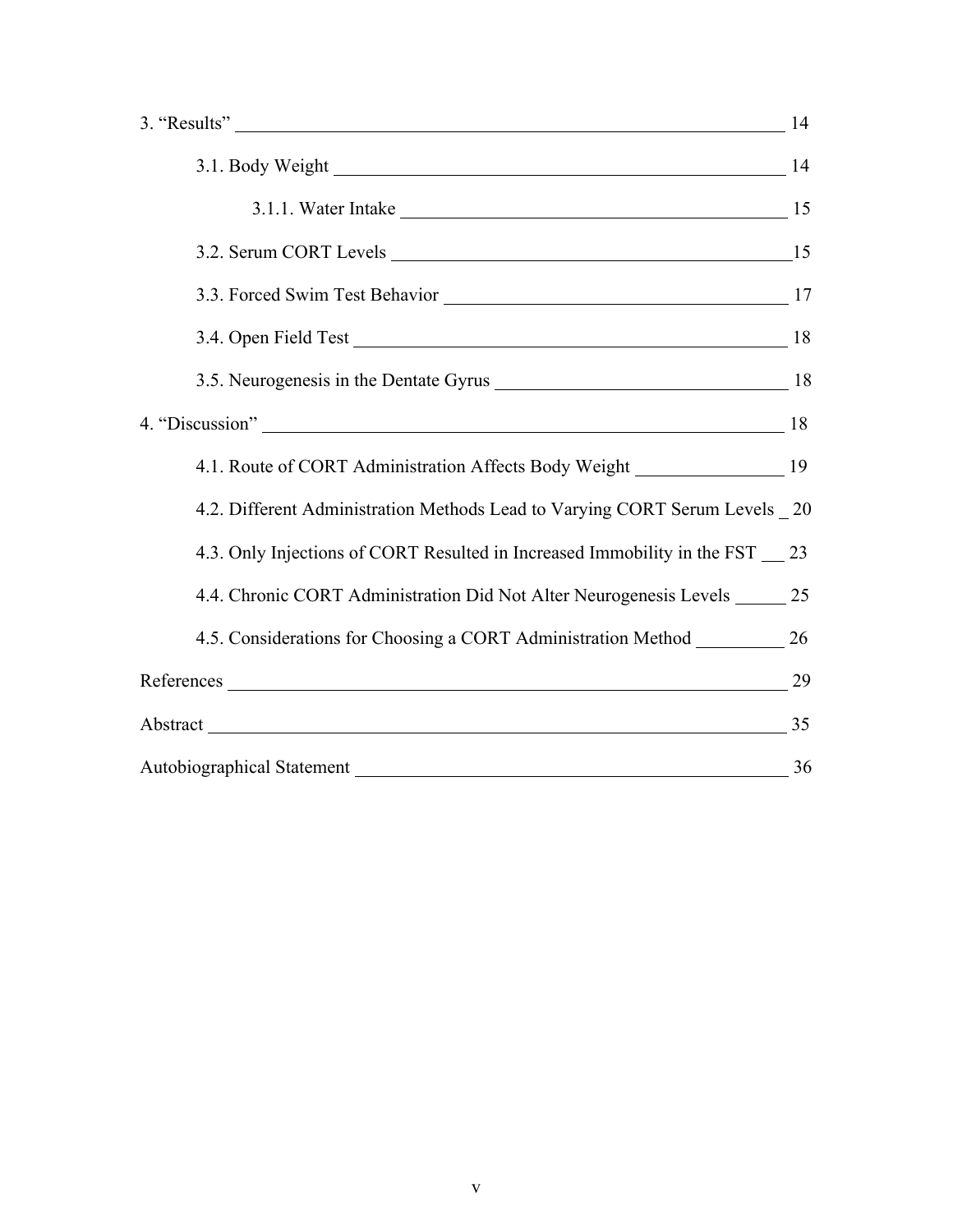| 3. "Results" 14                                                                     |  |
|-------------------------------------------------------------------------------------|--|
| 3.1. Body Weight 14                                                                 |  |
| 3.1.1. Water Intake 15                                                              |  |
|                                                                                     |  |
|                                                                                     |  |
| 3.4. Open Field Test 18                                                             |  |
|                                                                                     |  |
| 4. "Discussion" 18                                                                  |  |
| 4.1. Route of CORT Administration Affects Body Weight __________________________ 19 |  |
| 4.2. Different Administration Methods Lead to Varying CORT Serum Levels 20          |  |
| 4.3. Only Injections of CORT Resulted in Increased Immobility in the FST 23         |  |
| 4.4. Chronic CORT Administration Did Not Alter Neurogenesis Levels ______ 25        |  |
| 4.5. Considerations for Choosing a CORT Administration Method __________________ 26 |  |
| References 29                                                                       |  |
| Abstract 135                                                                        |  |
| Autobiographical Statement 26 2022 2023                                             |  |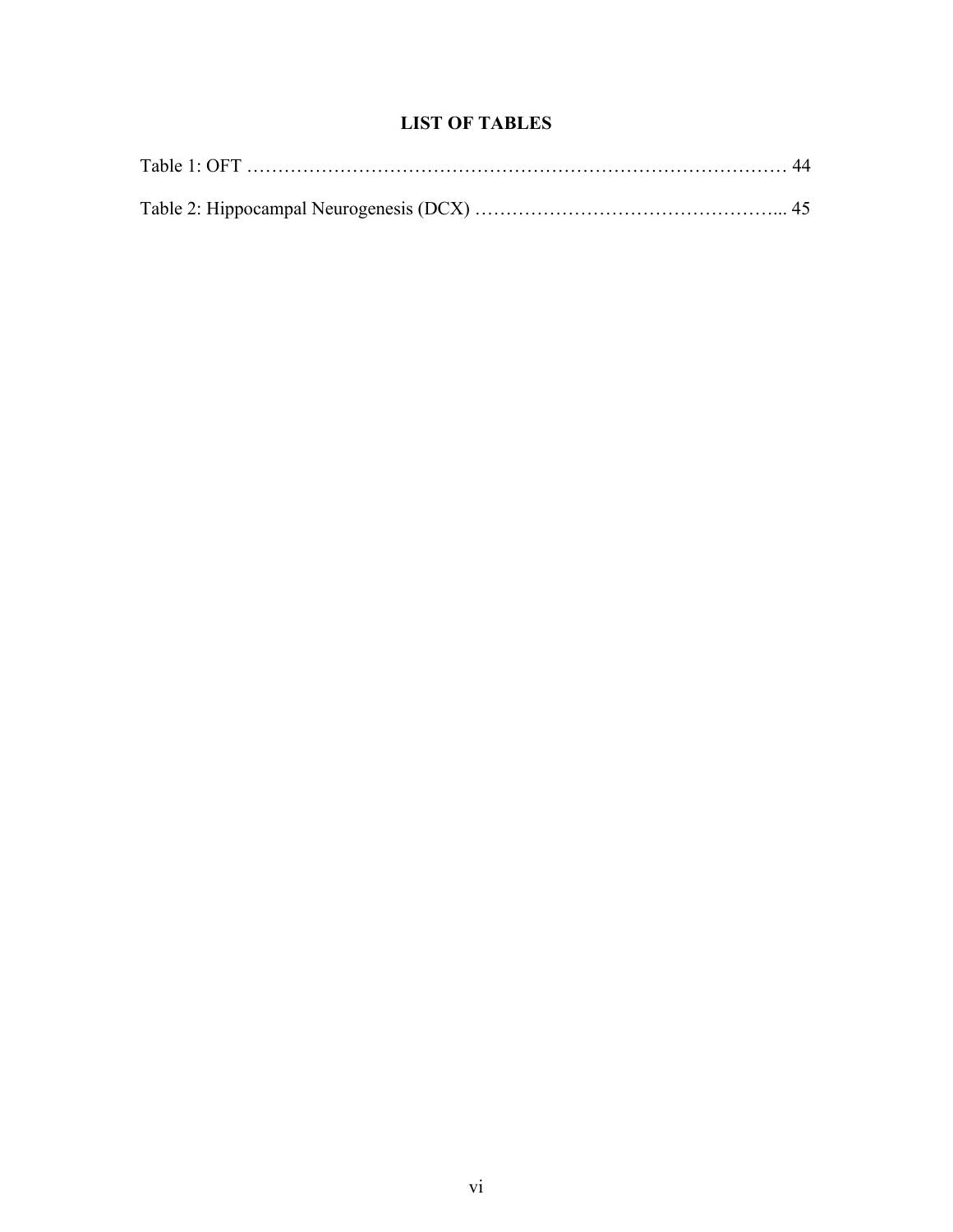### **LIST OF TABLES**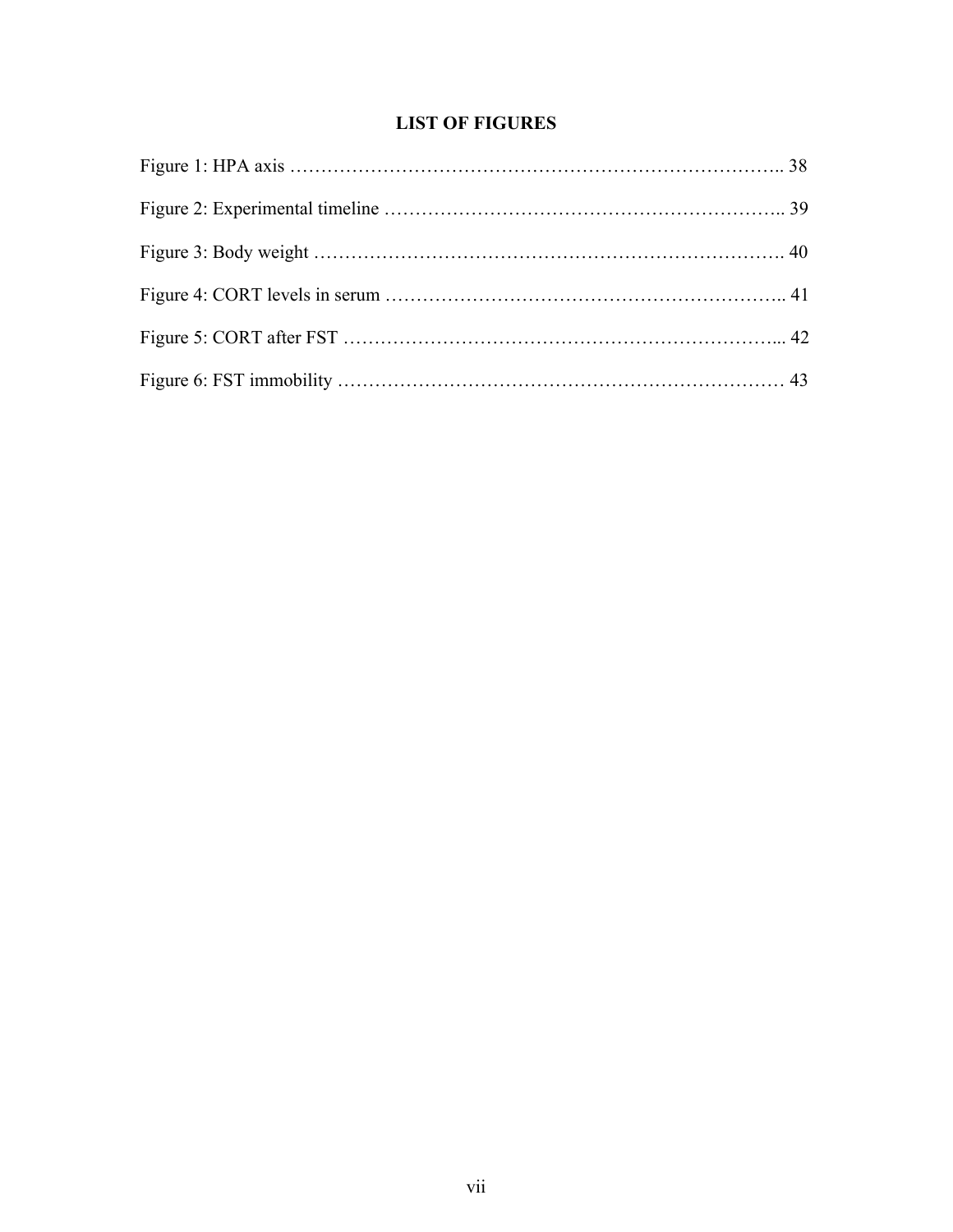### **LIST OF FIGURES**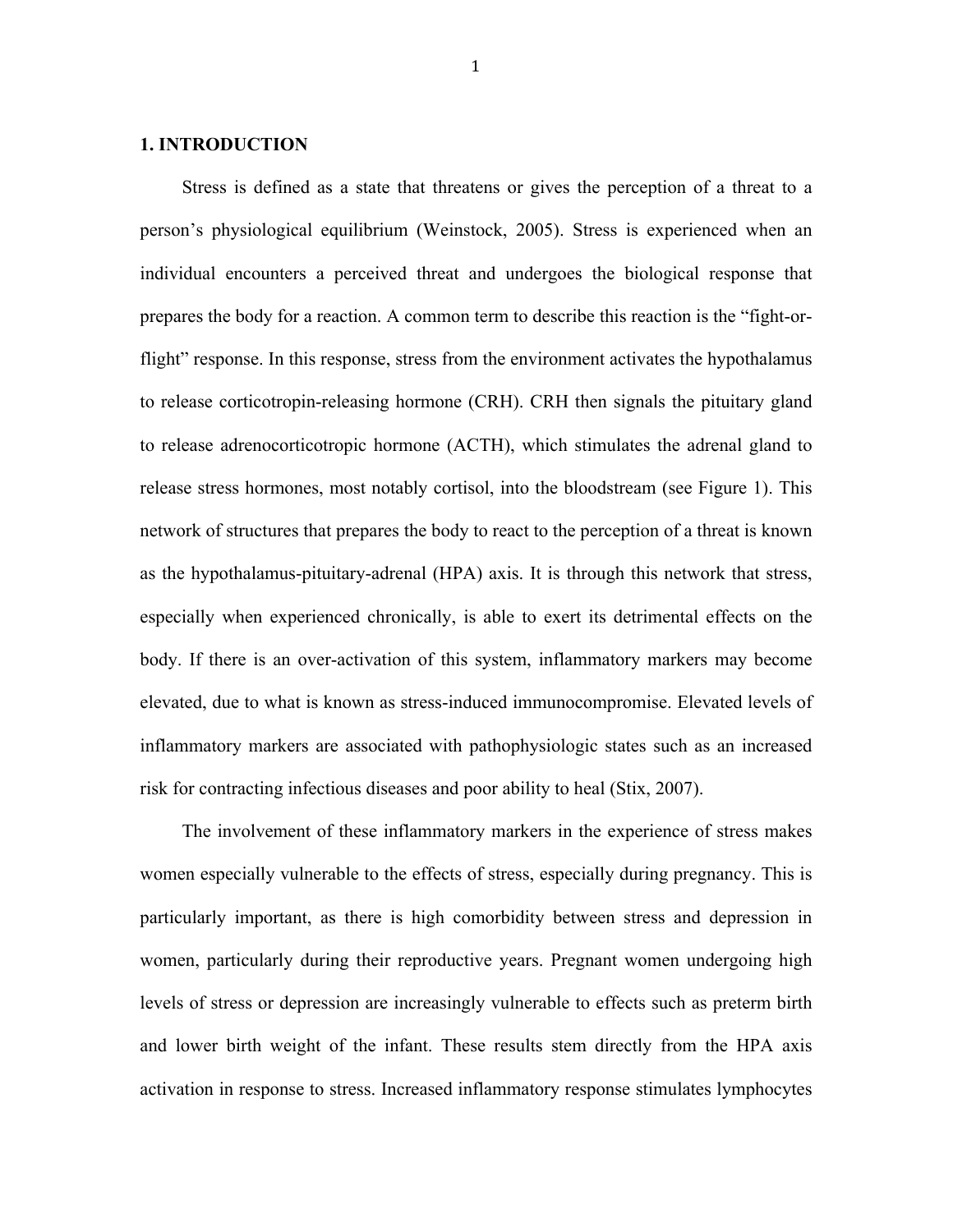#### **1. INTRODUCTION**

Stress is defined as a state that threatens or gives the perception of a threat to a person's physiological equilibrium (Weinstock, 2005). Stress is experienced when an individual encounters a perceived threat and undergoes the biological response that prepares the body for a reaction. A common term to describe this reaction is the "fight-orflight" response. In this response, stress from the environment activates the hypothalamus to release corticotropin-releasing hormone (CRH). CRH then signals the pituitary gland to release adrenocorticotropic hormone (ACTH), which stimulates the adrenal gland to release stress hormones, most notably cortisol, into the bloodstream (see Figure 1). This network of structures that prepares the body to react to the perception of a threat is known as the hypothalamus-pituitary-adrenal (HPA) axis. It is through this network that stress, especially when experienced chronically, is able to exert its detrimental effects on the body. If there is an over-activation of this system, inflammatory markers may become elevated, due to what is known as stress-induced immunocompromise. Elevated levels of inflammatory markers are associated with pathophysiologic states such as an increased risk for contracting infectious diseases and poor ability to heal (Stix, 2007).

The involvement of these inflammatory markers in the experience of stress makes women especially vulnerable to the effects of stress, especially during pregnancy. This is particularly important, as there is high comorbidity between stress and depression in women, particularly during their reproductive years. Pregnant women undergoing high levels of stress or depression are increasingly vulnerable to effects such as preterm birth and lower birth weight of the infant. These results stem directly from the HPA axis activation in response to stress. Increased inflammatory response stimulates lymphocytes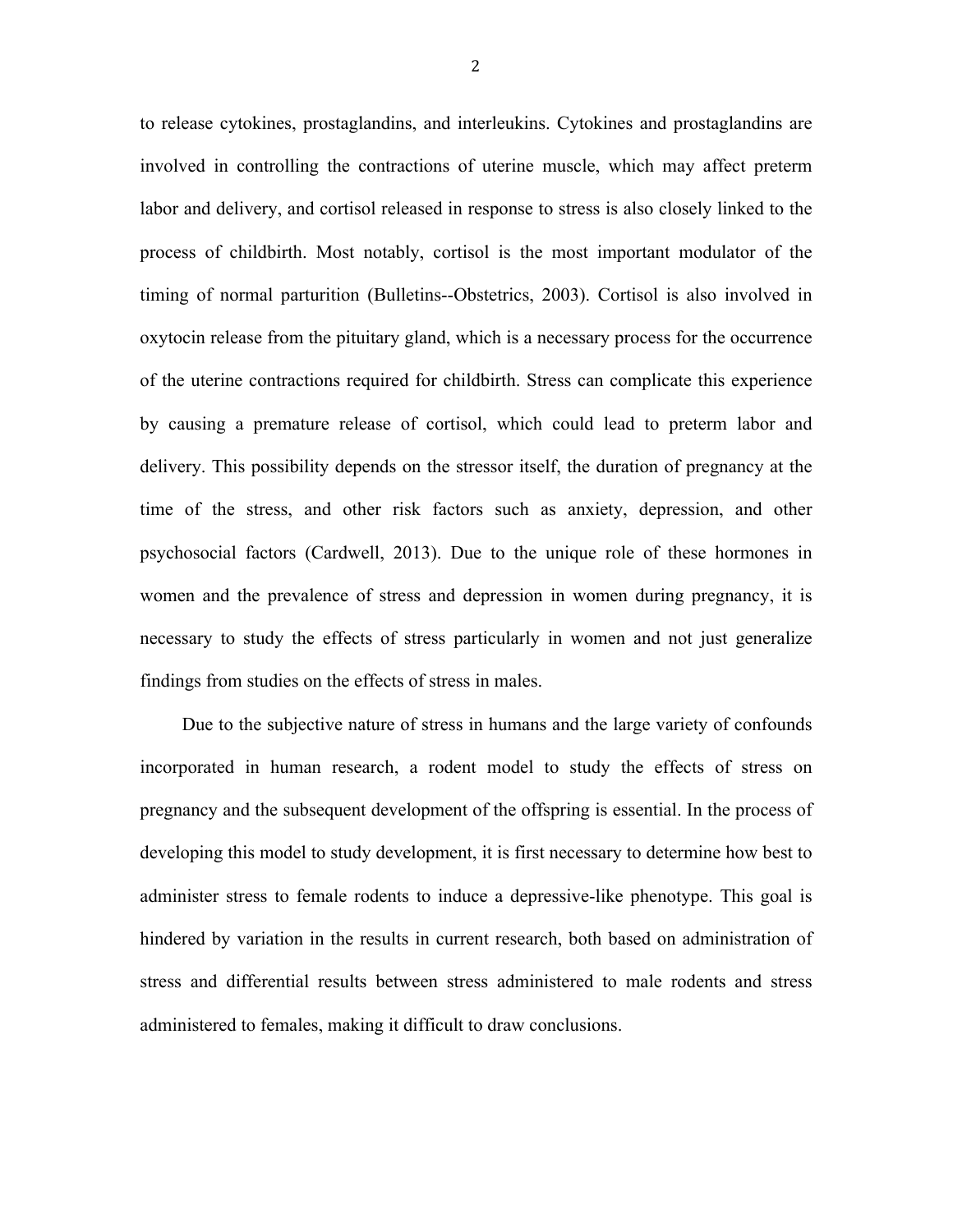to release cytokines, prostaglandins, and interleukins. Cytokines and prostaglandins are involved in controlling the contractions of uterine muscle, which may affect preterm labor and delivery, and cortisol released in response to stress is also closely linked to the process of childbirth. Most notably, cortisol is the most important modulator of the timing of normal parturition (Bulletins--Obstetrics, 2003). Cortisol is also involved in oxytocin release from the pituitary gland, which is a necessary process for the occurrence of the uterine contractions required for childbirth. Stress can complicate this experience by causing a premature release of cortisol, which could lead to preterm labor and delivery. This possibility depends on the stressor itself, the duration of pregnancy at the time of the stress, and other risk factors such as anxiety, depression, and other psychosocial factors (Cardwell, 2013). Due to the unique role of these hormones in women and the prevalence of stress and depression in women during pregnancy, it is necessary to study the effects of stress particularly in women and not just generalize findings from studies on the effects of stress in males.

Due to the subjective nature of stress in humans and the large variety of confounds incorporated in human research, a rodent model to study the effects of stress on pregnancy and the subsequent development of the offspring is essential. In the process of developing this model to study development, it is first necessary to determine how best to administer stress to female rodents to induce a depressive-like phenotype. This goal is hindered by variation in the results in current research, both based on administration of stress and differential results between stress administered to male rodents and stress administered to females, making it difficult to draw conclusions.

2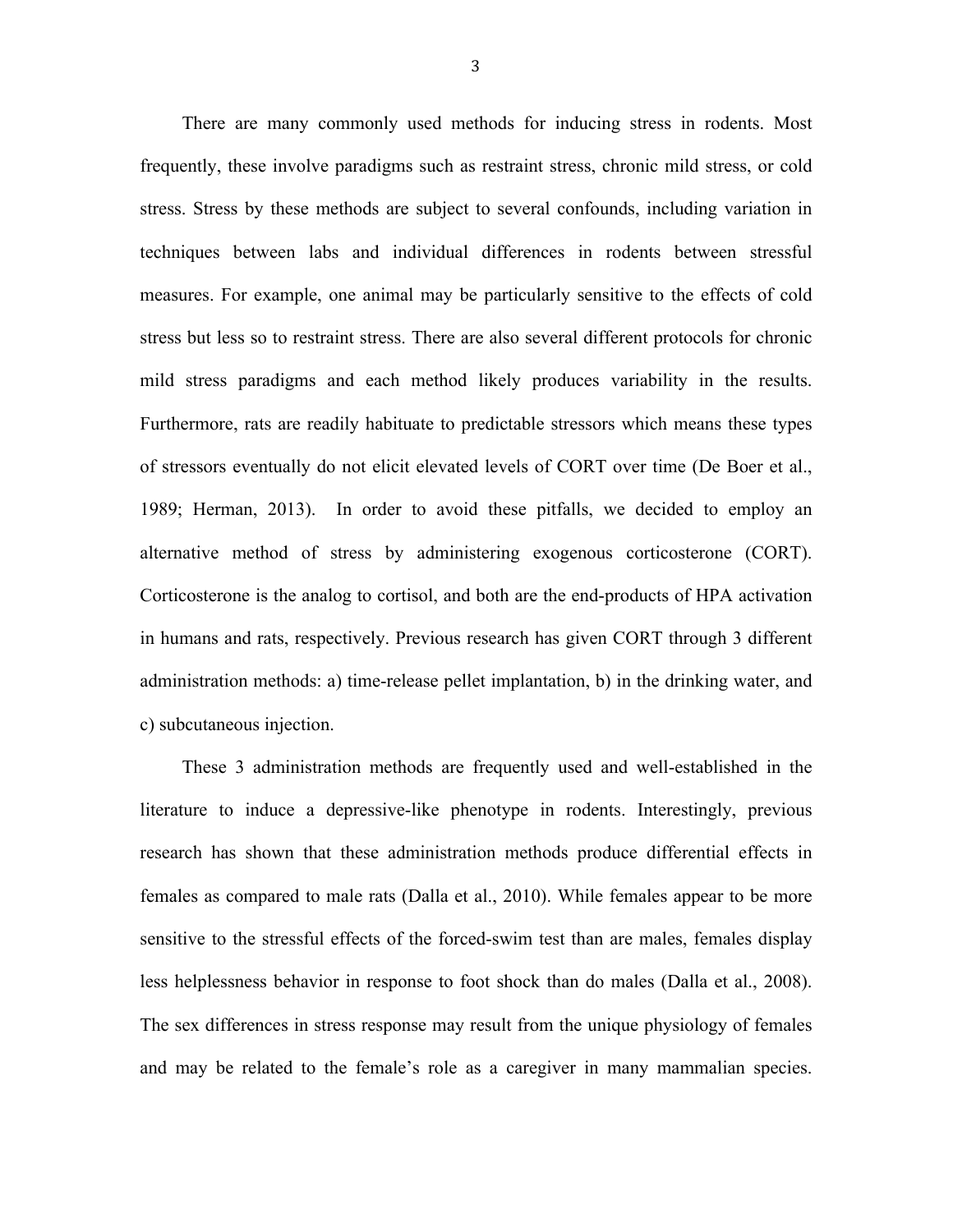There are many commonly used methods for inducing stress in rodents. Most frequently, these involve paradigms such as restraint stress, chronic mild stress, or cold stress. Stress by these methods are subject to several confounds, including variation in techniques between labs and individual differences in rodents between stressful measures. For example, one animal may be particularly sensitive to the effects of cold stress but less so to restraint stress. There are also several different protocols for chronic mild stress paradigms and each method likely produces variability in the results. Furthermore, rats are readily habituate to predictable stressors which means these types of stressors eventually do not elicit elevated levels of CORT over time (De Boer et al., 1989; Herman, 2013). In order to avoid these pitfalls, we decided to employ an alternative method of stress by administering exogenous corticosterone (CORT). Corticosterone is the analog to cortisol, and both are the end-products of HPA activation in humans and rats, respectively. Previous research has given CORT through 3 different administration methods: a) time-release pellet implantation, b) in the drinking water, and c) subcutaneous injection.

These 3 administration methods are frequently used and well-established in the literature to induce a depressive-like phenotype in rodents. Interestingly, previous research has shown that these administration methods produce differential effects in females as compared to male rats (Dalla et al., 2010). While females appear to be more sensitive to the stressful effects of the forced-swim test than are males, females display less helplessness behavior in response to foot shock than do males (Dalla et al., 2008). The sex differences in stress response may result from the unique physiology of females and may be related to the female's role as a caregiver in many mammalian species.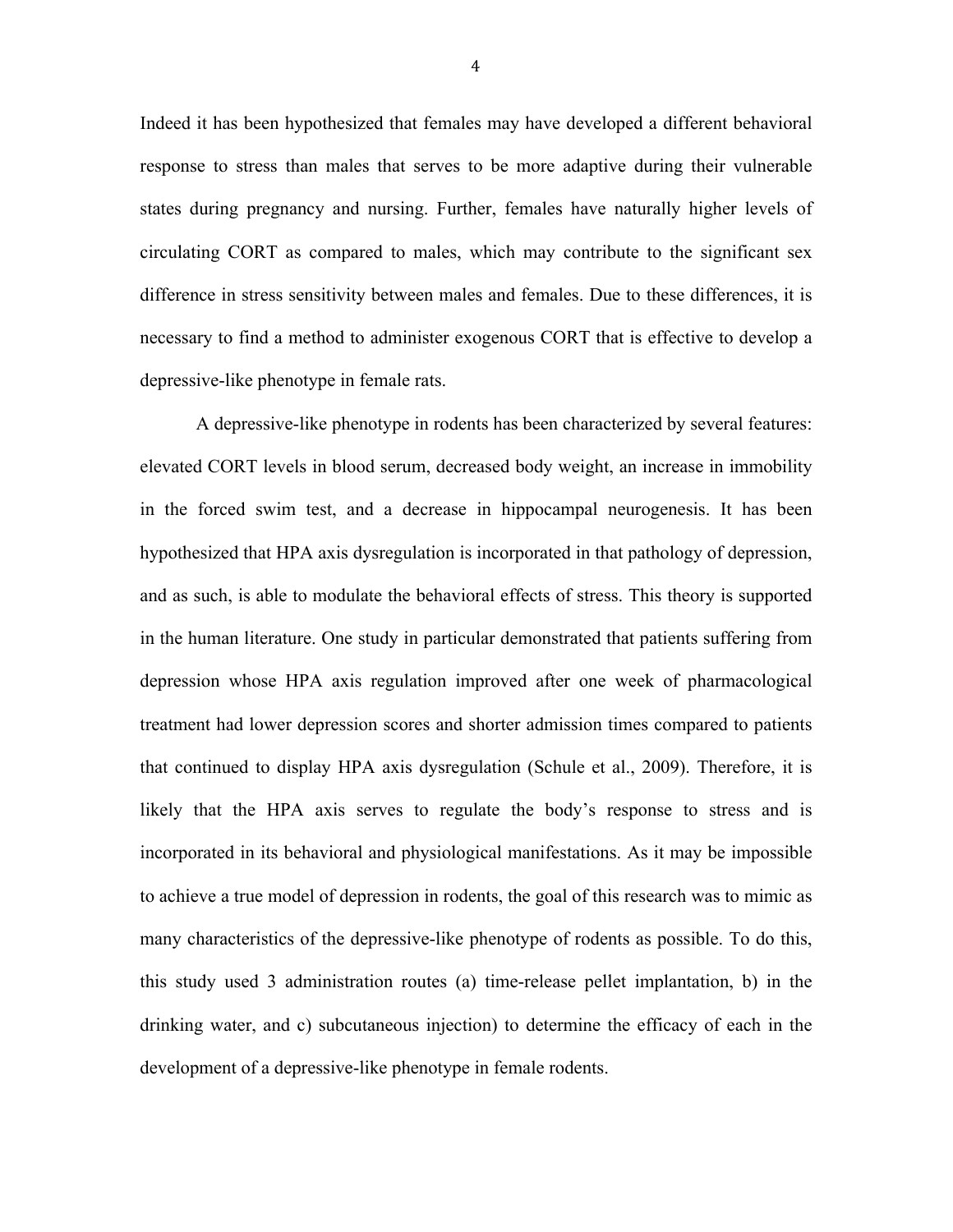Indeed it has been hypothesized that females may have developed a different behavioral response to stress than males that serves to be more adaptive during their vulnerable states during pregnancy and nursing. Further, females have naturally higher levels of circulating CORT as compared to males, which may contribute to the significant sex difference in stress sensitivity between males and females. Due to these differences, it is necessary to find a method to administer exogenous CORT that is effective to develop a depressive-like phenotype in female rats.

A depressive-like phenotype in rodents has been characterized by several features: elevated CORT levels in blood serum, decreased body weight, an increase in immobility in the forced swim test, and a decrease in hippocampal neurogenesis. It has been hypothesized that HPA axis dysregulation is incorporated in that pathology of depression, and as such, is able to modulate the behavioral effects of stress. This theory is supported in the human literature. One study in particular demonstrated that patients suffering from depression whose HPA axis regulation improved after one week of pharmacological treatment had lower depression scores and shorter admission times compared to patients that continued to display HPA axis dysregulation (Schule et al., 2009). Therefore, it is likely that the HPA axis serves to regulate the body's response to stress and is incorporated in its behavioral and physiological manifestations. As it may be impossible to achieve a true model of depression in rodents, the goal of this research was to mimic as many characteristics of the depressive-like phenotype of rodents as possible. To do this, this study used 3 administration routes (a) time-release pellet implantation, b) in the drinking water, and c) subcutaneous injection) to determine the efficacy of each in the development of a depressive-like phenotype in female rodents.

4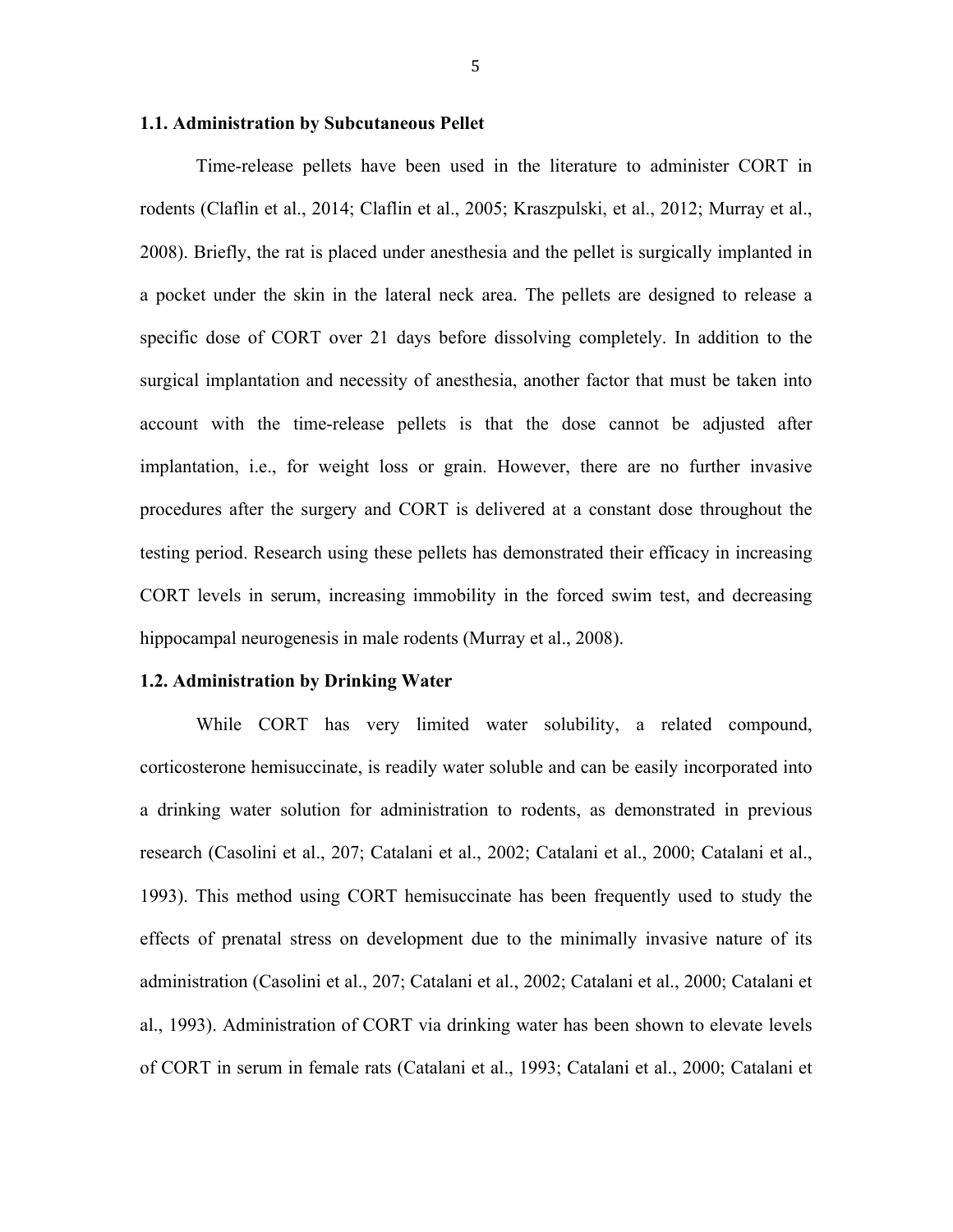#### **1.1. Administration by Subcutaneous Pellet**

Time-release pellets have been used in the literature to administer CORT in rodents (Claflin et al., 2014; Claflin et al., 2005; Kraszpulski, et al., 2012; Murray et al., 2008). Briefly, the rat is placed under anesthesia and the pellet is surgically implanted in a pocket under the skin in the lateral neck area. The pellets are designed to release a specific dose of CORT over 21 days before dissolving completely. In addition to the surgical implantation and necessity of anesthesia, another factor that must be taken into account with the time-release pellets is that the dose cannot be adjusted after implantation, i.e., for weight loss or grain. However, there are no further invasive procedures after the surgery and CORT is delivered at a constant dose throughout the testing period. Research using these pellets has demonstrated their efficacy in increasing CORT levels in serum, increasing immobility in the forced swim test, and decreasing hippocampal neurogenesis in male rodents (Murray et al., 2008).

#### **1.2. Administration by Drinking Water**

While CORT has very limited water solubility, a related compound, corticosterone hemisuccinate, is readily water soluble and can be easily incorporated into a drinking water solution for administration to rodents, as demonstrated in previous research (Casolini et al., 207; Catalani et al., 2002; Catalani et al., 2000; Catalani et al., 1993). This method using CORT hemisuccinate has been frequently used to study the effects of prenatal stress on development due to the minimally invasive nature of its administration (Casolini et al., 207; Catalani et al., 2002; Catalani et al., 2000; Catalani et al., 1993). Administration of CORT via drinking water has been shown to elevate levels of CORT in serum in female rats (Catalani et al., 1993; Catalani et al., 2000; Catalani et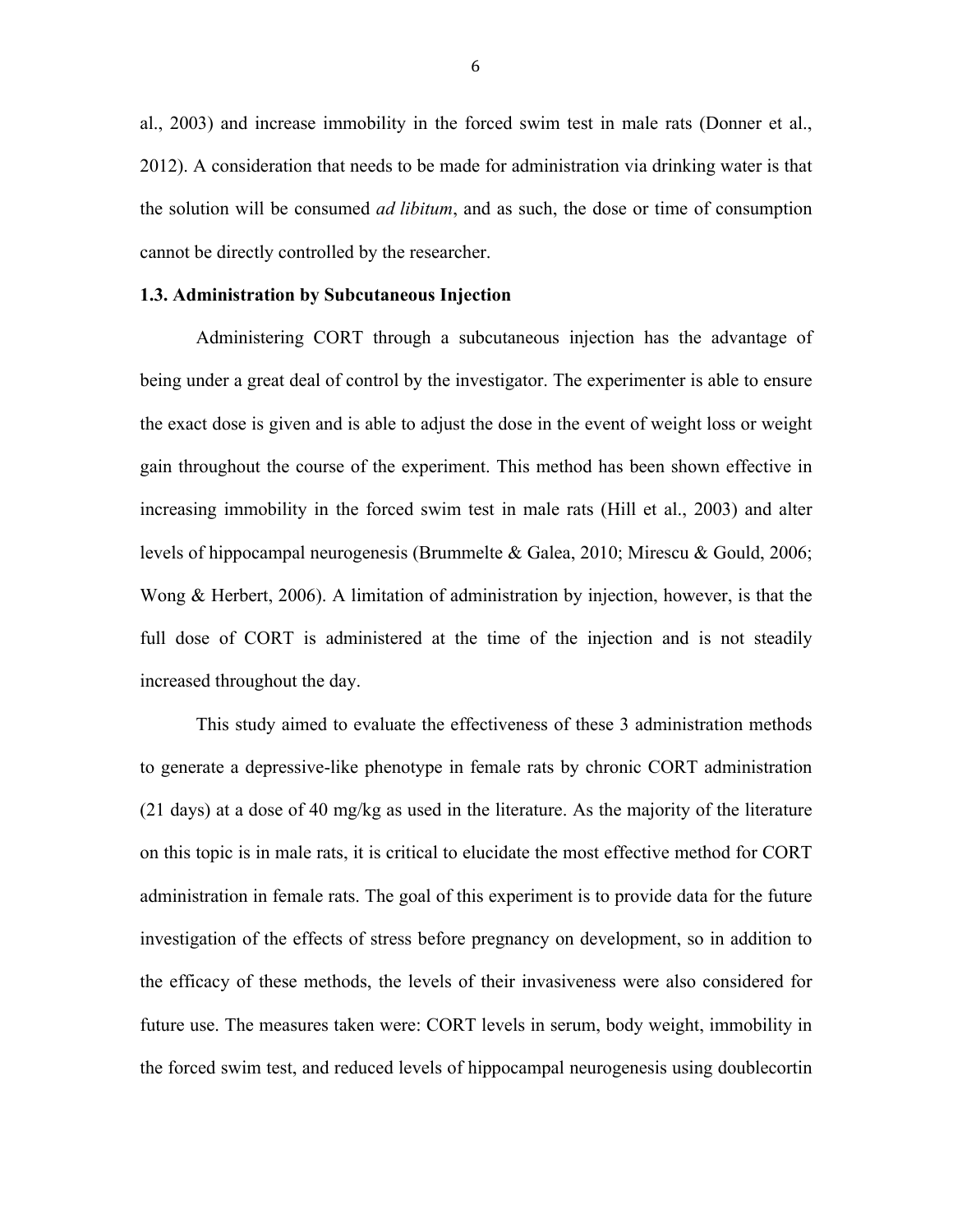al., 2003) and increase immobility in the forced swim test in male rats (Donner et al., 2012). A consideration that needs to be made for administration via drinking water is that the solution will be consumed *ad libitum*, and as such, the dose or time of consumption cannot be directly controlled by the researcher.

#### **1.3. Administration by Subcutaneous Injection**

Administering CORT through a subcutaneous injection has the advantage of being under a great deal of control by the investigator. The experimenter is able to ensure the exact dose is given and is able to adjust the dose in the event of weight loss or weight gain throughout the course of the experiment. This method has been shown effective in increasing immobility in the forced swim test in male rats (Hill et al., 2003) and alter levels of hippocampal neurogenesis (Brummelte & Galea, 2010; Mirescu & Gould, 2006; Wong & Herbert, 2006). A limitation of administration by injection, however, is that the full dose of CORT is administered at the time of the injection and is not steadily increased throughout the day.

This study aimed to evaluate the effectiveness of these 3 administration methods to generate a depressive-like phenotype in female rats by chronic CORT administration (21 days) at a dose of 40 mg/kg as used in the literature. As the majority of the literature on this topic is in male rats, it is critical to elucidate the most effective method for CORT administration in female rats. The goal of this experiment is to provide data for the future investigation of the effects of stress before pregnancy on development, so in addition to the efficacy of these methods, the levels of their invasiveness were also considered for future use. The measures taken were: CORT levels in serum, body weight, immobility in the forced swim test, and reduced levels of hippocampal neurogenesis using doublecortin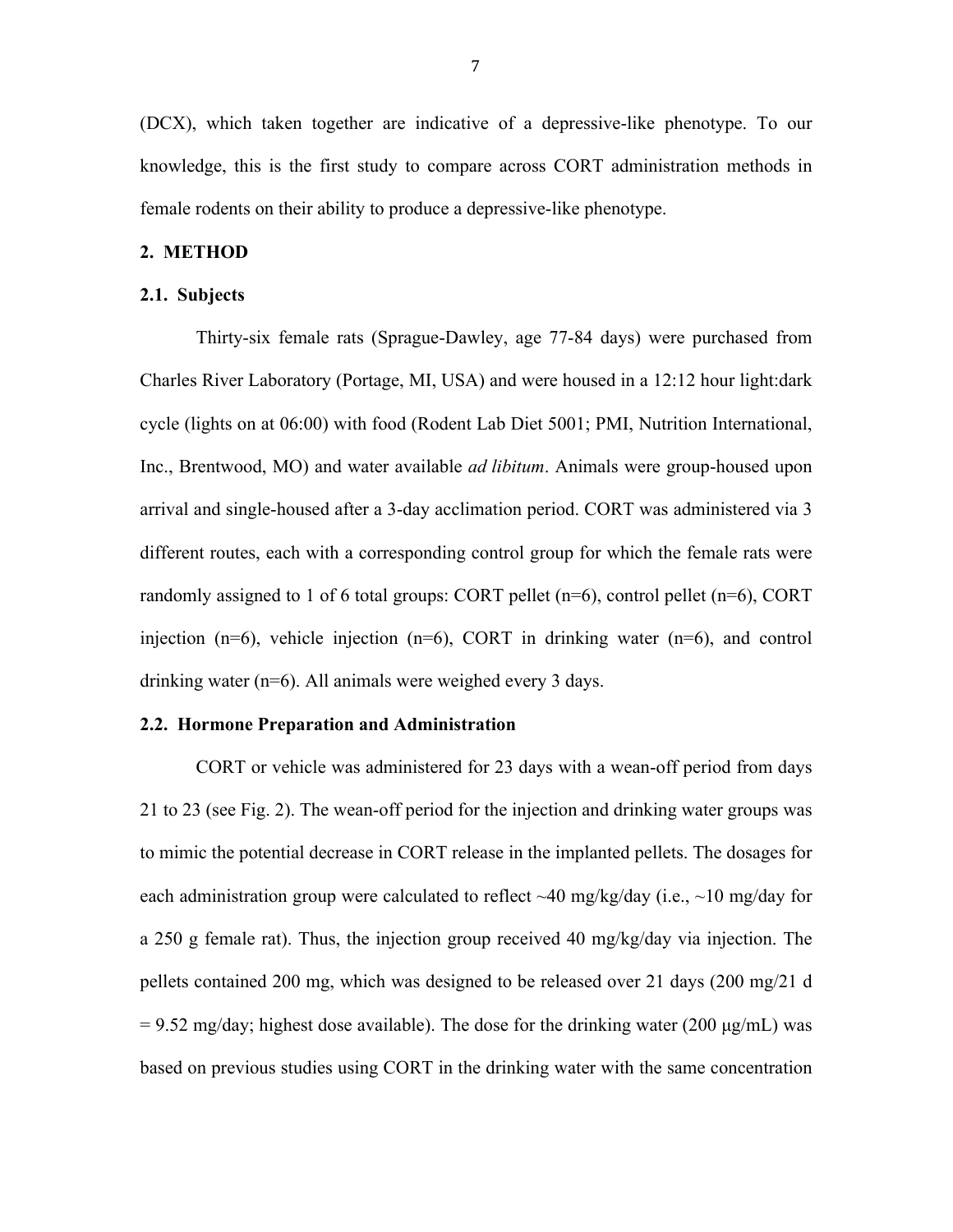(DCX), which taken together are indicative of a depressive-like phenotype. To our knowledge, this is the first study to compare across CORT administration methods in female rodents on their ability to produce a depressive-like phenotype.

#### **2. METHOD**

#### **2.1. Subjects**

Thirty-six female rats (Sprague-Dawley, age 77-84 days) were purchased from Charles River Laboratory (Portage, MI, USA) and were housed in a 12:12 hour light:dark cycle (lights on at 06:00) with food (Rodent Lab Diet 5001; PMI, Nutrition International, Inc., Brentwood, MO) and water available *ad libitum*. Animals were group-housed upon arrival and single-housed after a 3-day acclimation period. CORT was administered via 3 different routes, each with a corresponding control group for which the female rats were randomly assigned to 1 of 6 total groups: CORT pellet  $(n=6)$ , control pellet  $(n=6)$ , CORT injection  $(n=6)$ , vehicle injection  $(n=6)$ , CORT in drinking water  $(n=6)$ , and control drinking water (n=6). All animals were weighed every 3 days.

#### **2.2. Hormone Preparation and Administration**

CORT or vehicle was administered for 23 days with a wean-off period from days 21 to 23 (see Fig. 2). The wean-off period for the injection and drinking water groups was to mimic the potential decrease in CORT release in the implanted pellets. The dosages for each administration group were calculated to reflect  $\sim$ 40 mg/kg/day (i.e.,  $\sim$ 10 mg/day for a 250 g female rat). Thus, the injection group received 40 mg/kg/day via injection. The pellets contained 200 mg, which was designed to be released over 21 days (200 mg/21 d  $= 9.52$  mg/day; highest dose available). The dose for the drinking water (200  $\mu$ g/mL) was based on previous studies using CORT in the drinking water with the same concentration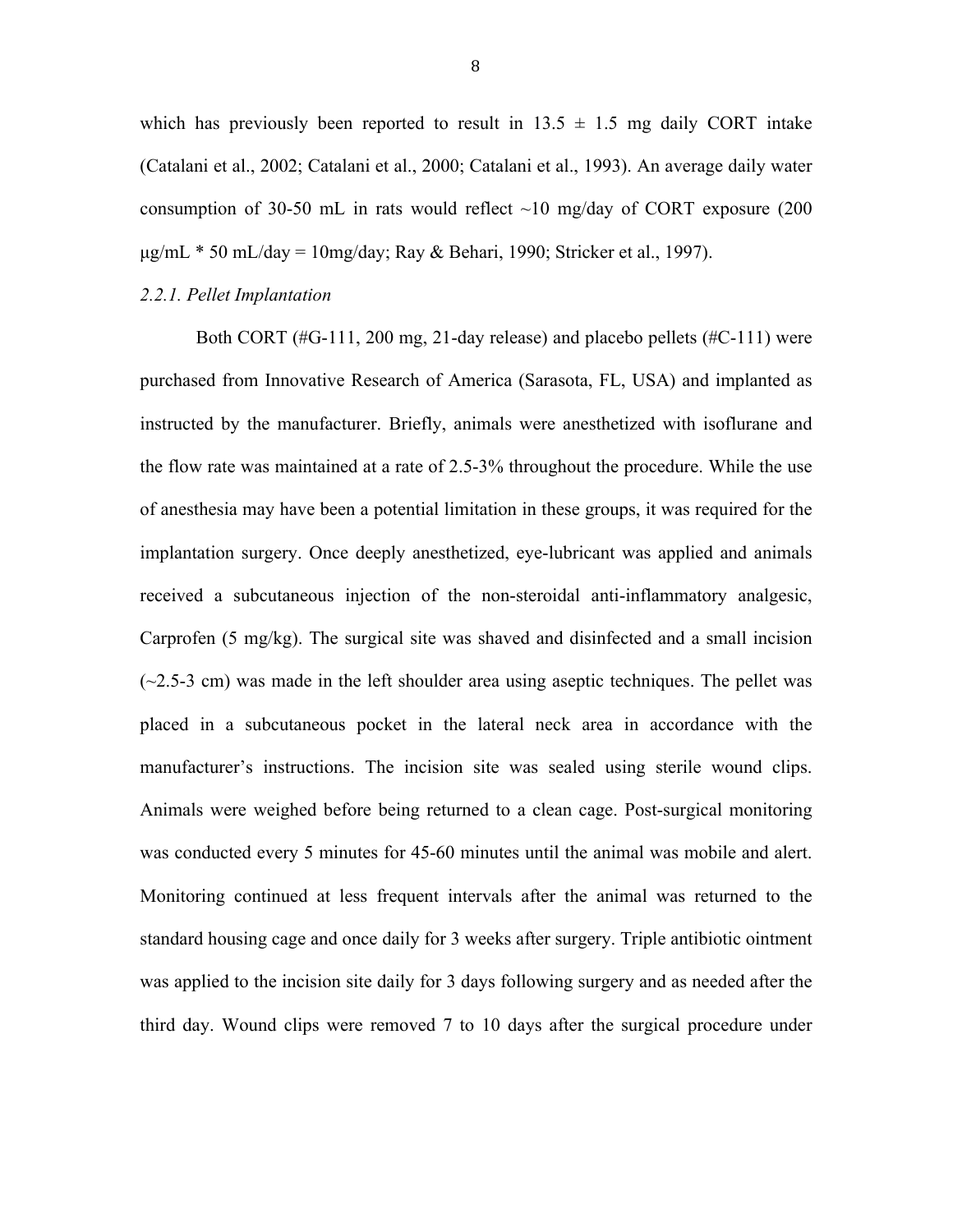which has previously been reported to result in  $13.5 \pm 1.5$  mg daily CORT intake (Catalani et al., 2002; Catalani et al., 2000; Catalani et al., 1993). An average daily water consumption of 30-50 mL in rats would reflect  $\sim$ 10 mg/day of CORT exposure (200)  $\mu$ g/mL \* 50 mL/day = 10mg/day; Ray & Behari, 1990; Stricker et al., 1997).

#### *2.2.1. Pellet Implantation*

Both CORT (#G-111, 200 mg, 21-day release) and placebo pellets (#C-111) were purchased from Innovative Research of America (Sarasota, FL, USA) and implanted as instructed by the manufacturer. Briefly, animals were anesthetized with isoflurane and the flow rate was maintained at a rate of 2.5-3% throughout the procedure. While the use of anesthesia may have been a potential limitation in these groups, it was required for the implantation surgery. Once deeply anesthetized, eye-lubricant was applied and animals received a subcutaneous injection of the non-steroidal anti-inflammatory analgesic, Carprofen (5 mg/kg). The surgical site was shaved and disinfected and a small incision  $(\sim 2.5-3$  cm) was made in the left shoulder area using aseptic techniques. The pellet was placed in a subcutaneous pocket in the lateral neck area in accordance with the manufacturer's instructions. The incision site was sealed using sterile wound clips. Animals were weighed before being returned to a clean cage. Post-surgical monitoring was conducted every 5 minutes for 45-60 minutes until the animal was mobile and alert. Monitoring continued at less frequent intervals after the animal was returned to the standard housing cage and once daily for 3 weeks after surgery. Triple antibiotic ointment was applied to the incision site daily for 3 days following surgery and as needed after the third day. Wound clips were removed 7 to 10 days after the surgical procedure under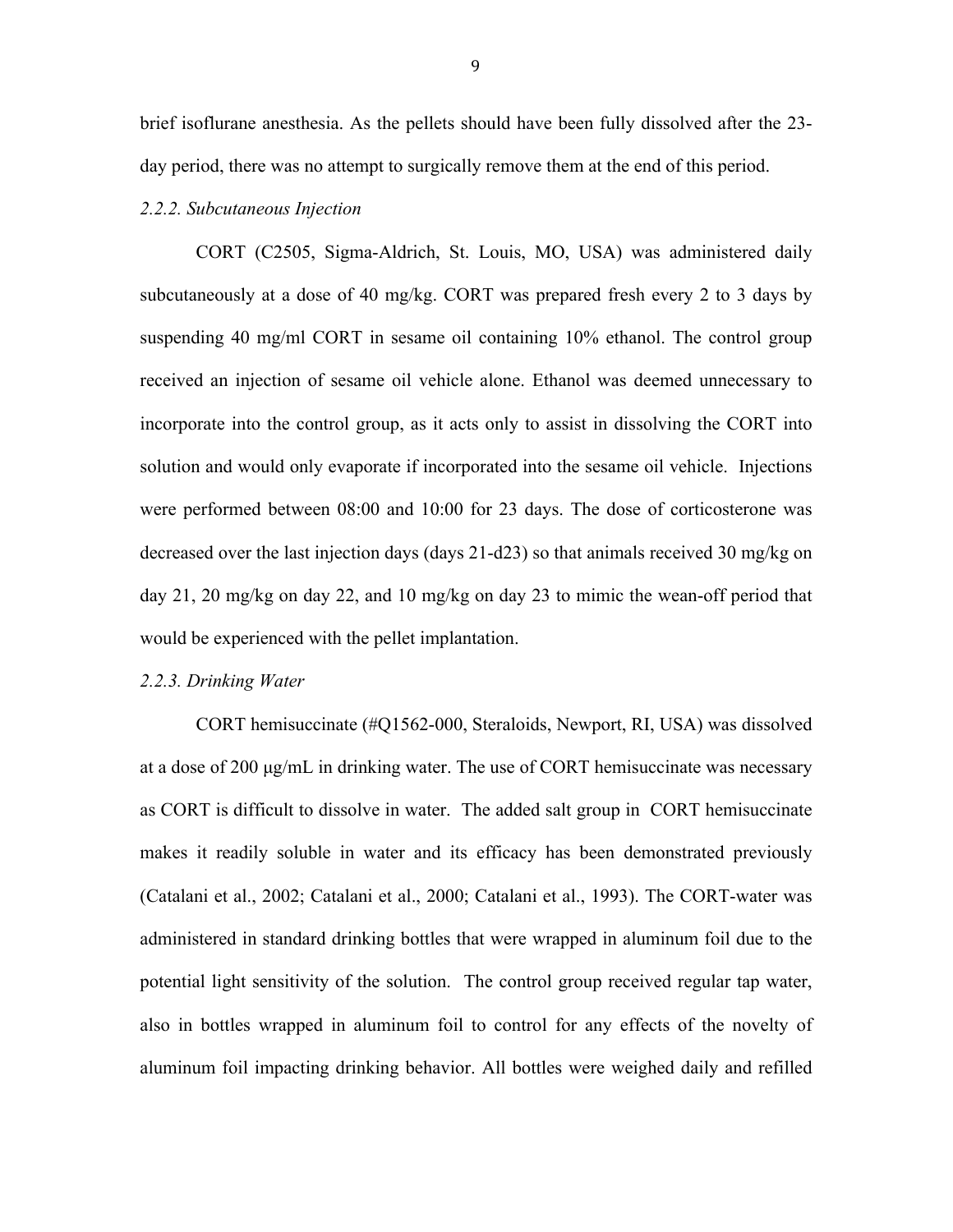brief isoflurane anesthesia. As the pellets should have been fully dissolved after the 23 day period, there was no attempt to surgically remove them at the end of this period.

#### *2.2.2. Subcutaneous Injection*

CORT (C2505, Sigma-Aldrich, St. Louis, MO, USA) was administered daily subcutaneously at a dose of 40 mg/kg. CORT was prepared fresh every 2 to 3 days by suspending 40 mg/ml CORT in sesame oil containing 10% ethanol. The control group received an injection of sesame oil vehicle alone. Ethanol was deemed unnecessary to incorporate into the control group, as it acts only to assist in dissolving the CORT into solution and would only evaporate if incorporated into the sesame oil vehicle. Injections were performed between 08:00 and 10:00 for 23 days. The dose of corticosterone was decreased over the last injection days (days 21-d23) so that animals received 30 mg/kg on day 21, 20 mg/kg on day 22, and 10 mg/kg on day 23 to mimic the wean-off period that would be experienced with the pellet implantation.

#### *2.2.3. Drinking Water*

CORT hemisuccinate (#Q1562-000, Steraloids, Newport, RI, USA) was dissolved at a dose of 200 µg/mL in drinking water. The use of CORT hemisuccinate was necessary as CORT is difficult to dissolve in water. The added salt group in CORT hemisuccinate makes it readily soluble in water and its efficacy has been demonstrated previously (Catalani et al., 2002; Catalani et al., 2000; Catalani et al., 1993). The CORT-water was administered in standard drinking bottles that were wrapped in aluminum foil due to the potential light sensitivity of the solution. The control group received regular tap water, also in bottles wrapped in aluminum foil to control for any effects of the novelty of aluminum foil impacting drinking behavior. All bottles were weighed daily and refilled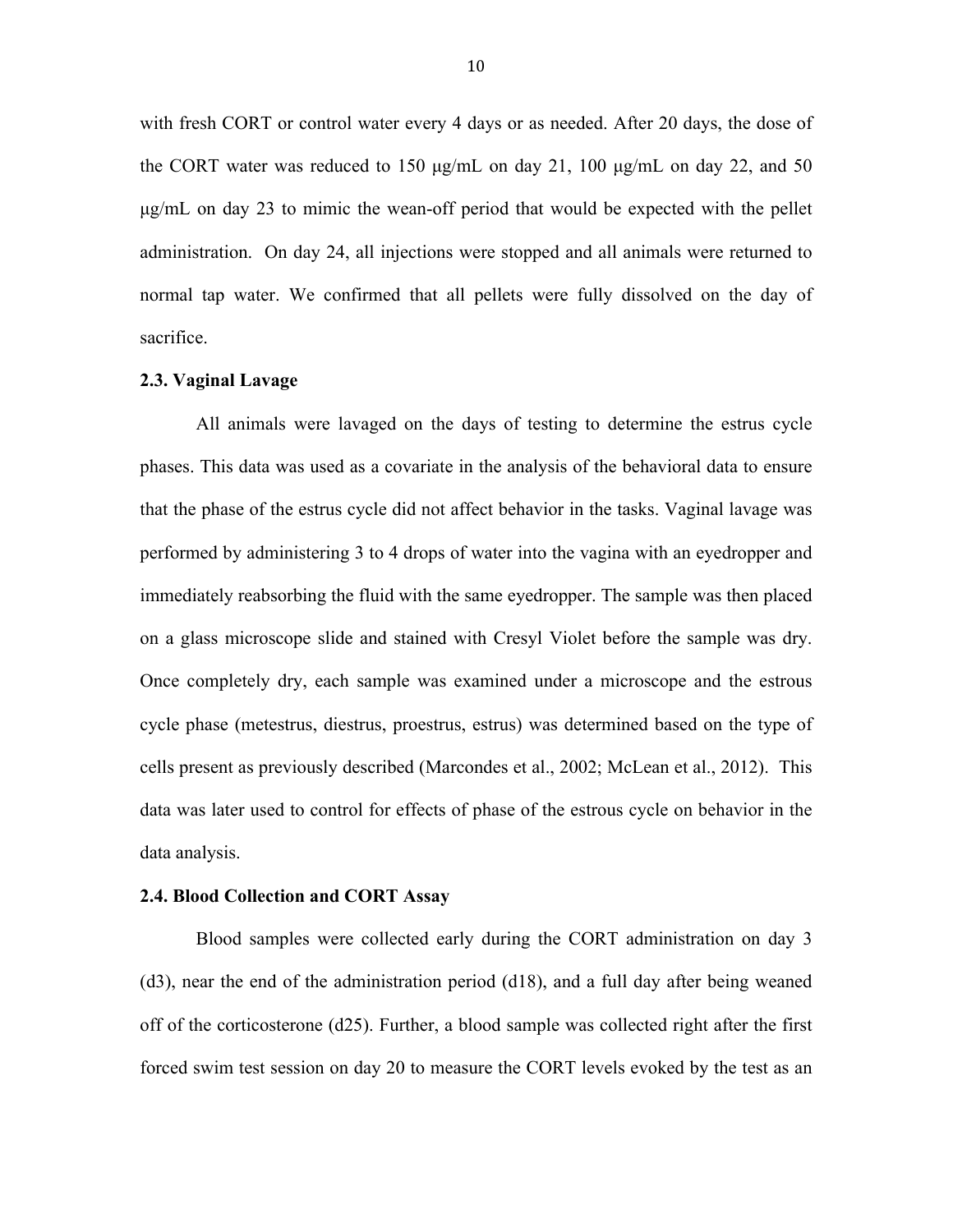with fresh CORT or control water every 4 days or as needed. After 20 days, the dose of the CORT water was reduced to 150 µg/mL on day 21, 100 µg/mL on day 22, and 50 µg/mL on day 23 to mimic the wean-off period that would be expected with the pellet administration. On day 24, all injections were stopped and all animals were returned to normal tap water. We confirmed that all pellets were fully dissolved on the day of sacrifice.

#### **2.3. Vaginal Lavage**

All animals were lavaged on the days of testing to determine the estrus cycle phases. This data was used as a covariate in the analysis of the behavioral data to ensure that the phase of the estrus cycle did not affect behavior in the tasks. Vaginal lavage was performed by administering 3 to 4 drops of water into the vagina with an eyedropper and immediately reabsorbing the fluid with the same eyedropper. The sample was then placed on a glass microscope slide and stained with Cresyl Violet before the sample was dry. Once completely dry, each sample was examined under a microscope and the estrous cycle phase (metestrus, diestrus, proestrus, estrus) was determined based on the type of cells present as previously described (Marcondes et al., 2002; McLean et al., 2012). This data was later used to control for effects of phase of the estrous cycle on behavior in the data analysis.

#### **2.4. Blood Collection and CORT Assay**

Blood samples were collected early during the CORT administration on day 3 (d3), near the end of the administration period (d18), and a full day after being weaned off of the corticosterone (d25). Further, a blood sample was collected right after the first forced swim test session on day 20 to measure the CORT levels evoked by the test as an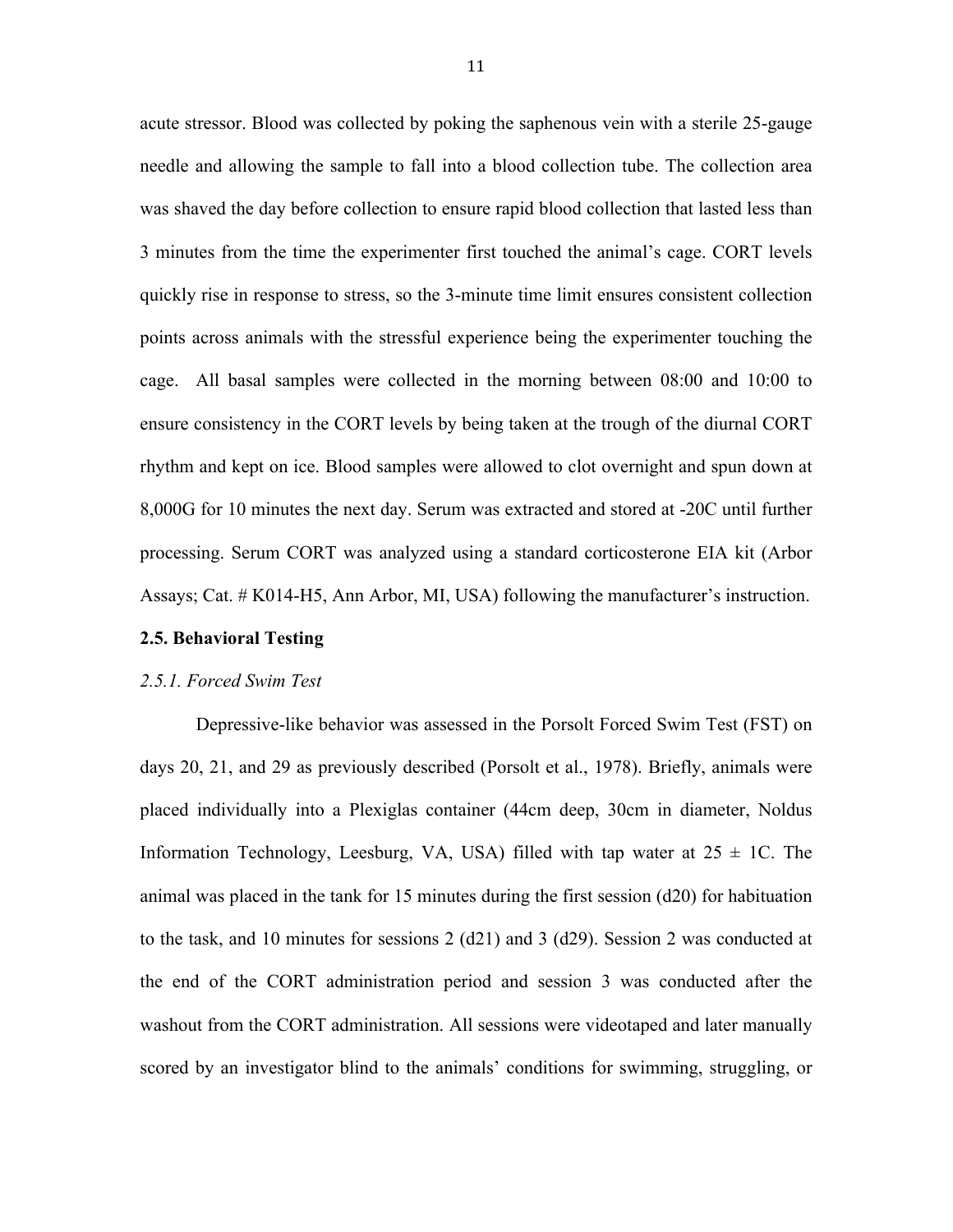acute stressor. Blood was collected by poking the saphenous vein with a sterile 25-gauge needle and allowing the sample to fall into a blood collection tube. The collection area was shaved the day before collection to ensure rapid blood collection that lasted less than 3 minutes from the time the experimenter first touched the animal's cage. CORT levels quickly rise in response to stress, so the 3-minute time limit ensures consistent collection points across animals with the stressful experience being the experimenter touching the cage. All basal samples were collected in the morning between 08:00 and 10:00 to ensure consistency in the CORT levels by being taken at the trough of the diurnal CORT rhythm and kept on ice. Blood samples were allowed to clot overnight and spun down at 8,000G for 10 minutes the next day. Serum was extracted and stored at -20C until further processing. Serum CORT was analyzed using a standard corticosterone EIA kit (Arbor Assays; Cat. # K014-H5, Ann Arbor, MI, USA) following the manufacturer's instruction.

#### **2.5. Behavioral Testing**

#### *2.5.1. Forced Swim Test*

Depressive-like behavior was assessed in the Porsolt Forced Swim Test (FST) on days 20, 21, and 29 as previously described (Porsolt et al., 1978). Briefly, animals were placed individually into a Plexiglas container (44cm deep, 30cm in diameter, Noldus Information Technology, Leesburg, VA, USA) filled with tap water at  $25 \pm 1$ C. The animal was placed in the tank for 15 minutes during the first session (d20) for habituation to the task, and 10 minutes for sessions 2 (d21) and 3 (d29). Session 2 was conducted at the end of the CORT administration period and session 3 was conducted after the washout from the CORT administration. All sessions were videotaped and later manually scored by an investigator blind to the animals' conditions for swimming, struggling, or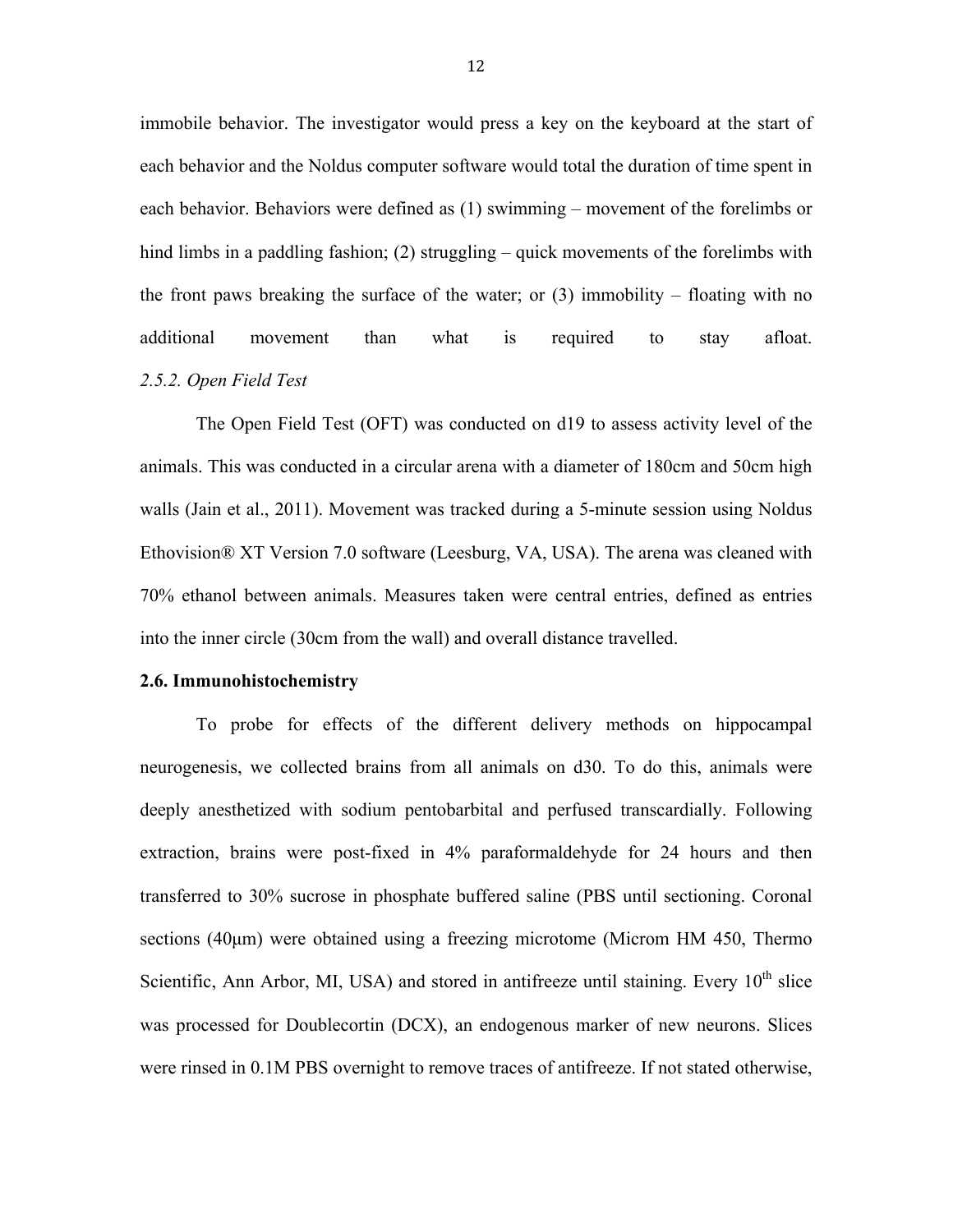immobile behavior. The investigator would press a key on the keyboard at the start of each behavior and the Noldus computer software would total the duration of time spent in each behavior. Behaviors were defined as (1) swimming – movement of the forelimbs or hind limbs in a paddling fashion; (2) struggling – quick movements of the forelimbs with the front paws breaking the surface of the water; or  $(3)$  immobility – floating with no additional movement than what is required to stay afloat. *2.5.2. Open Field Test*

The Open Field Test (OFT) was conducted on d19 to assess activity level of the animals. This was conducted in a circular arena with a diameter of 180cm and 50cm high walls (Jain et al., 2011). Movement was tracked during a 5-minute session using Noldus Ethovision® XT Version 7.0 software (Leesburg, VA, USA). The arena was cleaned with 70% ethanol between animals. Measures taken were central entries, defined as entries into the inner circle (30cm from the wall) and overall distance travelled.

#### **2.6. Immunohistochemistry**

To probe for effects of the different delivery methods on hippocampal neurogenesis, we collected brains from all animals on d30. To do this, animals were deeply anesthetized with sodium pentobarbital and perfused transcardially. Following extraction, brains were post-fixed in 4% paraformaldehyde for 24 hours and then transferred to 30% sucrose in phosphate buffered saline (PBS until sectioning. Coronal sections (40µm) were obtained using a freezing microtome (Microm HM 450, Thermo Scientific, Ann Arbor, MI, USA) and stored in antifreeze until staining. Every  $10<sup>th</sup>$  slice was processed for Doublecortin (DCX), an endogenous marker of new neurons. Slices were rinsed in 0.1M PBS overnight to remove traces of antifreeze. If not stated otherwise,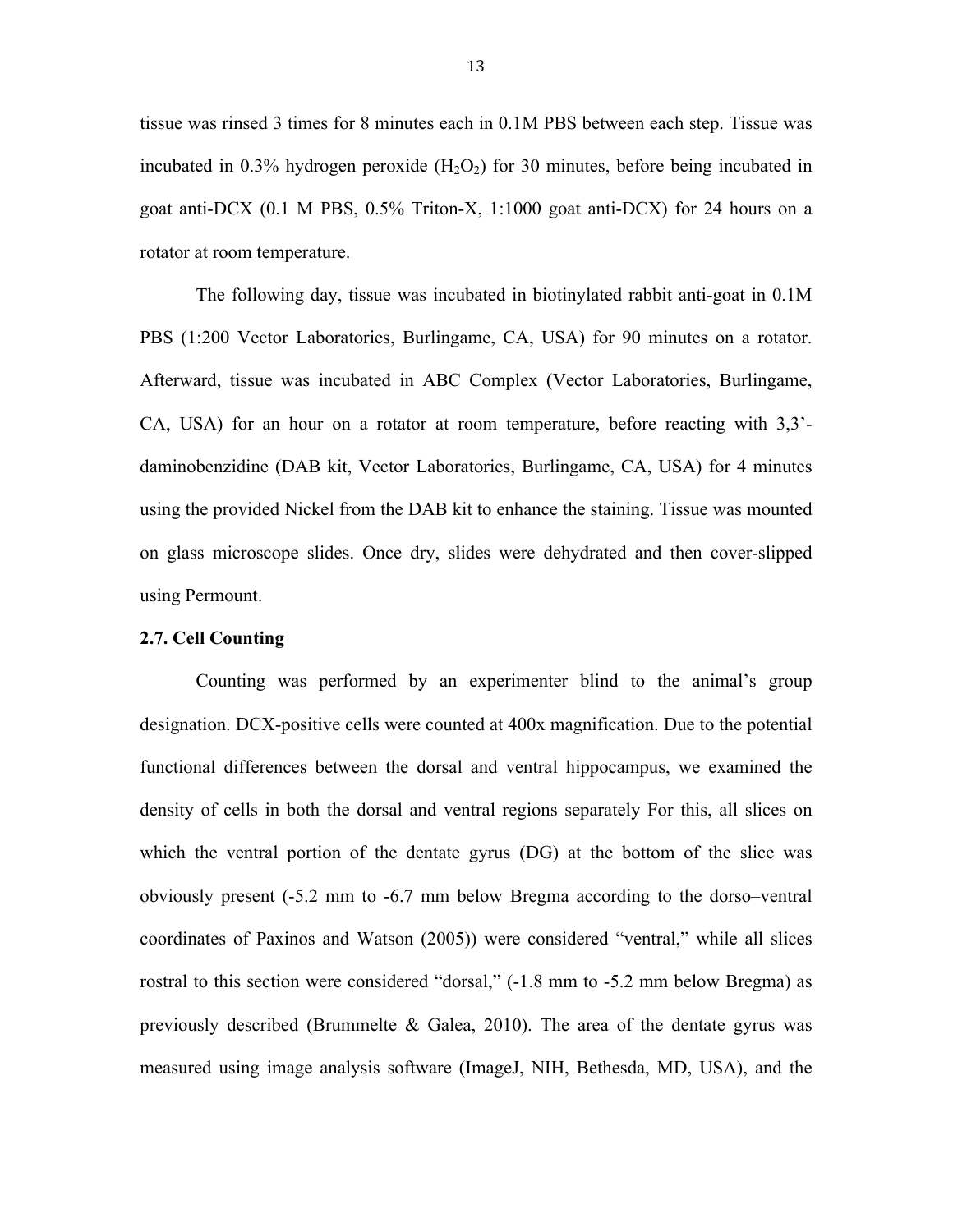tissue was rinsed 3 times for 8 minutes each in 0.1M PBS between each step. Tissue was incubated in  $0.3\%$  hydrogen peroxide  $(H_2O_2)$  for 30 minutes, before being incubated in goat anti-DCX (0.1 M PBS, 0.5% Triton-X, 1:1000 goat anti-DCX) for 24 hours on a rotator at room temperature.

The following day, tissue was incubated in biotinylated rabbit anti-goat in 0.1M PBS (1:200 Vector Laboratories, Burlingame, CA, USA) for 90 minutes on a rotator. Afterward, tissue was incubated in ABC Complex (Vector Laboratories, Burlingame, CA, USA) for an hour on a rotator at room temperature, before reacting with 3,3' daminobenzidine (DAB kit, Vector Laboratories, Burlingame, CA, USA) for 4 minutes using the provided Nickel from the DAB kit to enhance the staining. Tissue was mounted on glass microscope slides. Once dry, slides were dehydrated and then cover-slipped using Permount.

#### **2.7. Cell Counting**

Counting was performed by an experimenter blind to the animal's group designation. DCX-positive cells were counted at 400x magnification. Due to the potential functional differences between the dorsal and ventral hippocampus, we examined the density of cells in both the dorsal and ventral regions separately For this, all slices on which the ventral portion of the dentate gyrus (DG) at the bottom of the slice was obviously present (-5.2 mm to -6.7 mm below Bregma according to the dorso–ventral coordinates of Paxinos and Watson (2005)) were considered "ventral," while all slices rostral to this section were considered "dorsal," (-1.8 mm to -5.2 mm below Bregma) as previously described (Brummelte  $\&$  Galea, 2010). The area of the dentate gyrus was measured using image analysis software (ImageJ, NIH, Bethesda, MD, USA), and the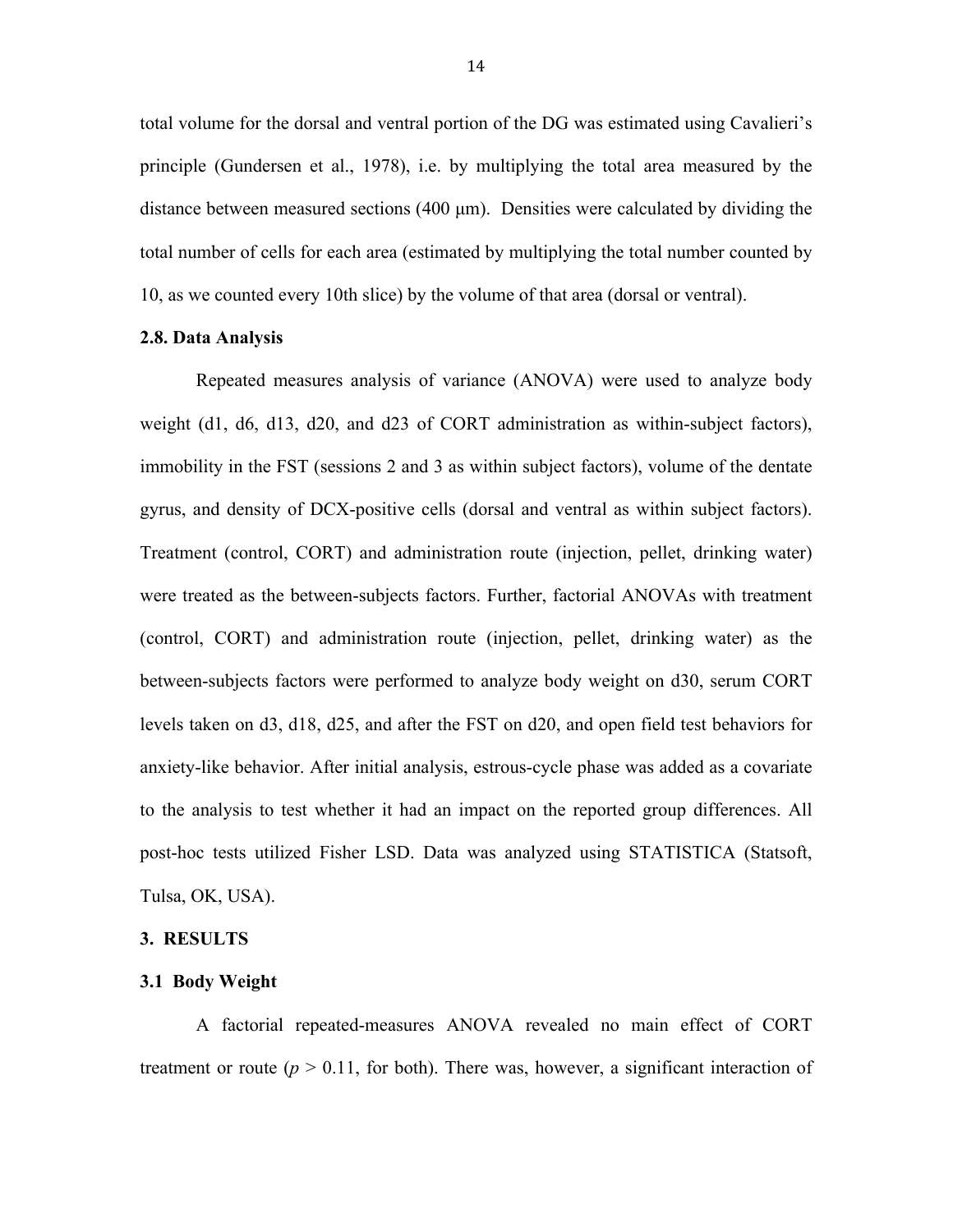total volume for the dorsal and ventral portion of the DG was estimated using Cavalieri's principle (Gundersen et al., 1978), i.e. by multiplying the total area measured by the distance between measured sections (400 µm). Densities were calculated by dividing the total number of cells for each area (estimated by multiplying the total number counted by 10, as we counted every 10th slice) by the volume of that area (dorsal or ventral).

#### **2.8. Data Analysis**

Repeated measures analysis of variance (ANOVA) were used to analyze body weight (d1, d6, d13, d20, and d23 of CORT administration as within-subject factors), immobility in the FST (sessions 2 and 3 as within subject factors), volume of the dentate gyrus, and density of DCX-positive cells (dorsal and ventral as within subject factors). Treatment (control, CORT) and administration route (injection, pellet, drinking water) were treated as the between-subjects factors. Further, factorial ANOVAs with treatment (control, CORT) and administration route (injection, pellet, drinking water) as the between-subjects factors were performed to analyze body weight on d30, serum CORT levels taken on d3, d18, d25, and after the FST on d20, and open field test behaviors for anxiety-like behavior. After initial analysis, estrous-cycle phase was added as a covariate to the analysis to test whether it had an impact on the reported group differences. All post-hoc tests utilized Fisher LSD. Data was analyzed using STATISTICA (Statsoft, Tulsa, OK, USA).

#### **3. RESULTS**

#### **3.1 Body Weight**

A factorial repeated-measures ANOVA revealed no main effect of CORT treatment or route  $(p > 0.11$ , for both). There was, however, a significant interaction of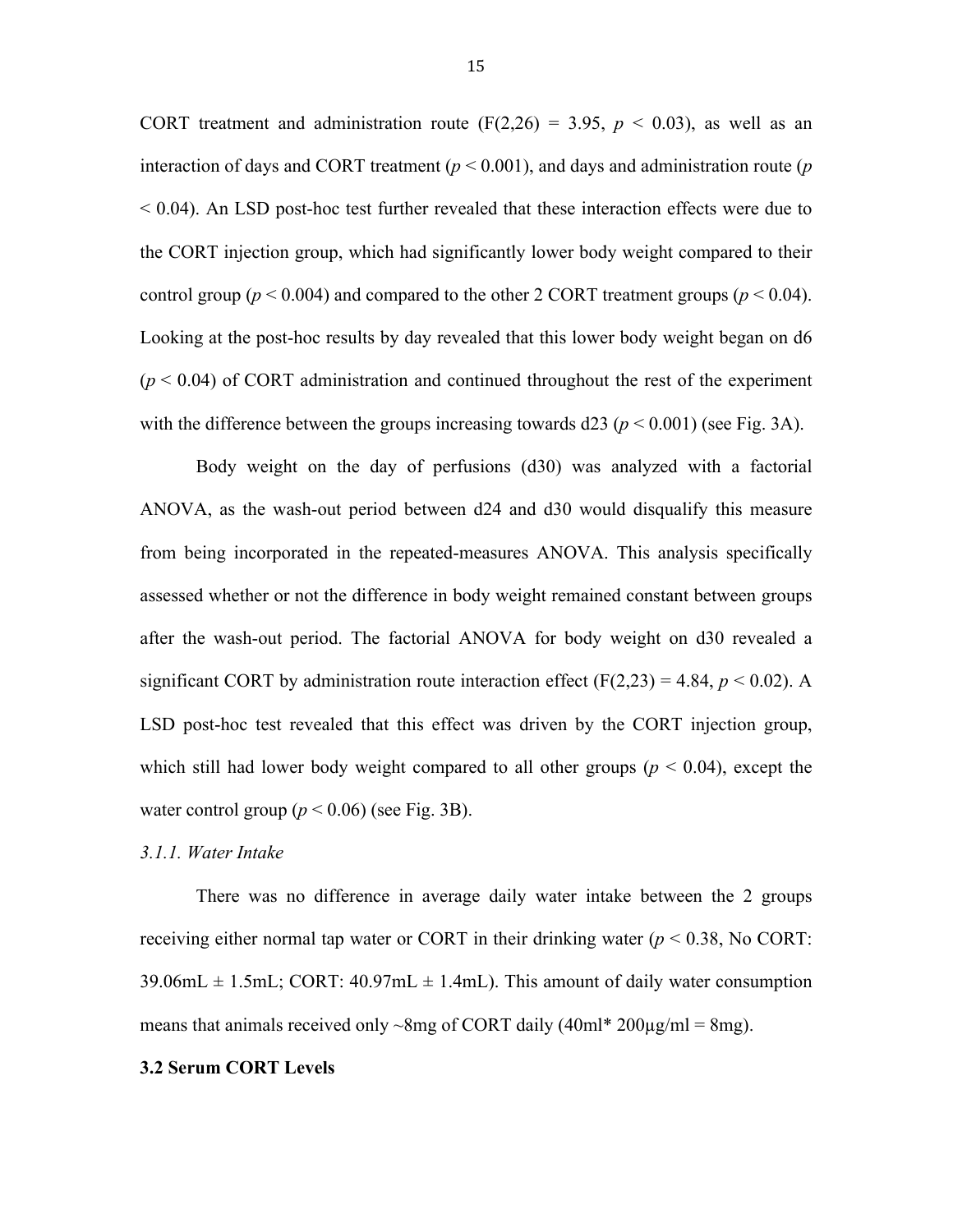CORT treatment and administration route  $(F(2,26) = 3.95, p < 0.03)$ , as well as an interaction of days and CORT treatment ( $p < 0.001$ ), and days and administration route ( $p$ )  $< 0.04$ ). An LSD post-hoc test further revealed that these interaction effects were due to the CORT injection group, which had significantly lower body weight compared to their control group ( $p < 0.004$ ) and compared to the other 2 CORT treatment groups ( $p < 0.04$ ). Looking at the post-hoc results by day revealed that this lower body weight began on d6  $(p < 0.04)$  of CORT administration and continued throughout the rest of the experiment with the difference between the groups increasing towards  $d23 (p \le 0.001)$  (see Fig. 3A).

Body weight on the day of perfusions (d30) was analyzed with a factorial ANOVA, as the wash-out period between d24 and d30 would disqualify this measure from being incorporated in the repeated-measures ANOVA. This analysis specifically assessed whether or not the difference in body weight remained constant between groups after the wash-out period. The factorial ANOVA for body weight on d30 revealed a significant CORT by administration route interaction effect  $(F(2,23) = 4.84, p < 0.02)$ . A LSD post-hoc test revealed that this effect was driven by the CORT injection group, which still had lower body weight compared to all other groups ( $p < 0.04$ ), except the water control group  $(p < 0.06)$  (see Fig. 3B).

#### *3.1.1. Water Intake*

There was no difference in average daily water intake between the 2 groups receiving either normal tap water or CORT in their drinking water  $(p < 0.38$ , No CORT:  $39.06 \text{mL} \pm 1.5 \text{mL}$ ; CORT:  $40.97 \text{mL} \pm 1.4 \text{mL}$ ). This amount of daily water consumption means that animals received only  $\sim$ 8mg of CORT daily (40ml\* 200 $\mu$ g/ml = 8mg).

#### **3.2 Serum CORT Levels**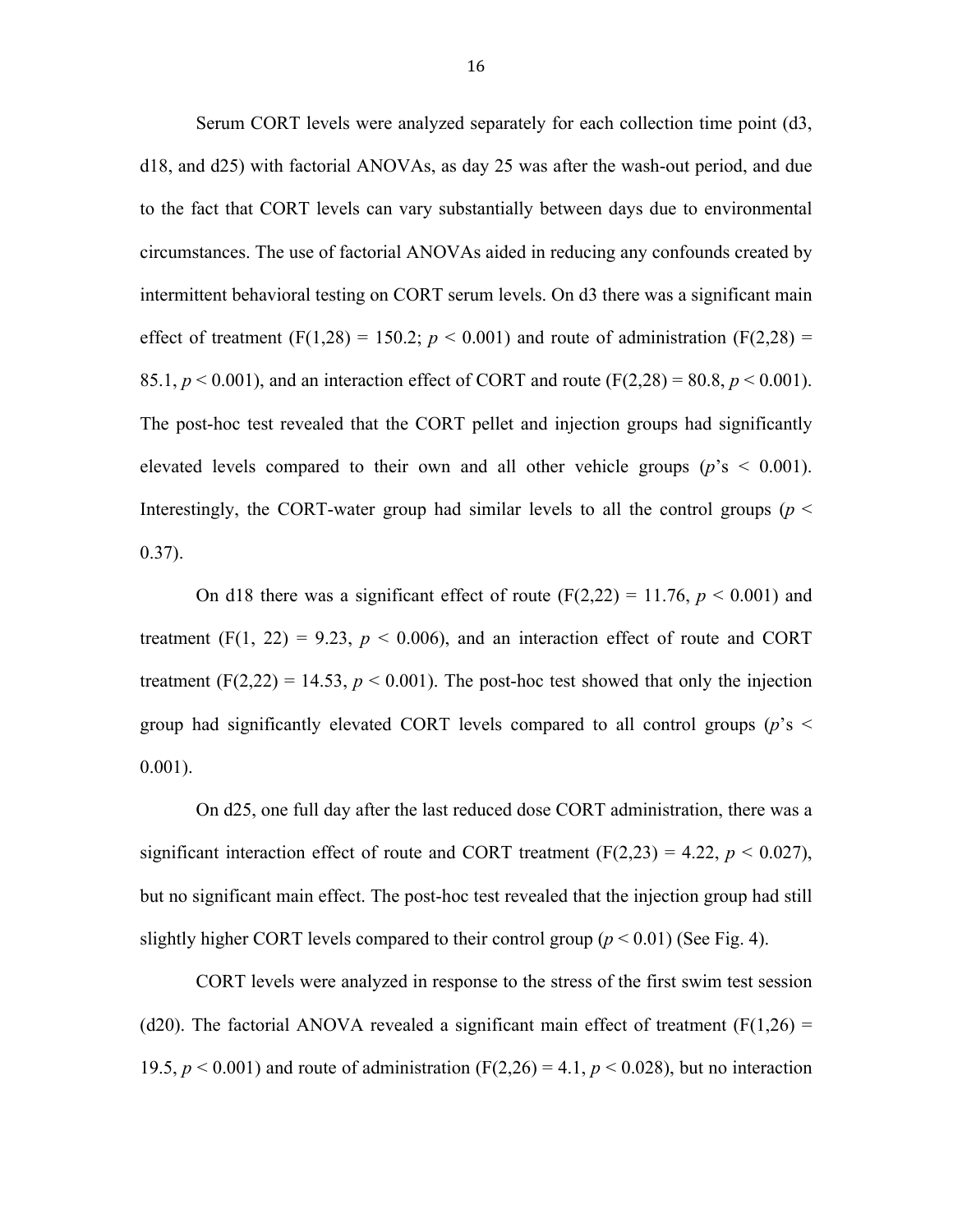Serum CORT levels were analyzed separately for each collection time point (d3, d18, and d25) with factorial ANOVAs, as day 25 was after the wash-out period, and due to the fact that CORT levels can vary substantially between days due to environmental circumstances. The use of factorial ANOVAs aided in reducing any confounds created by intermittent behavioral testing on CORT serum levels. On d3 there was a significant main effect of treatment (F(1,28) = 150.2;  $p < 0.001$ ) and route of administration (F(2,28) = 85.1,  $p < 0.001$ ), and an interaction effect of CORT and route (F(2,28) = 80.8,  $p < 0.001$ ). The post-hoc test revealed that the CORT pellet and injection groups had significantly elevated levels compared to their own and all other vehicle groups ( $p$ 's < 0.001). Interestingly, the CORT-water group had similar levels to all the control groups (*p* <  $0.37$ ).

On d18 there was a significant effect of route  $(F(2,22) = 11.76, p \le 0.001)$  and treatment  $(F(1, 22) = 9.23, p < 0.006)$ , and an interaction effect of route and CORT treatment  $(F(2,22) = 14.53, p < 0.001)$ . The post-hoc test showed that only the injection group had significantly elevated CORT levels compared to all control groups (*p*'s < 0.001).

On d25, one full day after the last reduced dose CORT administration, there was a significant interaction effect of route and CORT treatment  $(F(2,23) = 4.22, p \le 0.027)$ , but no significant main effect. The post-hoc test revealed that the injection group had still slightly higher CORT levels compared to their control group  $(p < 0.01)$  (See Fig. 4).

CORT levels were analyzed in response to the stress of the first swim test session (d20). The factorial ANOVA revealed a significant main effect of treatment  $(F(1,26) =$ 19.5,  $p < 0.001$ ) and route of administration (F(2,26) = 4.1,  $p < 0.028$ ), but no interaction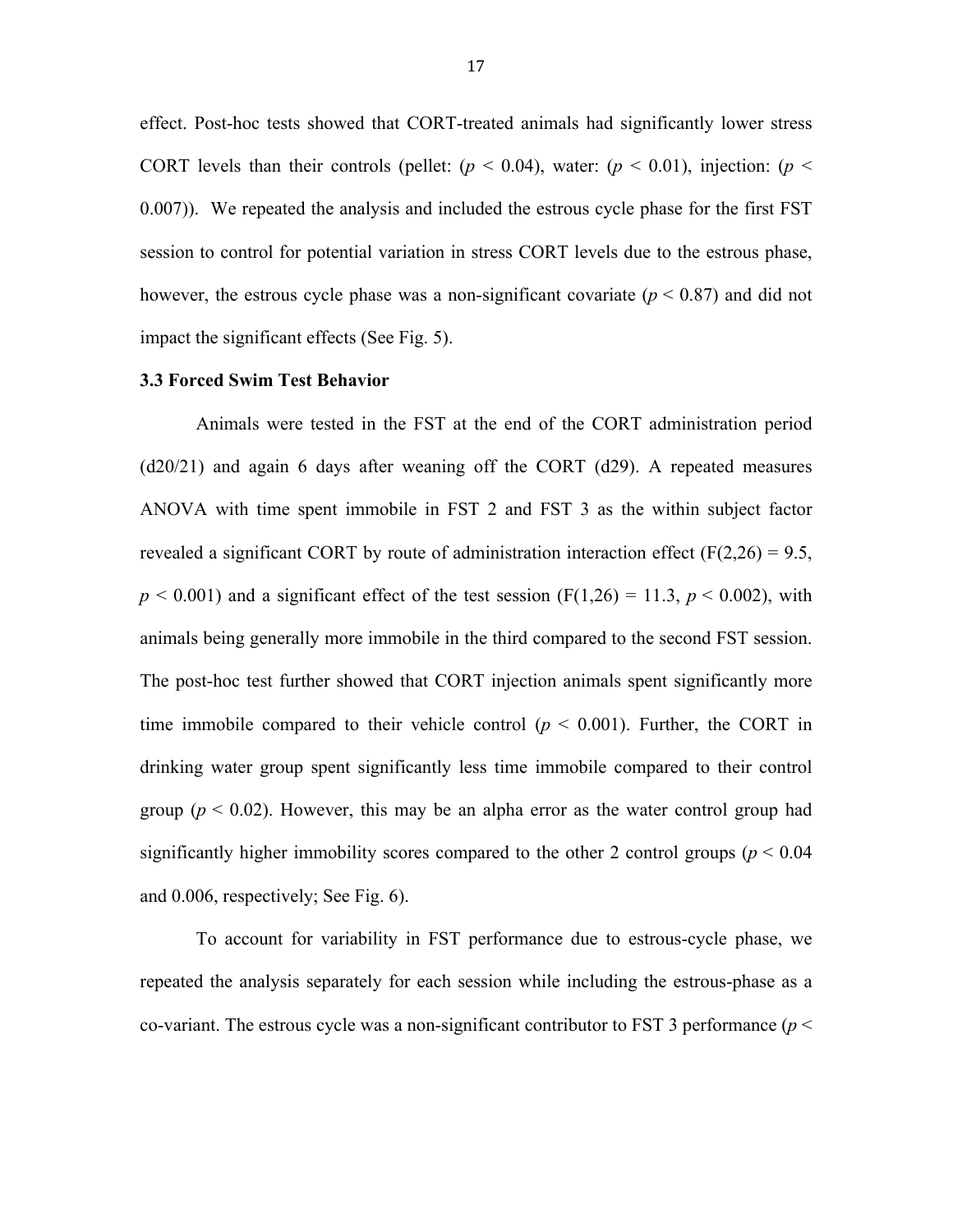effect. Post-hoc tests showed that CORT-treated animals had significantly lower stress CORT levels than their controls (pellet:  $(p < 0.04)$ , water:  $(p < 0.01)$ , injection:  $(p <$ 0.007)). We repeated the analysis and included the estrous cycle phase for the first FST session to control for potential variation in stress CORT levels due to the estrous phase, however, the estrous cycle phase was a non-significant covariate ( $p < 0.87$ ) and did not impact the significant effects (See Fig. 5).

### **3.3 Forced Swim Test Behavior**

Animals were tested in the FST at the end of the CORT administration period (d20/21) and again 6 days after weaning off the CORT (d29). A repeated measures ANOVA with time spent immobile in FST 2 and FST 3 as the within subject factor revealed a significant CORT by route of administration interaction effect ( $F(2,26) = 9.5$ ,  $p < 0.001$ ) and a significant effect of the test session (F(1,26) = 11.3,  $p < 0.002$ ), with animals being generally more immobile in the third compared to the second FST session. The post-hoc test further showed that CORT injection animals spent significantly more time immobile compared to their vehicle control  $(p < 0.001)$ . Further, the CORT in drinking water group spent significantly less time immobile compared to their control group  $(p < 0.02)$ . However, this may be an alpha error as the water control group had significantly higher immobility scores compared to the other 2 control groups ( $p < 0.04$ ) and 0.006, respectively; See Fig. 6).

To account for variability in FST performance due to estrous-cycle phase, we repeated the analysis separately for each session while including the estrous-phase as a co-variant. The estrous cycle was a non-significant contributor to FST 3 performance (*p* <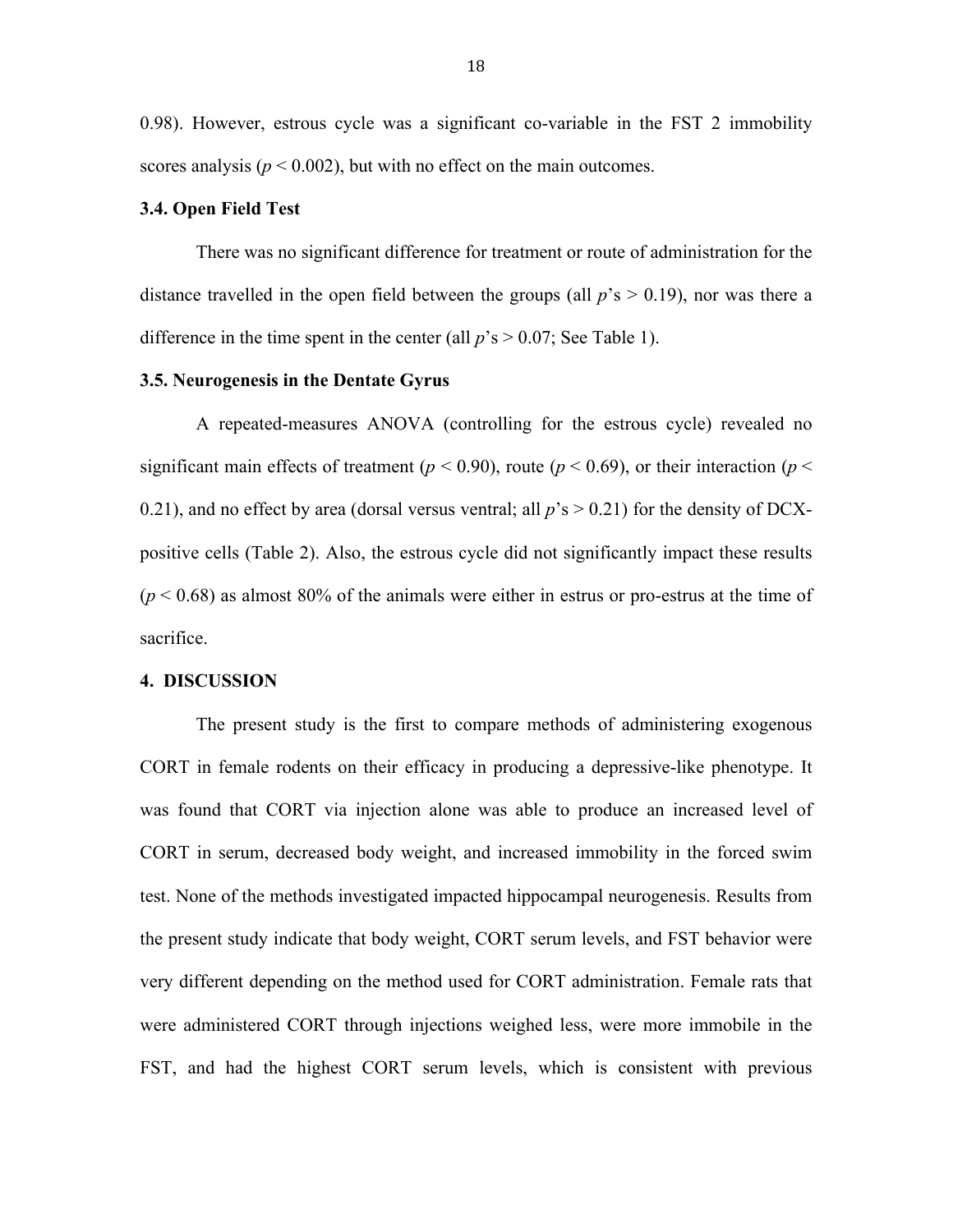0.98). However, estrous cycle was a significant co-variable in the FST 2 immobility scores analysis ( $p < 0.002$ ), but with no effect on the main outcomes.

#### **3.4. Open Field Test**

There was no significant difference for treatment or route of administration for the distance travelled in the open field between the groups (all  $p$ 's  $> 0.19$ ), nor was there a difference in the time spent in the center (all  $p's > 0.07$ ; See Table 1).

#### **3.5. Neurogenesis in the Dentate Gyrus**

A repeated-measures ANOVA (controlling for the estrous cycle) revealed no significant main effects of treatment ( $p < 0.90$ ), route ( $p < 0.69$ ), or their interaction ( $p <$ 0.21), and no effect by area (dorsal versus ventral; all  $p$ 's  $> 0.21$ ) for the density of DCXpositive cells (Table 2). Also, the estrous cycle did not significantly impact these results  $(p < 0.68)$  as almost 80% of the animals were either in estrus or pro-estrus at the time of sacrifice.

#### **4. DISCUSSION**

The present study is the first to compare methods of administering exogenous CORT in female rodents on their efficacy in producing a depressive-like phenotype. It was found that CORT via injection alone was able to produce an increased level of CORT in serum, decreased body weight, and increased immobility in the forced swim test. None of the methods investigated impacted hippocampal neurogenesis. Results from the present study indicate that body weight, CORT serum levels, and FST behavior were very different depending on the method used for CORT administration. Female rats that were administered CORT through injections weighed less, were more immobile in the FST, and had the highest CORT serum levels, which is consistent with previous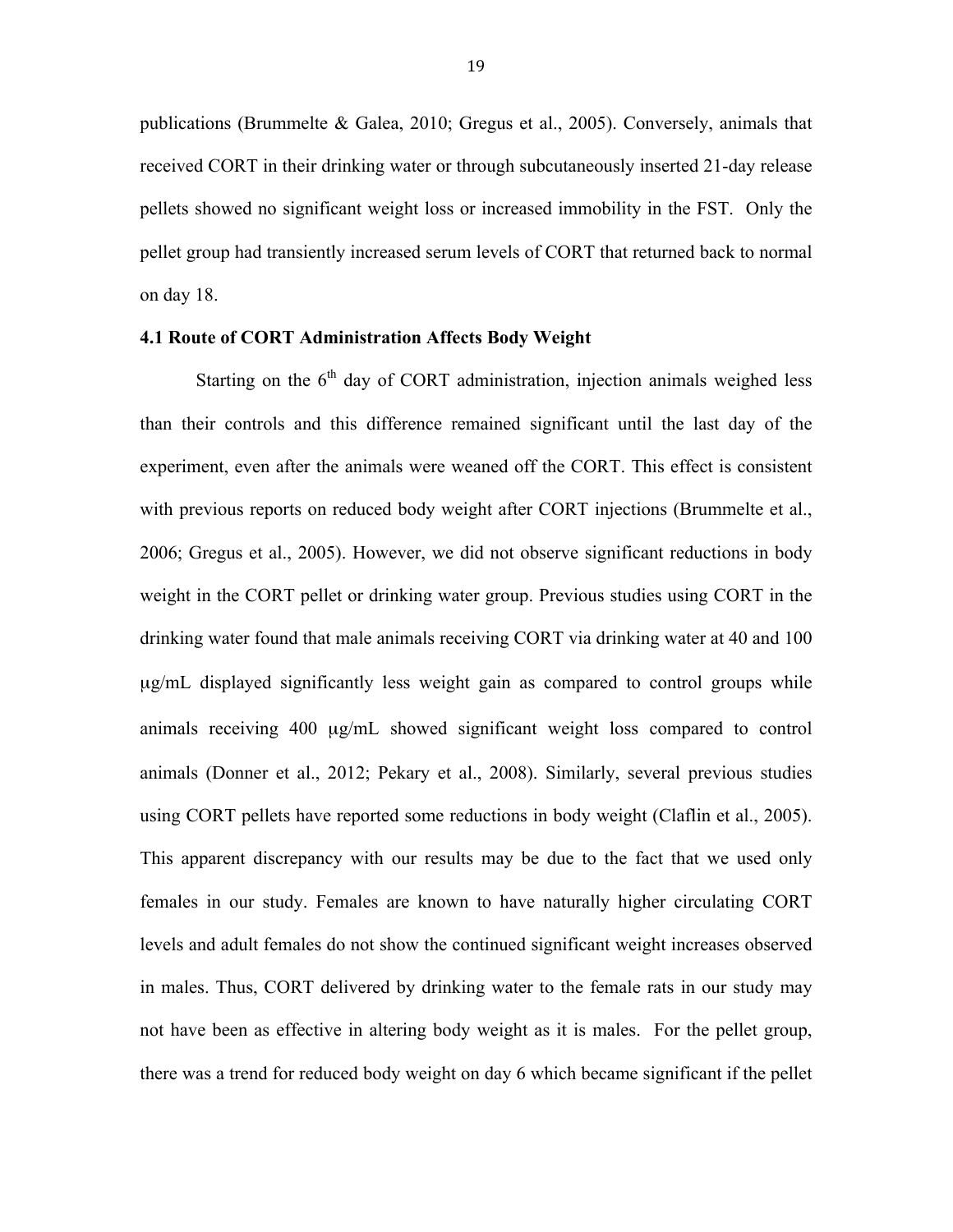publications (Brummelte & Galea, 2010; Gregus et al., 2005). Conversely, animals that received CORT in their drinking water or through subcutaneously inserted 21-day release pellets showed no significant weight loss or increased immobility in the FST. Only the pellet group had transiently increased serum levels of CORT that returned back to normal on day 18.

#### **4.1 Route of CORT Administration Affects Body Weight**

Starting on the  $6<sup>th</sup>$  day of CORT administration, injection animals weighed less than their controls and this difference remained significant until the last day of the experiment, even after the animals were weaned off the CORT. This effect is consistent with previous reports on reduced body weight after CORT injections (Brummelte et al., 2006; Gregus et al., 2005). However, we did not observe significant reductions in body weight in the CORT pellet or drinking water group. Previous studies using CORT in the drinking water found that male animals receiving CORT via drinking water at 40 and 100 µg/mL displayed significantly less weight gain as compared to control groups while animals receiving 400 µg/mL showed significant weight loss compared to control animals (Donner et al., 2012; Pekary et al., 2008). Similarly, several previous studies using CORT pellets have reported some reductions in body weight (Claflin et al., 2005). This apparent discrepancy with our results may be due to the fact that we used only females in our study. Females are known to have naturally higher circulating CORT levels and adult females do not show the continued significant weight increases observed in males. Thus, CORT delivered by drinking water to the female rats in our study may not have been as effective in altering body weight as it is males. For the pellet group, there was a trend for reduced body weight on day 6 which became significant if the pellet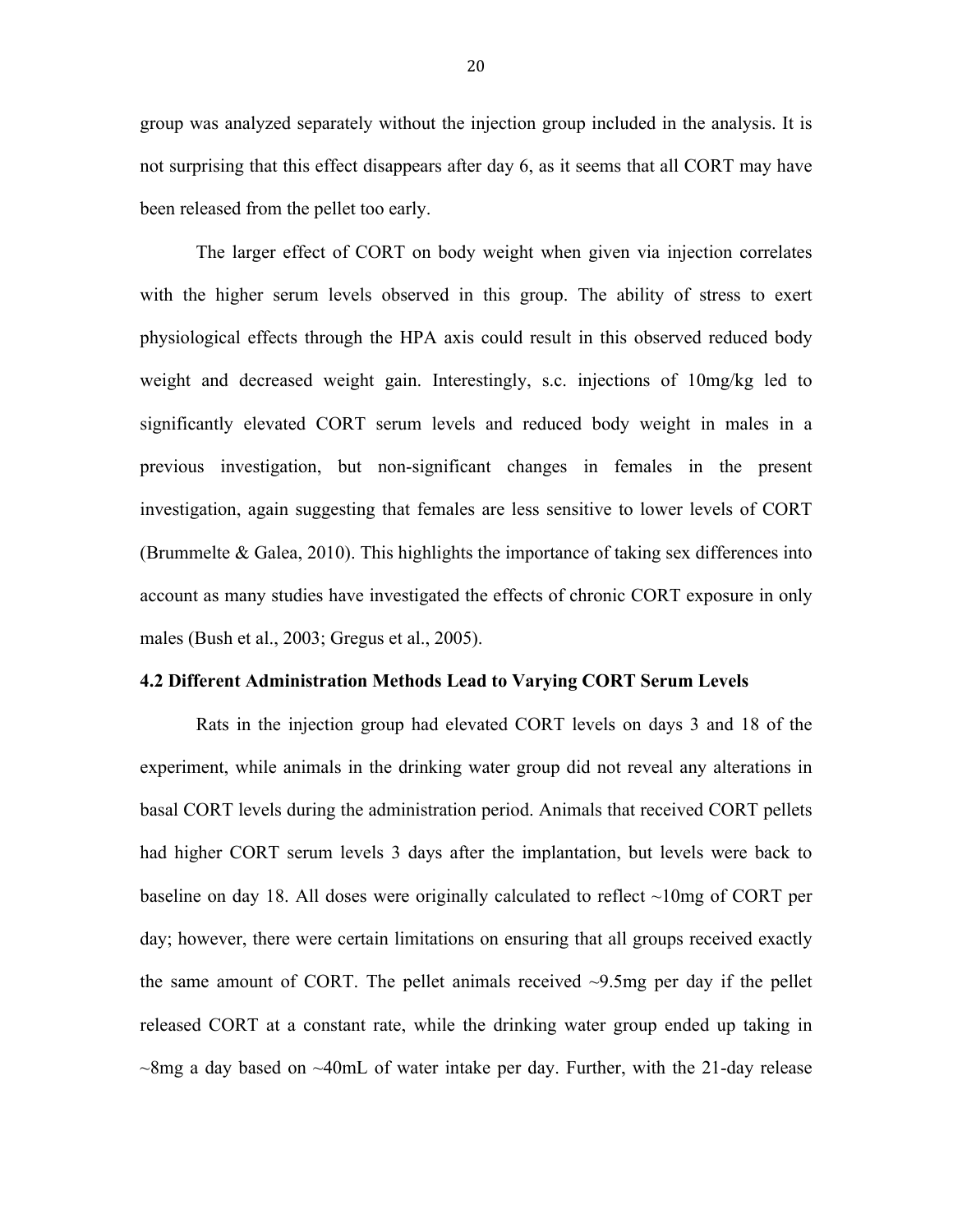group was analyzed separately without the injection group included in the analysis. It is not surprising that this effect disappears after day 6, as it seems that all CORT may have been released from the pellet too early.

The larger effect of CORT on body weight when given via injection correlates with the higher serum levels observed in this group. The ability of stress to exert physiological effects through the HPA axis could result in this observed reduced body weight and decreased weight gain. Interestingly, s.c. injections of 10mg/kg led to significantly elevated CORT serum levels and reduced body weight in males in a previous investigation, but non-significant changes in females in the present investigation, again suggesting that females are less sensitive to lower levels of CORT (Brummelte & Galea, 2010). This highlights the importance of taking sex differences into account as many studies have investigated the effects of chronic CORT exposure in only males (Bush et al., 2003; Gregus et al., 2005).

#### **4.2 Different Administration Methods Lead to Varying CORT Serum Levels**

Rats in the injection group had elevated CORT levels on days 3 and 18 of the experiment, while animals in the drinking water group did not reveal any alterations in basal CORT levels during the administration period. Animals that received CORT pellets had higher CORT serum levels 3 days after the implantation, but levels were back to baseline on day 18. All doses were originally calculated to reflect  $\sim$ 10mg of CORT per day; however, there were certain limitations on ensuring that all groups received exactly the same amount of CORT. The pellet animals received  $\sim$ 9.5mg per day if the pellet released CORT at a constant rate, while the drinking water group ended up taking in  $\sim$ 8mg a day based on  $\sim$ 40mL of water intake per day. Further, with the 21-day release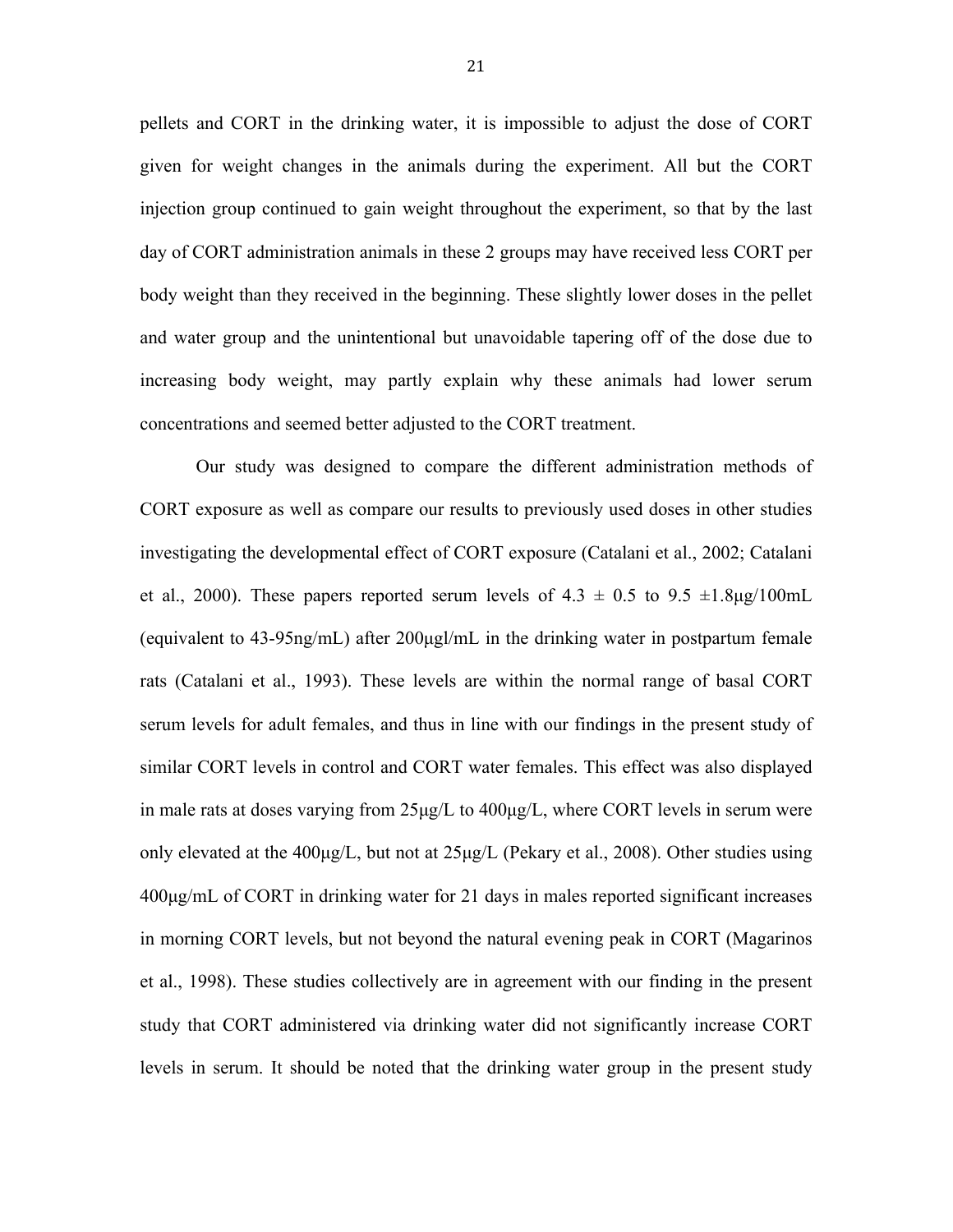pellets and CORT in the drinking water, it is impossible to adjust the dose of CORT given for weight changes in the animals during the experiment. All but the CORT injection group continued to gain weight throughout the experiment, so that by the last day of CORT administration animals in these 2 groups may have received less CORT per body weight than they received in the beginning. These slightly lower doses in the pellet and water group and the unintentional but unavoidable tapering off of the dose due to increasing body weight, may partly explain why these animals had lower serum concentrations and seemed better adjusted to the CORT treatment.

Our study was designed to compare the different administration methods of CORT exposure as well as compare our results to previously used doses in other studies investigating the developmental effect of CORT exposure (Catalani et al., 2002; Catalani et al., 2000). These papers reported serum levels of  $4.3 \pm 0.5$  to  $9.5 \pm 1.8 \mu$ g/100mL (equivalent to 43-95ng/mL) after 200µgl/mL in the drinking water in postpartum female rats (Catalani et al., 1993). These levels are within the normal range of basal CORT serum levels for adult females, and thus in line with our findings in the present study of similar CORT levels in control and CORT water females. This effect was also displayed in male rats at doses varying from  $25\mu g/L$  to  $400\mu g/L$ , where CORT levels in serum were only elevated at the 400µg/L, but not at 25µg/L (Pekary et al., 2008). Other studies using 400µg/mL of CORT in drinking water for 21 days in males reported significant increases in morning CORT levels, but not beyond the natural evening peak in CORT (Magarinos et al., 1998). These studies collectively are in agreement with our finding in the present study that CORT administered via drinking water did not significantly increase CORT levels in serum. It should be noted that the drinking water group in the present study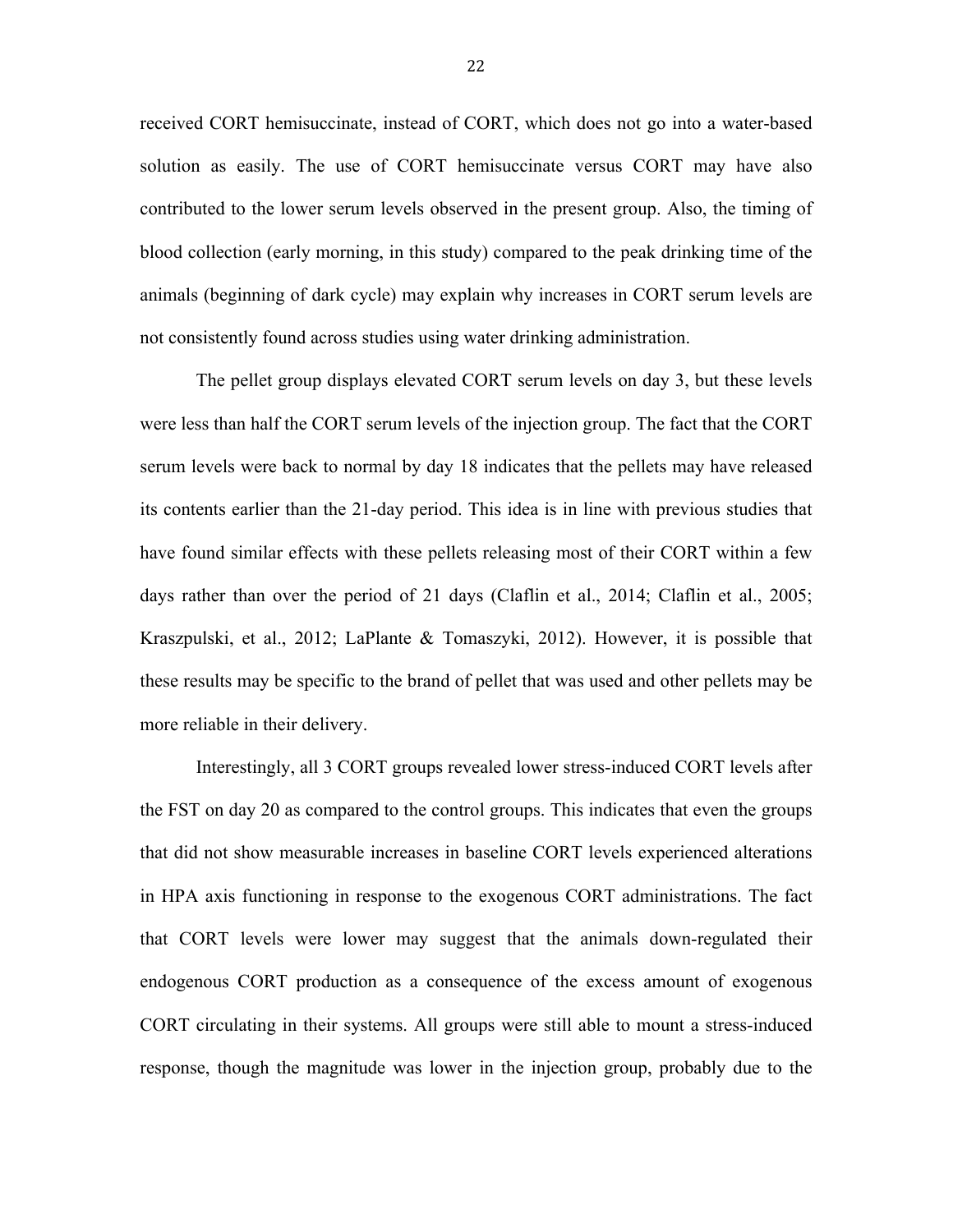received CORT hemisuccinate, instead of CORT, which does not go into a water-based solution as easily. The use of CORT hemisuccinate versus CORT may have also contributed to the lower serum levels observed in the present group. Also, the timing of blood collection (early morning, in this study) compared to the peak drinking time of the animals (beginning of dark cycle) may explain why increases in CORT serum levels are not consistently found across studies using water drinking administration.

The pellet group displays elevated CORT serum levels on day 3, but these levels were less than half the CORT serum levels of the injection group. The fact that the CORT serum levels were back to normal by day 18 indicates that the pellets may have released its contents earlier than the 21-day period. This idea is in line with previous studies that have found similar effects with these pellets releasing most of their CORT within a few days rather than over the period of 21 days (Claflin et al., 2014; Claflin et al., 2005; Kraszpulski, et al., 2012; LaPlante & Tomaszyki, 2012). However, it is possible that these results may be specific to the brand of pellet that was used and other pellets may be more reliable in their delivery.

Interestingly, all 3 CORT groups revealed lower stress-induced CORT levels after the FST on day 20 as compared to the control groups. This indicates that even the groups that did not show measurable increases in baseline CORT levels experienced alterations in HPA axis functioning in response to the exogenous CORT administrations. The fact that CORT levels were lower may suggest that the animals down-regulated their endogenous CORT production as a consequence of the excess amount of exogenous CORT circulating in their systems. All groups were still able to mount a stress-induced response, though the magnitude was lower in the injection group, probably due to the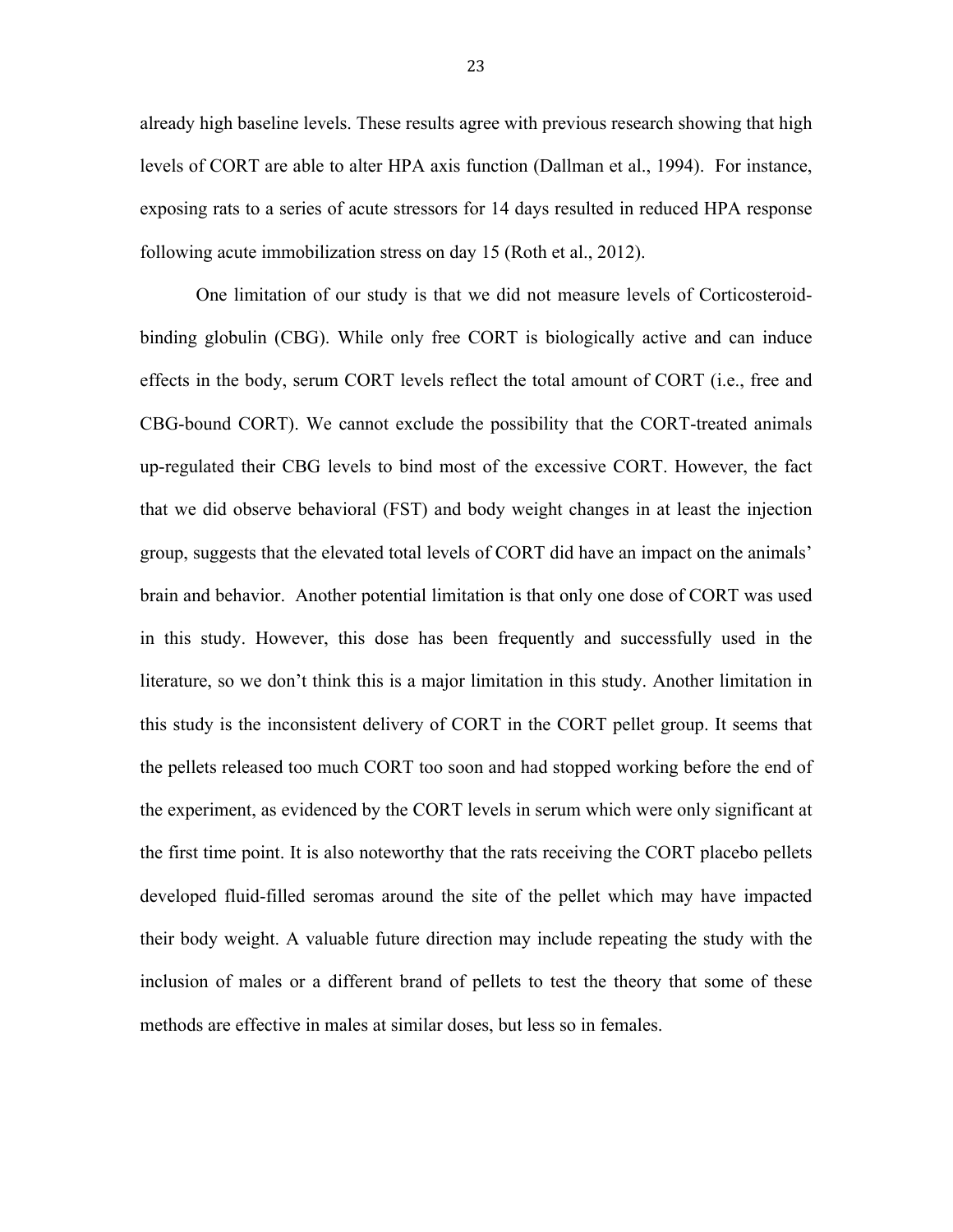already high baseline levels. These results agree with previous research showing that high levels of CORT are able to alter HPA axis function (Dallman et al., 1994). For instance, exposing rats to a series of acute stressors for 14 days resulted in reduced HPA response following acute immobilization stress on day 15 (Roth et al., 2012).

One limitation of our study is that we did not measure levels of Corticosteroidbinding globulin (CBG). While only free CORT is biologically active and can induce effects in the body, serum CORT levels reflect the total amount of CORT (i.e., free and CBG-bound CORT). We cannot exclude the possibility that the CORT-treated animals up-regulated their CBG levels to bind most of the excessive CORT. However, the fact that we did observe behavioral (FST) and body weight changes in at least the injection group, suggests that the elevated total levels of CORT did have an impact on the animals' brain and behavior. Another potential limitation is that only one dose of CORT was used in this study. However, this dose has been frequently and successfully used in the literature, so we don't think this is a major limitation in this study. Another limitation in this study is the inconsistent delivery of CORT in the CORT pellet group. It seems that the pellets released too much CORT too soon and had stopped working before the end of the experiment, as evidenced by the CORT levels in serum which were only significant at the first time point. It is also noteworthy that the rats receiving the CORT placebo pellets developed fluid-filled seromas around the site of the pellet which may have impacted their body weight. A valuable future direction may include repeating the study with the inclusion of males or a different brand of pellets to test the theory that some of these methods are effective in males at similar doses, but less so in females.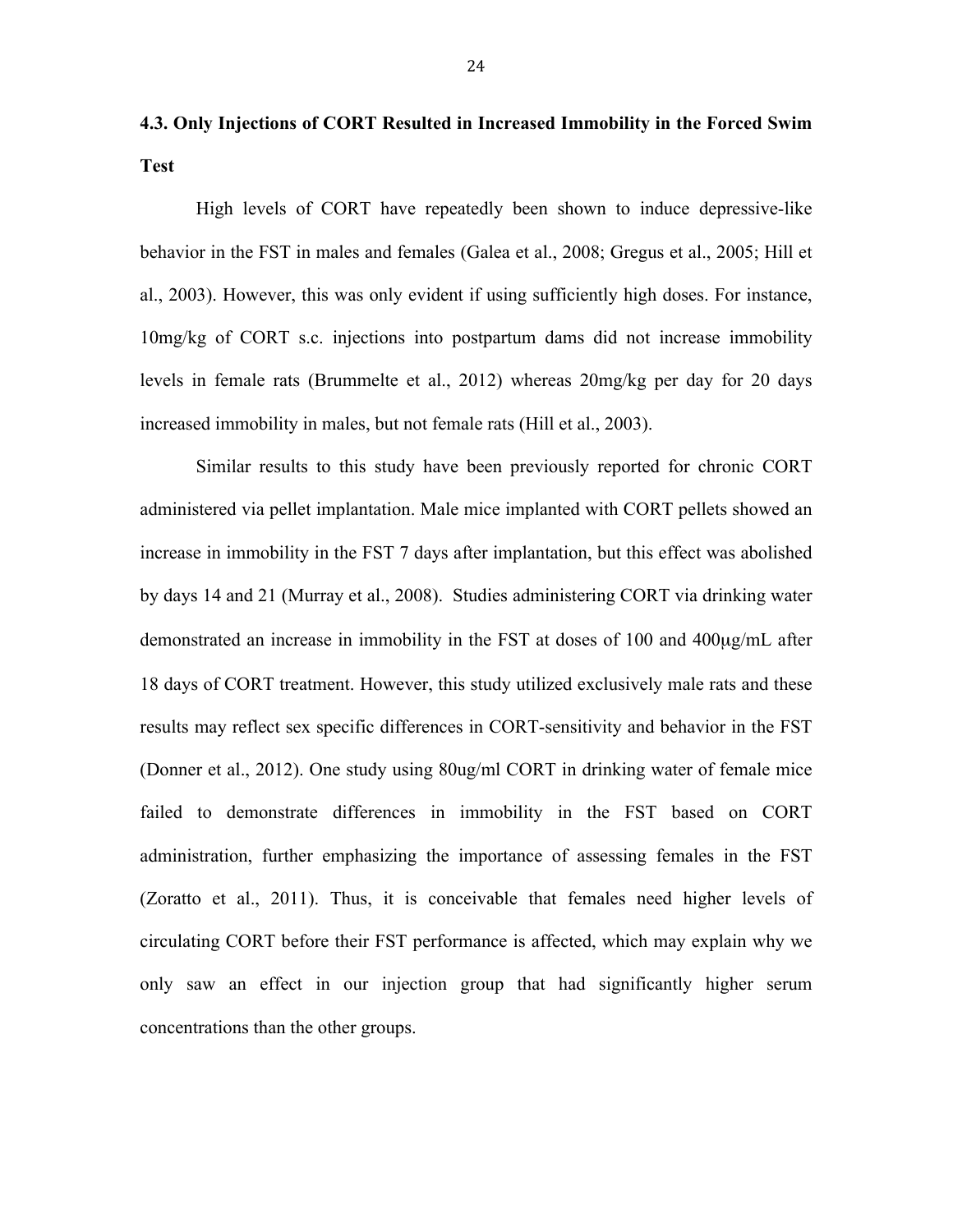**4.3. Only Injections of CORT Resulted in Increased Immobility in the Forced Swim Test**

High levels of CORT have repeatedly been shown to induce depressive-like behavior in the FST in males and females (Galea et al., 2008; Gregus et al., 2005; Hill et al., 2003). However, this was only evident if using sufficiently high doses. For instance, 10mg/kg of CORT s.c. injections into postpartum dams did not increase immobility levels in female rats (Brummelte et al., 2012) whereas 20mg/kg per day for 20 days increased immobility in males, but not female rats (Hill et al., 2003).

Similar results to this study have been previously reported for chronic CORT administered via pellet implantation. Male mice implanted with CORT pellets showed an increase in immobility in the FST 7 days after implantation, but this effect was abolished by days 14 and 21 (Murray et al., 2008). Studies administering CORT via drinking water demonstrated an increase in immobility in the FST at doses of 100 and 400µg/mL after 18 days of CORT treatment. However, this study utilized exclusively male rats and these results may reflect sex specific differences in CORT-sensitivity and behavior in the FST (Donner et al., 2012). One study using 80ug/ml CORT in drinking water of female mice failed to demonstrate differences in immobility in the FST based on CORT administration, further emphasizing the importance of assessing females in the FST (Zoratto et al., 2011). Thus, it is conceivable that females need higher levels of circulating CORT before their FST performance is affected, which may explain why we only saw an effect in our injection group that had significantly higher serum concentrations than the other groups.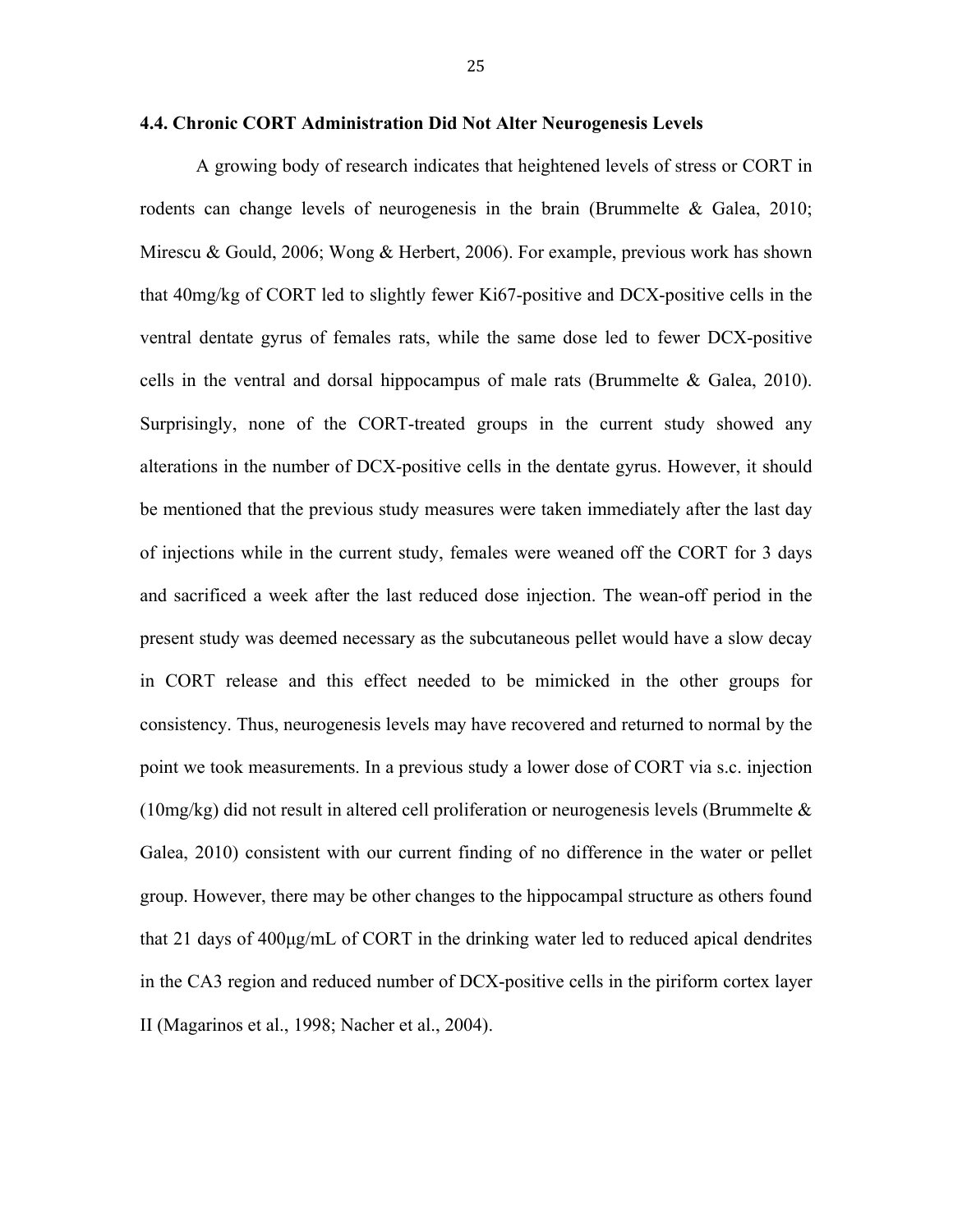A growing body of research indicates that heightened levels of stress or CORT in rodents can change levels of neurogenesis in the brain (Brummelte & Galea, 2010; Mirescu & Gould, 2006; Wong & Herbert, 2006). For example, previous work has shown that 40mg/kg of CORT led to slightly fewer Ki67-positive and DCX-positive cells in the ventral dentate gyrus of females rats, while the same dose led to fewer DCX-positive cells in the ventral and dorsal hippocampus of male rats (Brummelte & Galea, 2010). Surprisingly, none of the CORT-treated groups in the current study showed any alterations in the number of DCX-positive cells in the dentate gyrus. However, it should be mentioned that the previous study measures were taken immediately after the last day of injections while in the current study, females were weaned off the CORT for 3 days and sacrificed a week after the last reduced dose injection. The wean-off period in the present study was deemed necessary as the subcutaneous pellet would have a slow decay in CORT release and this effect needed to be mimicked in the other groups for consistency. Thus, neurogenesis levels may have recovered and returned to normal by the point we took measurements. In a previous study a lower dose of CORT via s.c. injection  $(10mg/kg)$  did not result in altered cell proliferation or neurogenesis levels (Brummelte  $\&$ Galea, 2010) consistent with our current finding of no difference in the water or pellet group. However, there may be other changes to the hippocampal structure as others found that 21 days of 400µg/mL of CORT in the drinking water led to reduced apical dendrites in the CA3 region and reduced number of DCX-positive cells in the piriform cortex layer II (Magarinos et al., 1998; Nacher et al., 2004).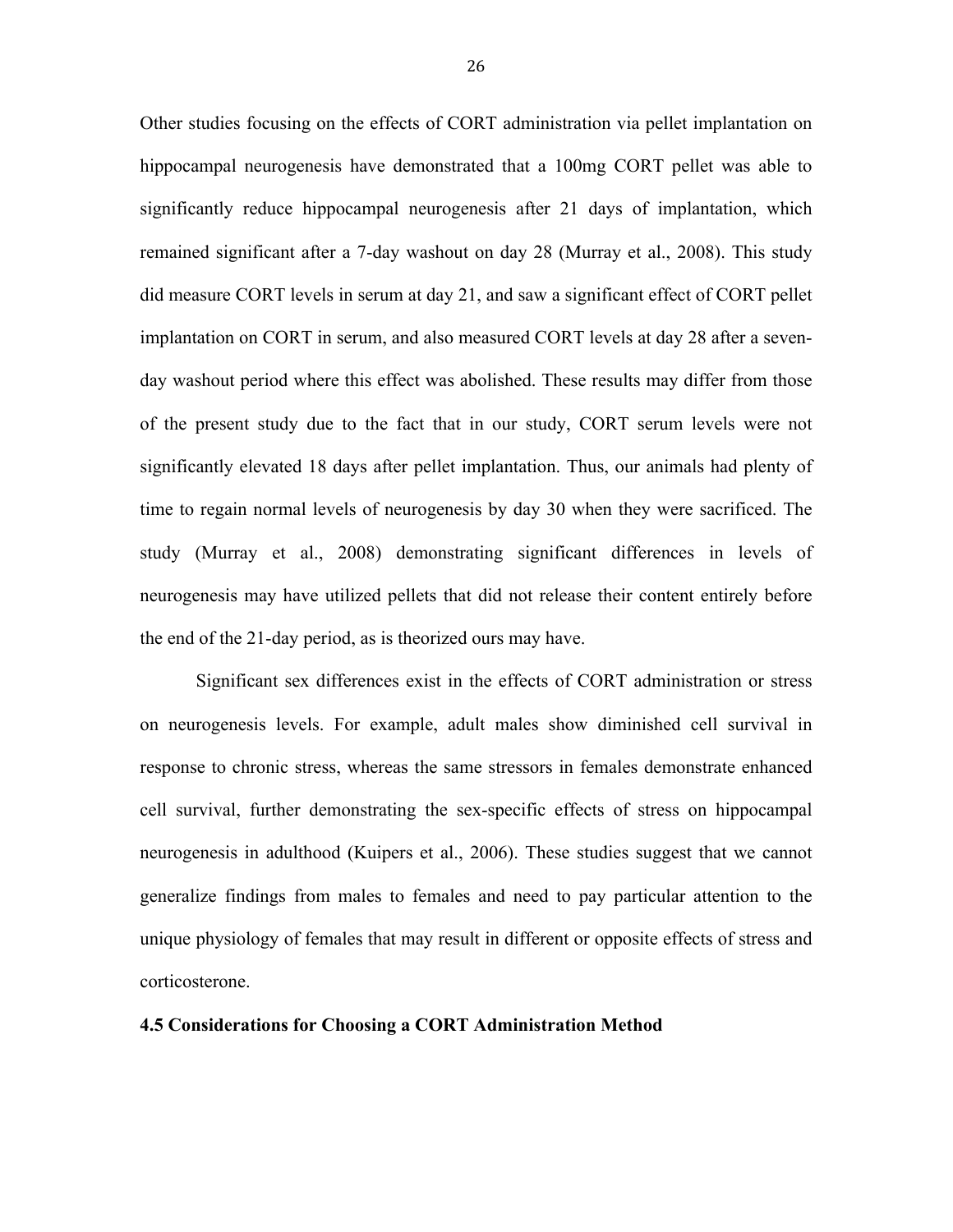Other studies focusing on the effects of CORT administration via pellet implantation on hippocampal neurogenesis have demonstrated that a 100mg CORT pellet was able to significantly reduce hippocampal neurogenesis after 21 days of implantation, which remained significant after a 7-day washout on day 28 (Murray et al., 2008). This study did measure CORT levels in serum at day 21, and saw a significant effect of CORT pellet implantation on CORT in serum, and also measured CORT levels at day 28 after a sevenday washout period where this effect was abolished. These results may differ from those of the present study due to the fact that in our study, CORT serum levels were not significantly elevated 18 days after pellet implantation. Thus, our animals had plenty of time to regain normal levels of neurogenesis by day 30 when they were sacrificed. The study (Murray et al., 2008) demonstrating significant differences in levels of neurogenesis may have utilized pellets that did not release their content entirely before the end of the 21-day period, as is theorized ours may have.

Significant sex differences exist in the effects of CORT administration or stress on neurogenesis levels. For example, adult males show diminished cell survival in response to chronic stress, whereas the same stressors in females demonstrate enhanced cell survival, further demonstrating the sex-specific effects of stress on hippocampal neurogenesis in adulthood (Kuipers et al., 2006). These studies suggest that we cannot generalize findings from males to females and need to pay particular attention to the unique physiology of females that may result in different or opposite effects of stress and corticosterone.

#### **4.5 Considerations for Choosing a CORT Administration Method**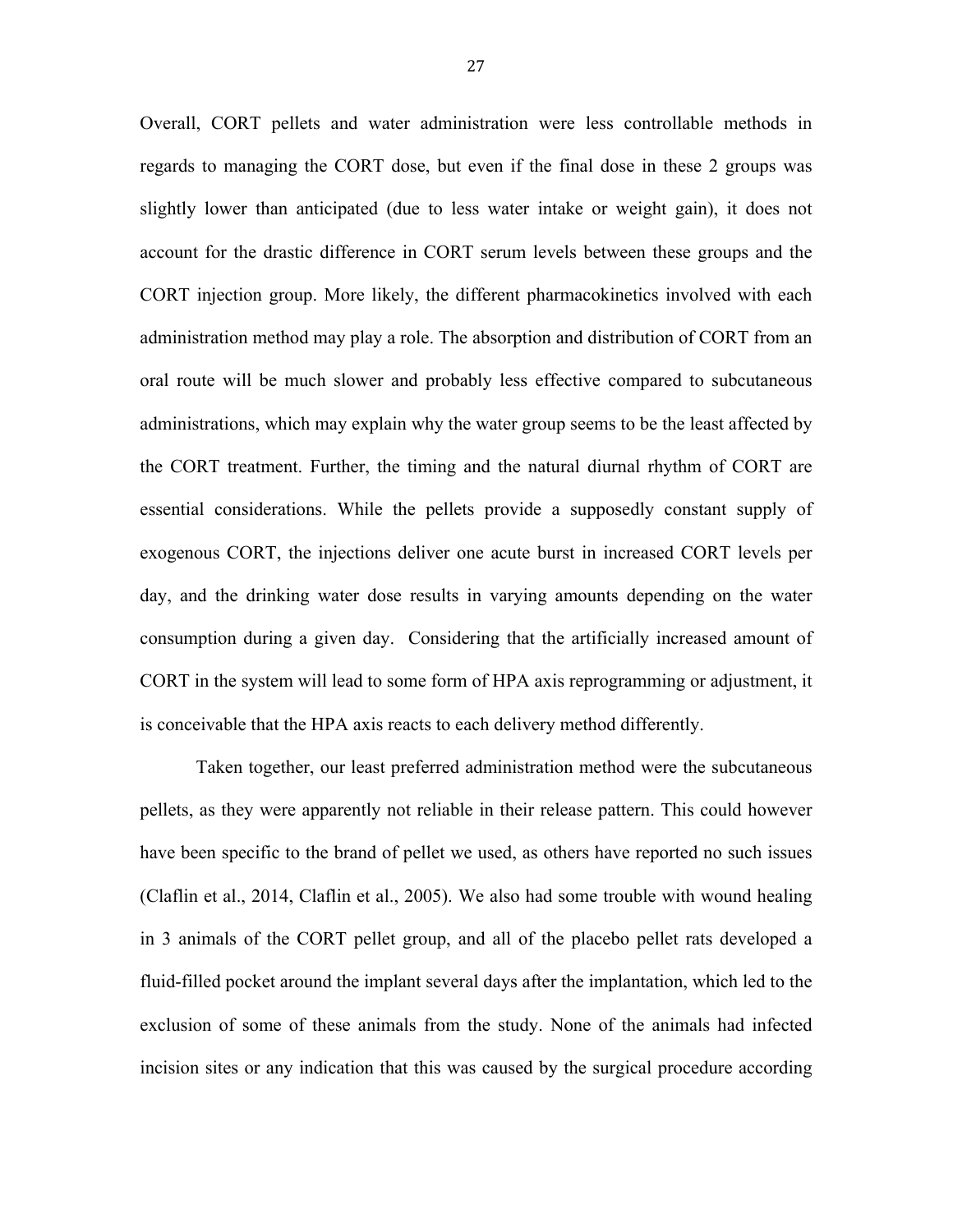Overall, CORT pellets and water administration were less controllable methods in regards to managing the CORT dose, but even if the final dose in these 2 groups was slightly lower than anticipated (due to less water intake or weight gain), it does not account for the drastic difference in CORT serum levels between these groups and the CORT injection group. More likely, the different pharmacokinetics involved with each administration method may play a role. The absorption and distribution of CORT from an oral route will be much slower and probably less effective compared to subcutaneous administrations, which may explain why the water group seems to be the least affected by the CORT treatment. Further, the timing and the natural diurnal rhythm of CORT are essential considerations. While the pellets provide a supposedly constant supply of exogenous CORT, the injections deliver one acute burst in increased CORT levels per day, and the drinking water dose results in varying amounts depending on the water consumption during a given day. Considering that the artificially increased amount of CORT in the system will lead to some form of HPA axis reprogramming or adjustment, it is conceivable that the HPA axis reacts to each delivery method differently.

Taken together, our least preferred administration method were the subcutaneous pellets, as they were apparently not reliable in their release pattern. This could however have been specific to the brand of pellet we used, as others have reported no such issues (Claflin et al., 2014, Claflin et al., 2005). We also had some trouble with wound healing in 3 animals of the CORT pellet group, and all of the placebo pellet rats developed a fluid-filled pocket around the implant several days after the implantation, which led to the exclusion of some of these animals from the study. None of the animals had infected incision sites or any indication that this was caused by the surgical procedure according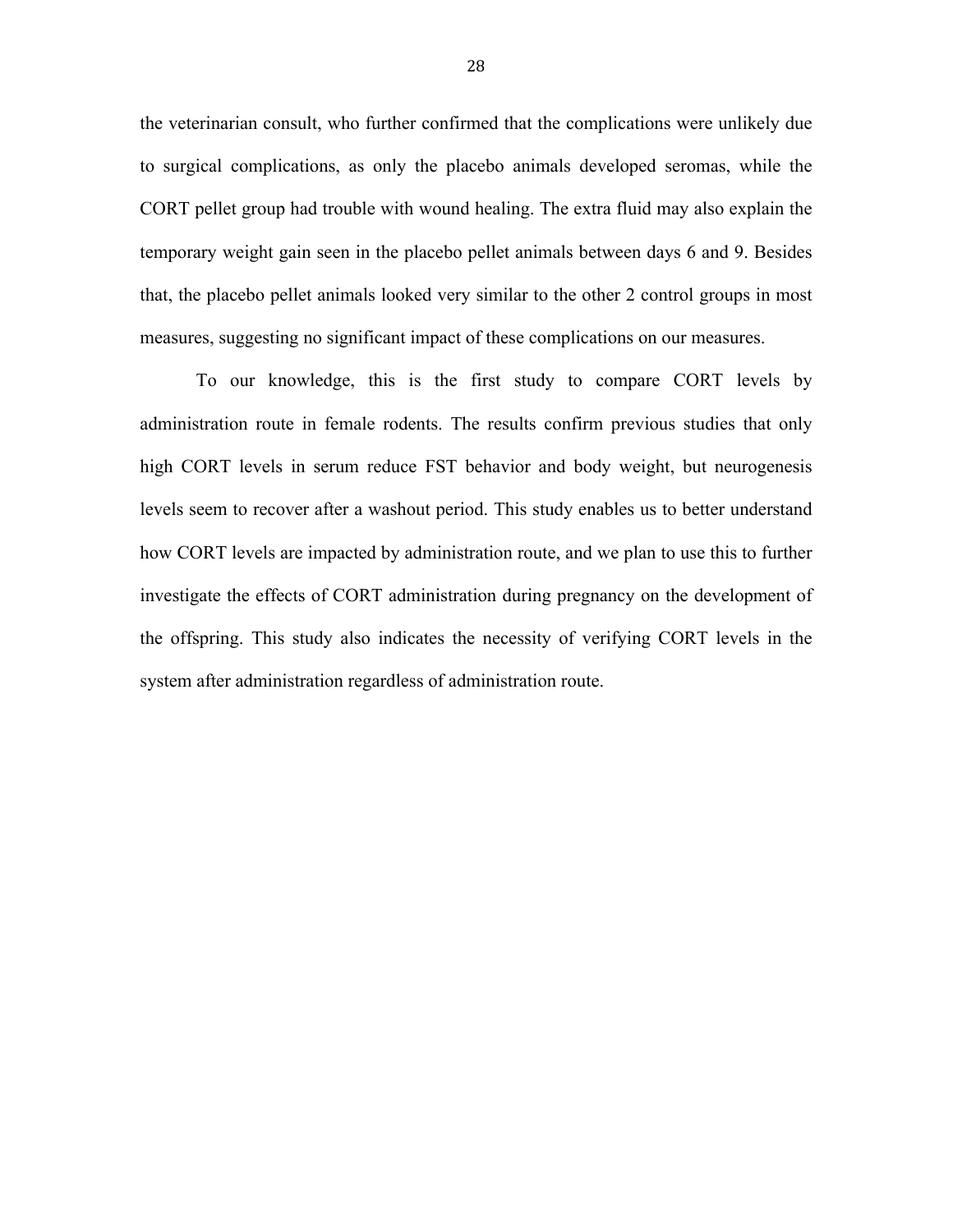the veterinarian consult, who further confirmed that the complications were unlikely due to surgical complications, as only the placebo animals developed seromas, while the CORT pellet group had trouble with wound healing. The extra fluid may also explain the temporary weight gain seen in the placebo pellet animals between days 6 and 9. Besides that, the placebo pellet animals looked very similar to the other 2 control groups in most measures, suggesting no significant impact of these complications on our measures.

To our knowledge, this is the first study to compare CORT levels by administration route in female rodents. The results confirm previous studies that only high CORT levels in serum reduce FST behavior and body weight, but neurogenesis levels seem to recover after a washout period. This study enables us to better understand how CORT levels are impacted by administration route, and we plan to use this to further investigate the effects of CORT administration during pregnancy on the development of the offspring. This study also indicates the necessity of verifying CORT levels in the system after administration regardless of administration route.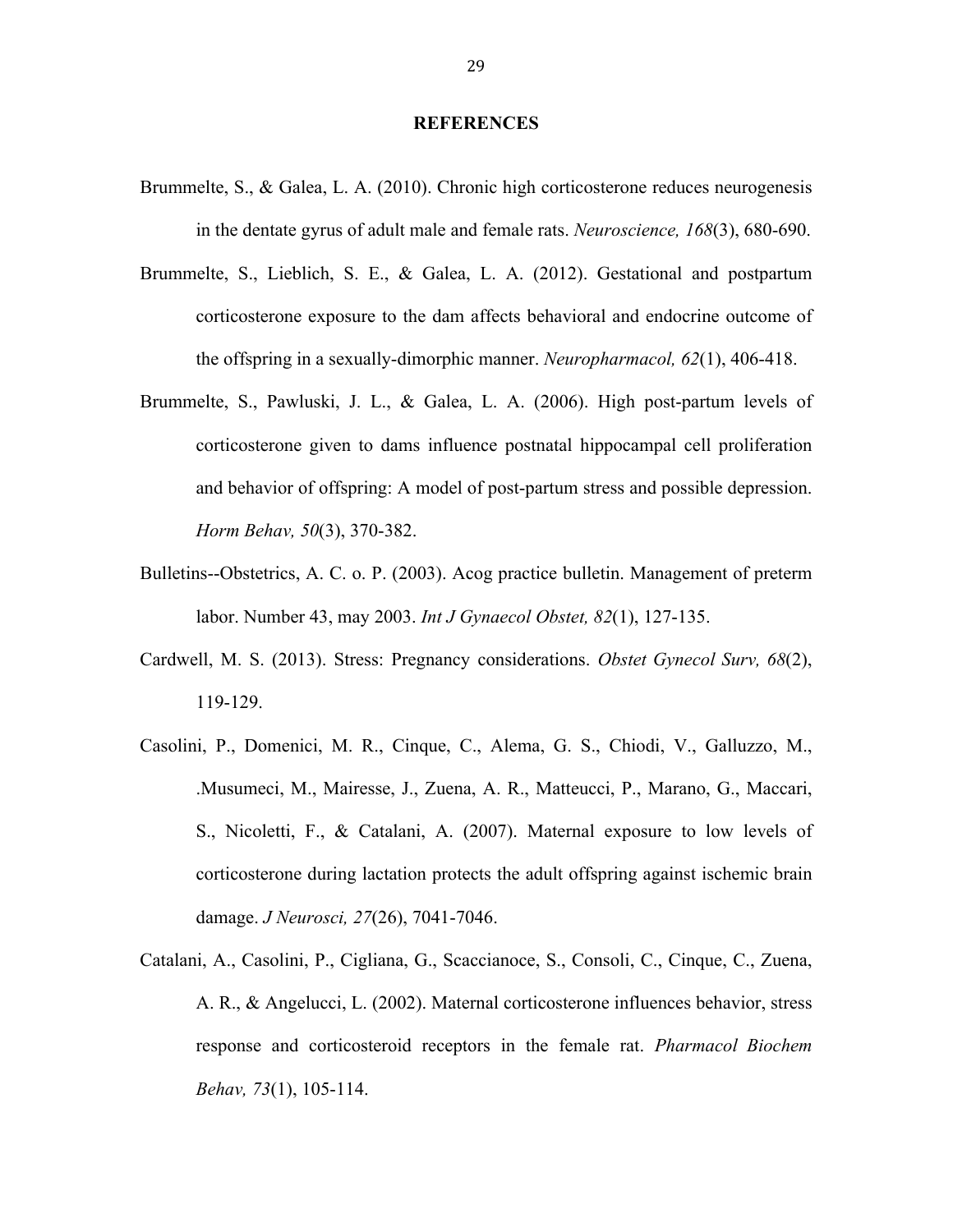#### **REFERENCES**

- Brummelte, S., & Galea, L. A. (2010). Chronic high corticosterone reduces neurogenesis in the dentate gyrus of adult male and female rats. *Neuroscience, 168*(3), 680-690.
- Brummelte, S., Lieblich, S. E., & Galea, L. A. (2012). Gestational and postpartum corticosterone exposure to the dam affects behavioral and endocrine outcome of the offspring in a sexually-dimorphic manner. *Neuropharmacol, 62*(1), 406-418.
- Brummelte, S., Pawluski, J. L., & Galea, L. A. (2006). High post-partum levels of corticosterone given to dams influence postnatal hippocampal cell proliferation and behavior of offspring: A model of post-partum stress and possible depression. *Horm Behav, 50*(3), 370-382.
- Bulletins--Obstetrics, A. C. o. P. (2003). Acog practice bulletin. Management of preterm labor. Number 43, may 2003. *Int J Gynaecol Obstet, 82*(1), 127-135.
- Cardwell, M. S. (2013). Stress: Pregnancy considerations. *Obstet Gynecol Surv, 68*(2), 119-129.
- Casolini, P., Domenici, M. R., Cinque, C., Alema, G. S., Chiodi, V., Galluzzo, M., .Musumeci, M., Mairesse, J., Zuena, A. R., Matteucci, P., Marano, G., Maccari, S., Nicoletti, F., & Catalani, A. (2007). Maternal exposure to low levels of corticosterone during lactation protects the adult offspring against ischemic brain damage. *J Neurosci, 27*(26), 7041-7046.
- Catalani, A., Casolini, P., Cigliana, G., Scaccianoce, S., Consoli, C., Cinque, C., Zuena, A. R., & Angelucci, L. (2002). Maternal corticosterone influences behavior, stress response and corticosteroid receptors in the female rat. *Pharmacol Biochem Behav, 73*(1), 105-114.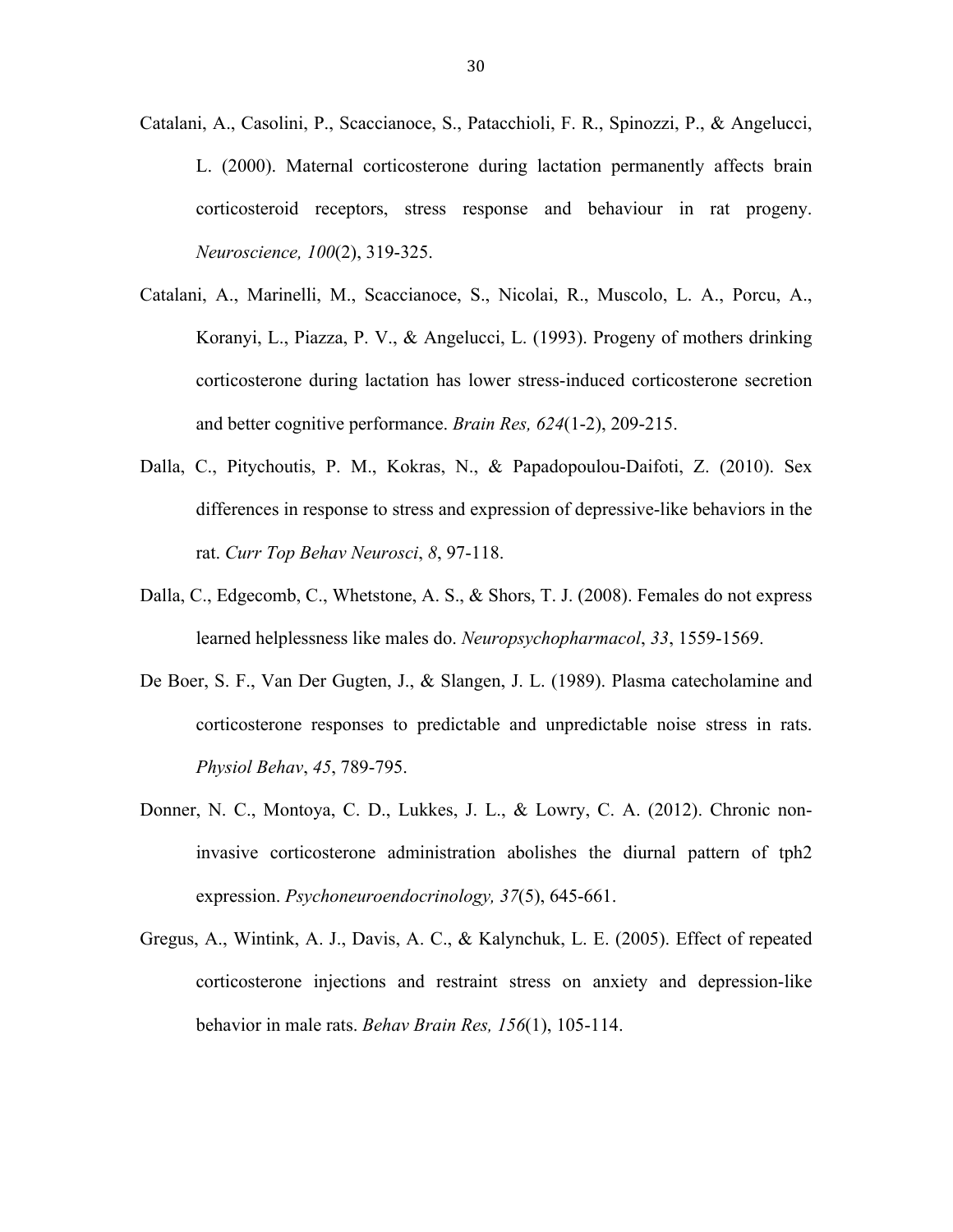- Catalani, A., Casolini, P., Scaccianoce, S., Patacchioli, F. R., Spinozzi, P., & Angelucci, L. (2000). Maternal corticosterone during lactation permanently affects brain corticosteroid receptors, stress response and behaviour in rat progeny. *Neuroscience, 100*(2), 319-325.
- Catalani, A., Marinelli, M., Scaccianoce, S., Nicolai, R., Muscolo, L. A., Porcu, A., Koranyi, L., Piazza, P. V., & Angelucci, L. (1993). Progeny of mothers drinking corticosterone during lactation has lower stress-induced corticosterone secretion and better cognitive performance. *Brain Res, 624*(1-2), 209-215.
- Dalla, C., Pitychoutis, P. M., Kokras, N., & Papadopoulou-Daifoti, Z. (2010). Sex differences in response to stress and expression of depressive-like behaviors in the rat. *Curr Top Behav Neurosci*, *8*, 97-118.
- Dalla, C., Edgecomb, C., Whetstone, A. S., & Shors, T. J. (2008). Females do not express learned helplessness like males do. *Neuropsychopharmacol*, *33*, 1559-1569.
- De Boer, S. F., Van Der Gugten, J., & Slangen, J. L. (1989). Plasma catecholamine and corticosterone responses to predictable and unpredictable noise stress in rats. *Physiol Behav*, *45*, 789-795.
- Donner, N. C., Montoya, C. D., Lukkes, J. L., & Lowry, C. A. (2012). Chronic noninvasive corticosterone administration abolishes the diurnal pattern of tph2 expression. *Psychoneuroendocrinology, 37*(5), 645-661.
- Gregus, A., Wintink, A. J., Davis, A. C., & Kalynchuk, L. E. (2005). Effect of repeated corticosterone injections and restraint stress on anxiety and depression-like behavior in male rats. *Behav Brain Res, 156*(1), 105-114.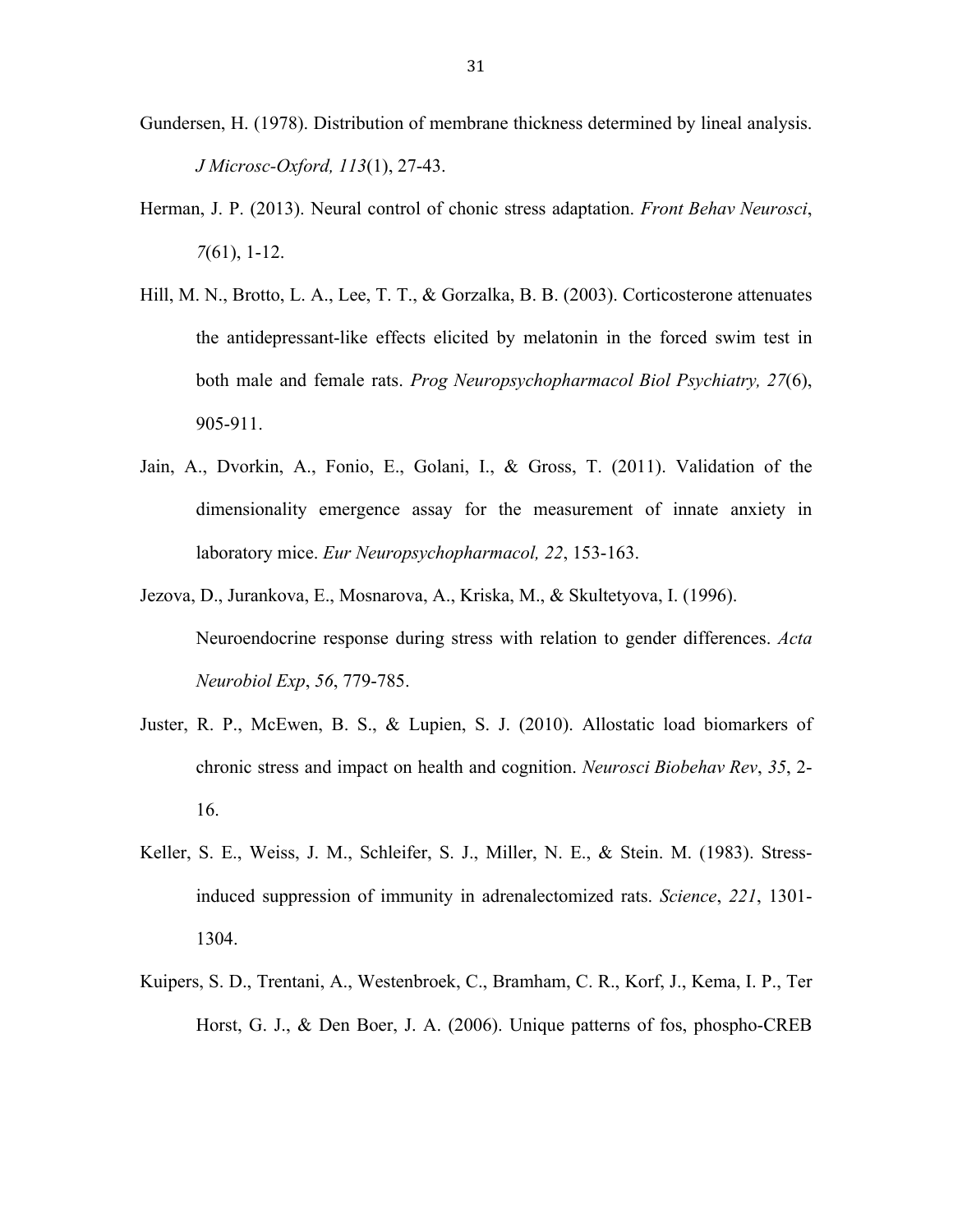- Gundersen, H. (1978). Distribution of membrane thickness determined by lineal analysis. *J Microsc-Oxford, 113*(1), 27-43.
- Herman, J. P. (2013). Neural control of chonic stress adaptation. *Front Behav Neurosci*, *7*(61), 1-12.
- Hill, M. N., Brotto, L. A., Lee, T. T., & Gorzalka, B. B. (2003). Corticosterone attenuates the antidepressant-like effects elicited by melatonin in the forced swim test in both male and female rats. *Prog Neuropsychopharmacol Biol Psychiatry, 27*(6), 905-911.
- Jain, A., Dvorkin, A., Fonio, E., Golani, I., & Gross, T. (2011). Validation of the dimensionality emergence assay for the measurement of innate anxiety in laboratory mice. *Eur Neuropsychopharmacol, 22*, 153-163.
- Jezova, D., Jurankova, E., Mosnarova, A., Kriska, M., & Skultetyova, I. (1996). Neuroendocrine response during stress with relation to gender differences. *Acta Neurobiol Exp*, *56*, 779-785.
- Juster, R. P., McEwen, B. S., & Lupien, S. J. (2010). Allostatic load biomarkers of chronic stress and impact on health and cognition. *Neurosci Biobehav Rev*, *35*, 2- 16.
- Keller, S. E., Weiss, J. M., Schleifer, S. J., Miller, N. E., & Stein. M. (1983). Stressinduced suppression of immunity in adrenalectomized rats. *Science*, *221*, 1301- 1304.
- Kuipers, S. D., Trentani, A., Westenbroek, C., Bramham, C. R., Korf, J., Kema, I. P., Ter Horst, G. J., & Den Boer, J. A. (2006). Unique patterns of fos, phospho-CREB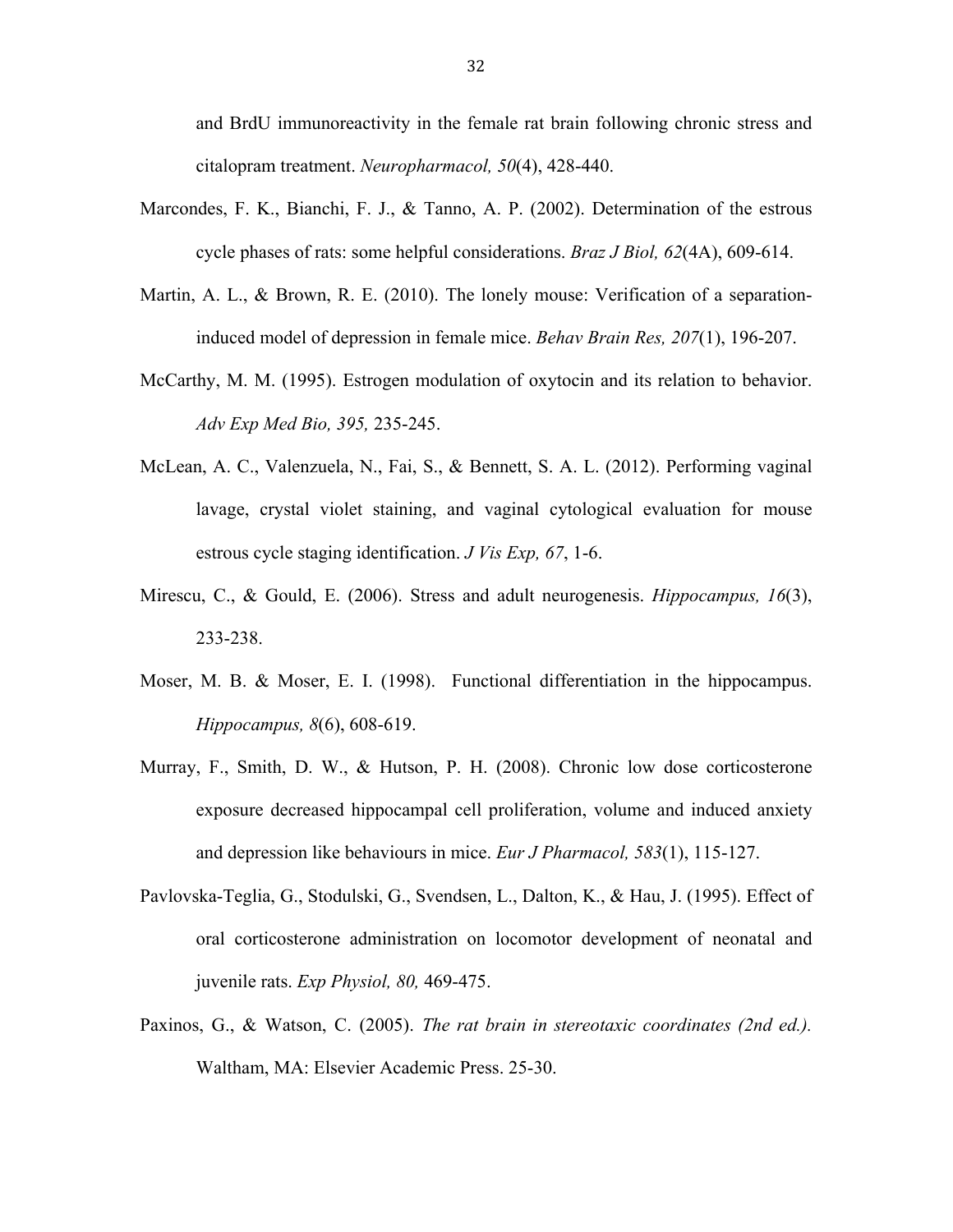and BrdU immunoreactivity in the female rat brain following chronic stress and citalopram treatment. *Neuropharmacol, 50*(4), 428-440.

- Marcondes, F. K., Bianchi, F. J., & Tanno, A. P. (2002). Determination of the estrous cycle phases of rats: some helpful considerations. *Braz J Biol, 62*(4A), 609-614.
- Martin, A. L., & Brown, R. E. (2010). The lonely mouse: Verification of a separationinduced model of depression in female mice. *Behav Brain Res, 207*(1), 196-207.
- McCarthy, M. M. (1995). Estrogen modulation of oxytocin and its relation to behavior. *Adv Exp Med Bio, 395,* 235-245.
- McLean, A. C., Valenzuela, N., Fai, S., & Bennett, S. A. L. (2012). Performing vaginal lavage, crystal violet staining, and vaginal cytological evaluation for mouse estrous cycle staging identification. *J Vis Exp, 67*, 1-6.
- Mirescu, C., & Gould, E. (2006). Stress and adult neurogenesis. *Hippocampus, 16*(3), 233-238.
- Moser, M. B. & Moser, E. I. (1998). Functional differentiation in the hippocampus. *Hippocampus, 8*(6), 608-619.
- Murray, F., Smith, D. W., & Hutson, P. H. (2008). Chronic low dose corticosterone exposure decreased hippocampal cell proliferation, volume and induced anxiety and depression like behaviours in mice. *Eur J Pharmacol, 583*(1), 115-127.
- Pavlovska-Teglia, G., Stodulski, G., Svendsen, L., Dalton, K., & Hau, J. (1995). Effect of oral corticosterone administration on locomotor development of neonatal and juvenile rats. *Exp Physiol, 80,* 469-475.
- Paxinos, G., & Watson, C. (2005). *The rat brain in stereotaxic coordinates (2nd ed.).* Waltham, MA: Elsevier Academic Press. 25-30.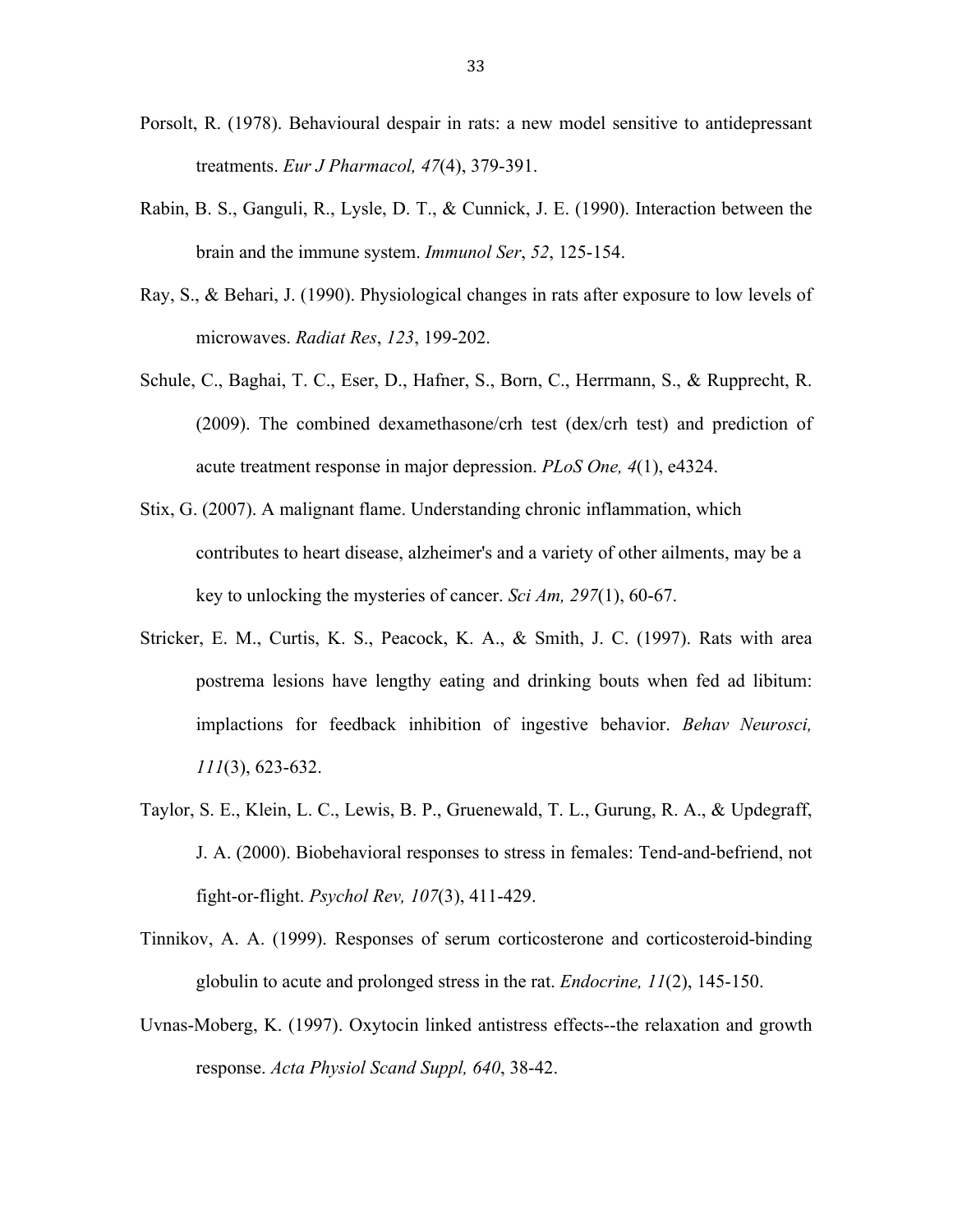- Porsolt, R. (1978). Behavioural despair in rats: a new model sensitive to antidepressant treatments. *Eur J Pharmacol, 47*(4), 379-391.
- Rabin, B. S., Ganguli, R., Lysle, D. T., & Cunnick, J. E. (1990). Interaction between the brain and the immune system. *Immunol Ser*, *52*, 125-154.
- Ray, S., & Behari, J. (1990). Physiological changes in rats after exposure to low levels of microwaves. *Radiat Res*, *123*, 199-202.
- Schule, C., Baghai, T. C., Eser, D., Hafner, S., Born, C., Herrmann, S., & Rupprecht, R. (2009). The combined dexamethasone/crh test (dex/crh test) and prediction of acute treatment response in major depression. *PLoS One, 4*(1), e4324.
- Stix, G. (2007). A malignant flame. Understanding chronic inflammation, which contributes to heart disease, alzheimer's and a variety of other ailments, may be a key to unlocking the mysteries of cancer. *Sci Am, 297*(1), 60-67.
- Stricker, E. M., Curtis, K. S., Peacock, K. A., & Smith, J. C. (1997). Rats with area postrema lesions have lengthy eating and drinking bouts when fed ad libitum: implactions for feedback inhibition of ingestive behavior. *Behav Neurosci, 111*(3), 623-632.
- Taylor, S. E., Klein, L. C., Lewis, B. P., Gruenewald, T. L., Gurung, R. A., & Updegraff, J. A. (2000). Biobehavioral responses to stress in females: Tend-and-befriend, not fight-or-flight. *Psychol Rev, 107*(3), 411-429.
- Tinnikov, A. A. (1999). Responses of serum corticosterone and corticosteroid-binding globulin to acute and prolonged stress in the rat. *Endocrine, 11*(2), 145-150.
- Uvnas-Moberg, K. (1997). Oxytocin linked antistress effects--the relaxation and growth response. *Acta Physiol Scand Suppl, 640*, 38-42.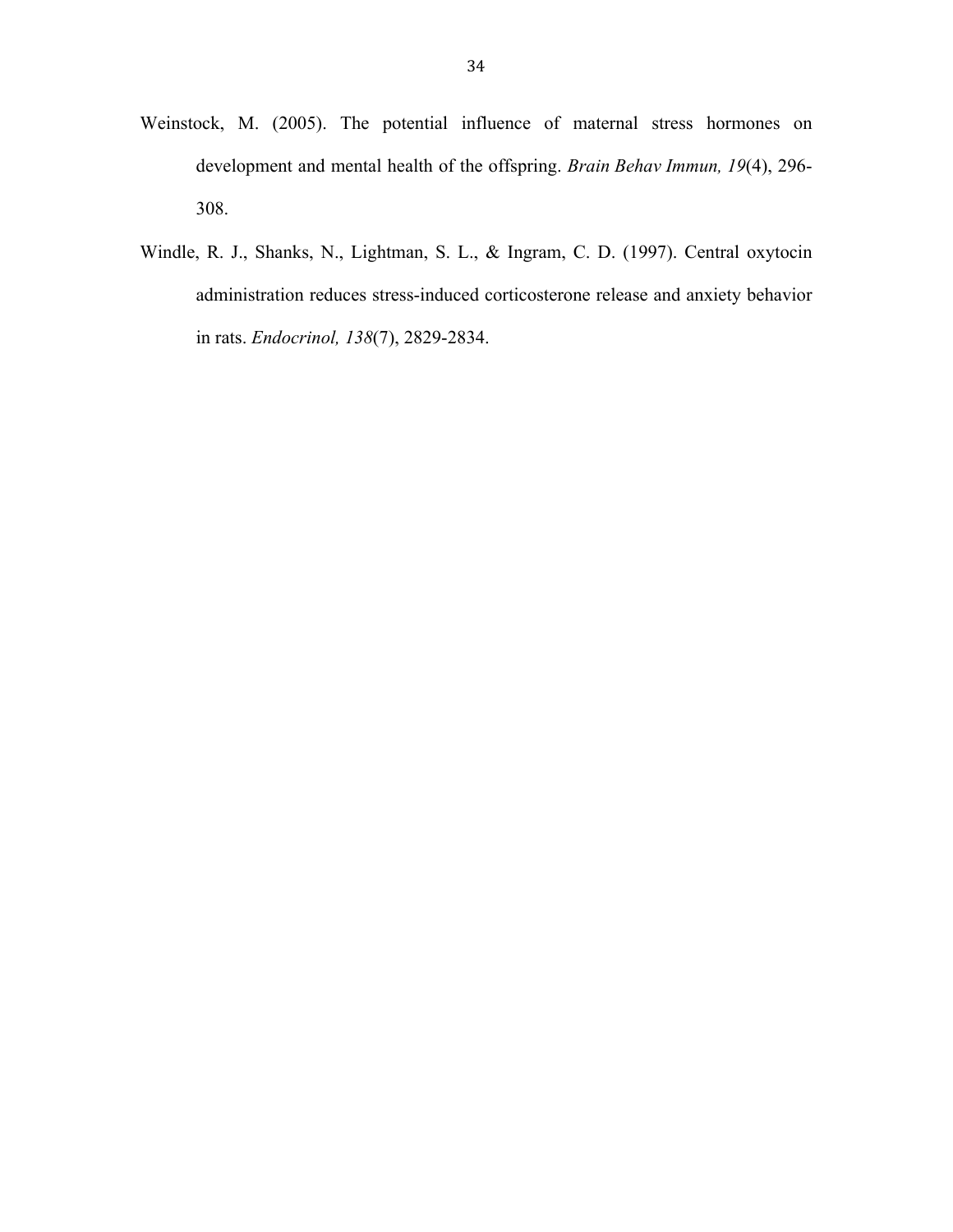- Weinstock, M. (2005). The potential influence of maternal stress hormones on development and mental health of the offspring. *Brain Behav Immun, 19*(4), 296- 308.
- Windle, R. J., Shanks, N., Lightman, S. L., & Ingram, C. D. (1997). Central oxytocin administration reduces stress-induced corticosterone release and anxiety behavior in rats. *Endocrinol, 138*(7), 2829-2834.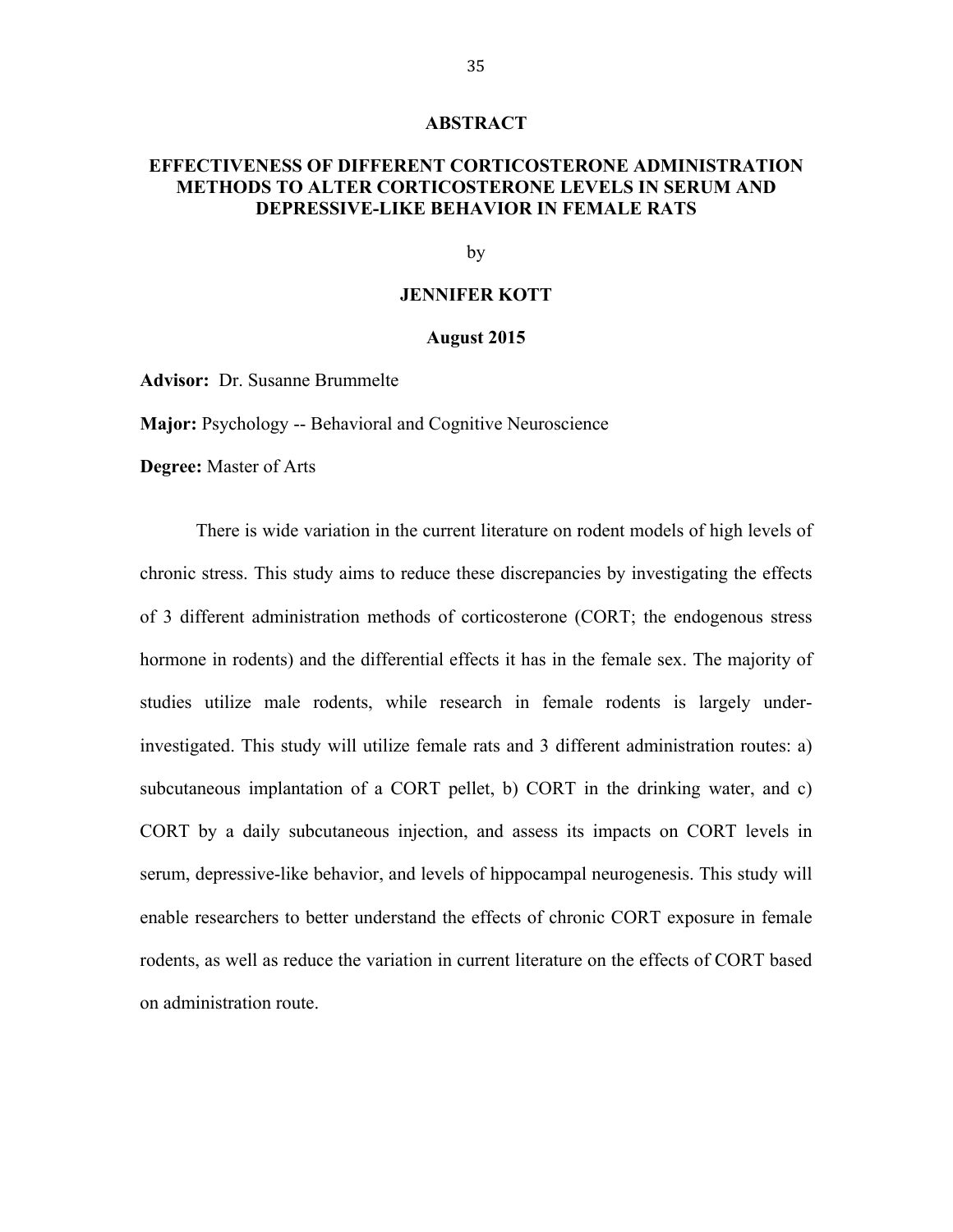#### **ABSTRACT**

### **EFFECTIVENESS OF DIFFERENT CORTICOSTERONE ADMINISTRATION METHODS TO ALTER CORTICOSTERONE LEVELS IN SERUM AND DEPRESSIVE-LIKE BEHAVIOR IN FEMALE RATS**

by

#### **JENNIFER KOTT**

#### **August 2015**

**Advisor:** Dr. Susanne Brummelte

**Major:** Psychology -- Behavioral and Cognitive Neuroscience

**Degree:** Master of Arts

There is wide variation in the current literature on rodent models of high levels of chronic stress. This study aims to reduce these discrepancies by investigating the effects of 3 different administration methods of corticosterone (CORT; the endogenous stress hormone in rodents) and the differential effects it has in the female sex. The majority of studies utilize male rodents, while research in female rodents is largely underinvestigated. This study will utilize female rats and 3 different administration routes: a) subcutaneous implantation of a CORT pellet, b) CORT in the drinking water, and c) CORT by a daily subcutaneous injection, and assess its impacts on CORT levels in serum, depressive-like behavior, and levels of hippocampal neurogenesis. This study will enable researchers to better understand the effects of chronic CORT exposure in female rodents, as well as reduce the variation in current literature on the effects of CORT based on administration route.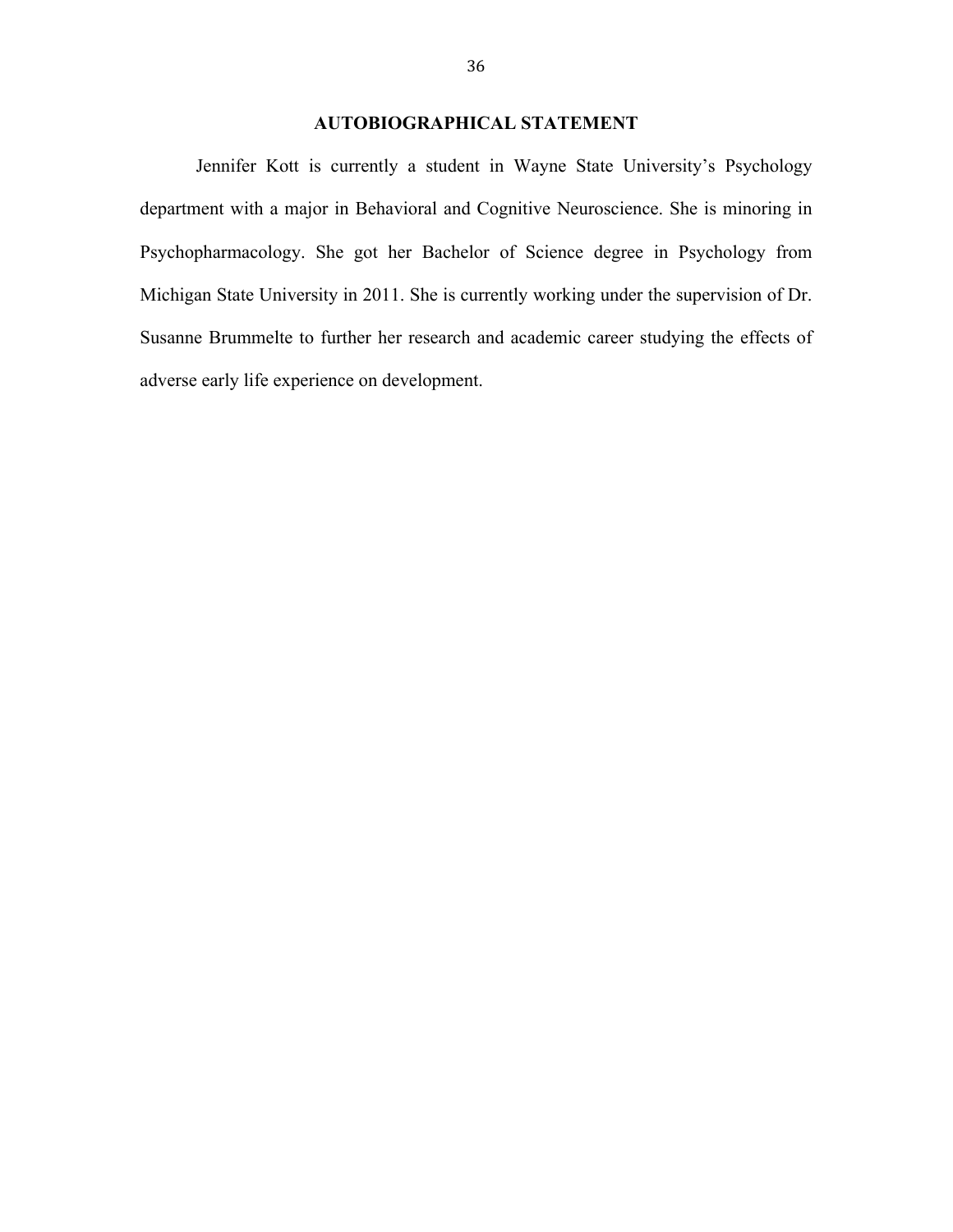### **AUTOBIOGRAPHICAL STATEMENT**

Jennifer Kott is currently a student in Wayne State University's Psychology department with a major in Behavioral and Cognitive Neuroscience. She is minoring in Psychopharmacology. She got her Bachelor of Science degree in Psychology from Michigan State University in 2011. She is currently working under the supervision of Dr. Susanne Brummelte to further her research and academic career studying the effects of adverse early life experience on development.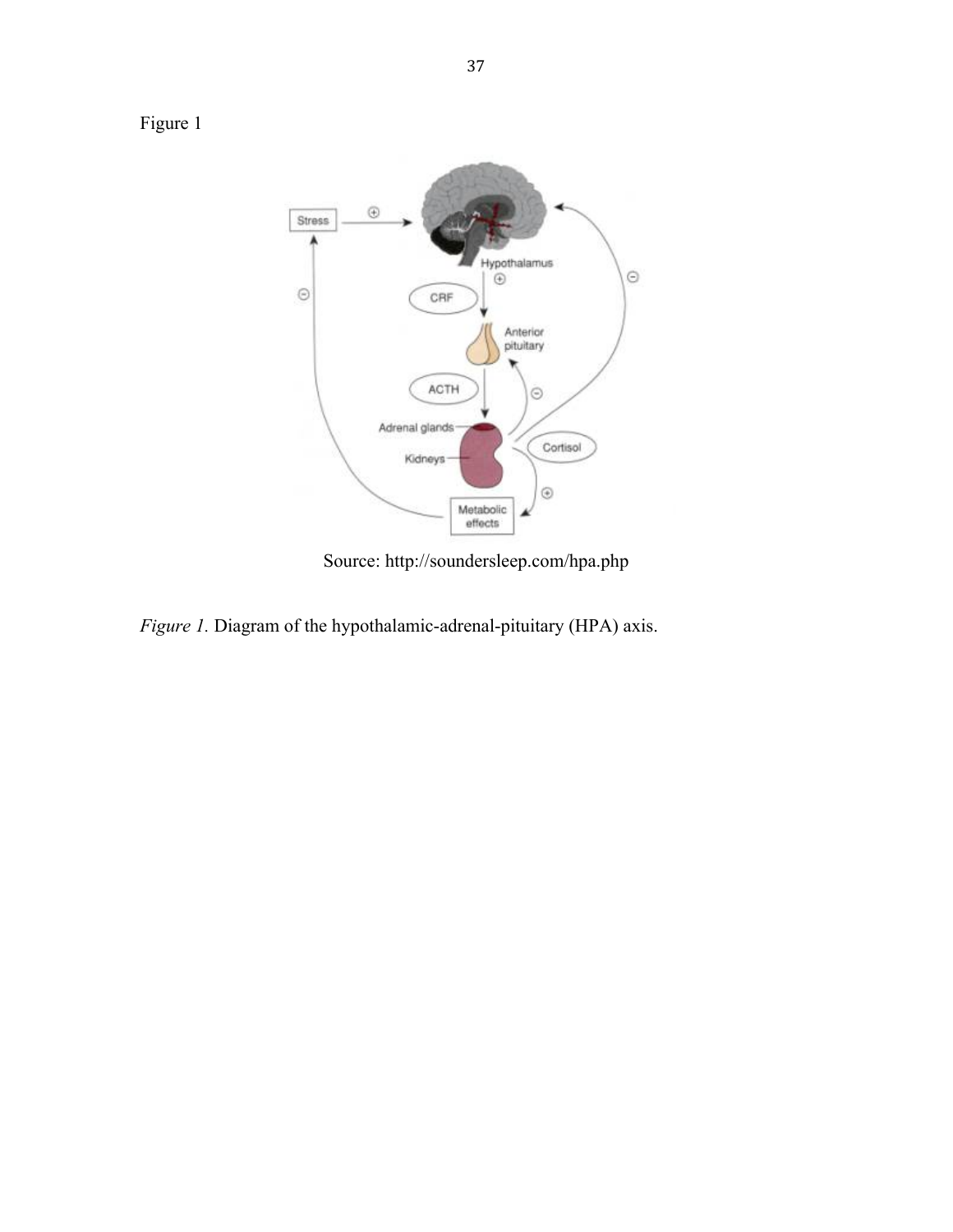

Source: http://soundersleep.com/hpa.php

*Figure 1.* Diagram of the hypothalamic-adrenal-pituitary (HPA) axis.

Figure 1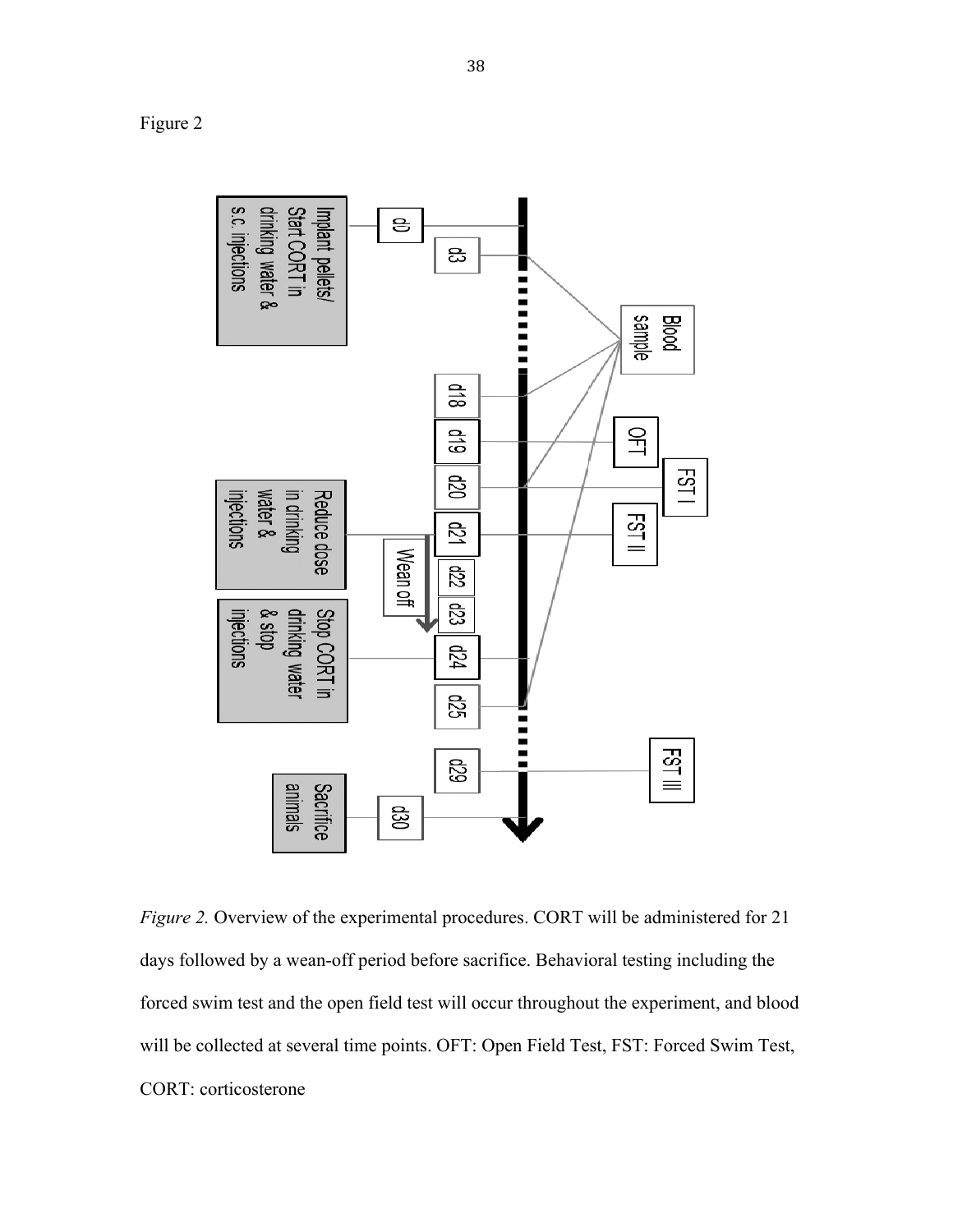Figure 2



*Figure 2.* Overview of the experimental procedures. CORT will be administered for 21 days followed by a wean-off period before sacrifice. Behavioral testing including the forced swim test and the open field test will occur throughout the experiment, and blood will be collected at several time points. OFT: Open Field Test, FST: Forced Swim Test, CORT: corticosterone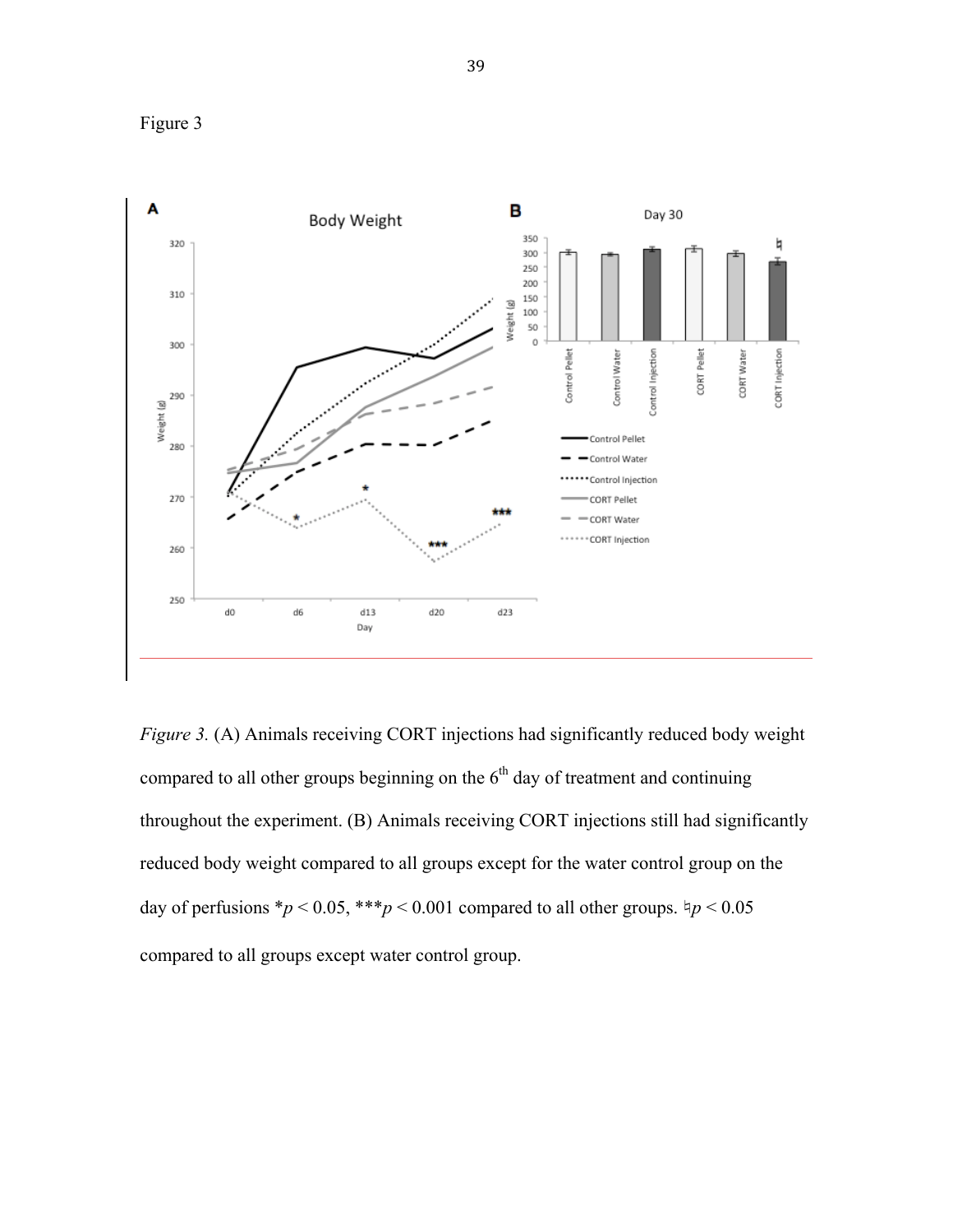



*Figure 3.* (A) Animals receiving CORT injections had significantly reduced body weight compared to all other groups beginning on the  $6<sup>th</sup>$  day of treatment and continuing throughout the experiment. (B) Animals receiving CORT injections still had significantly reduced body weight compared to all groups except for the water control group on the day of perfusions  $\frac{*p}{0.05}$ ,  $\frac{***p}{0.001}$  compared to all other groups.  $\frac{1}{7}p < 0.05$ compared to all groups except water control group.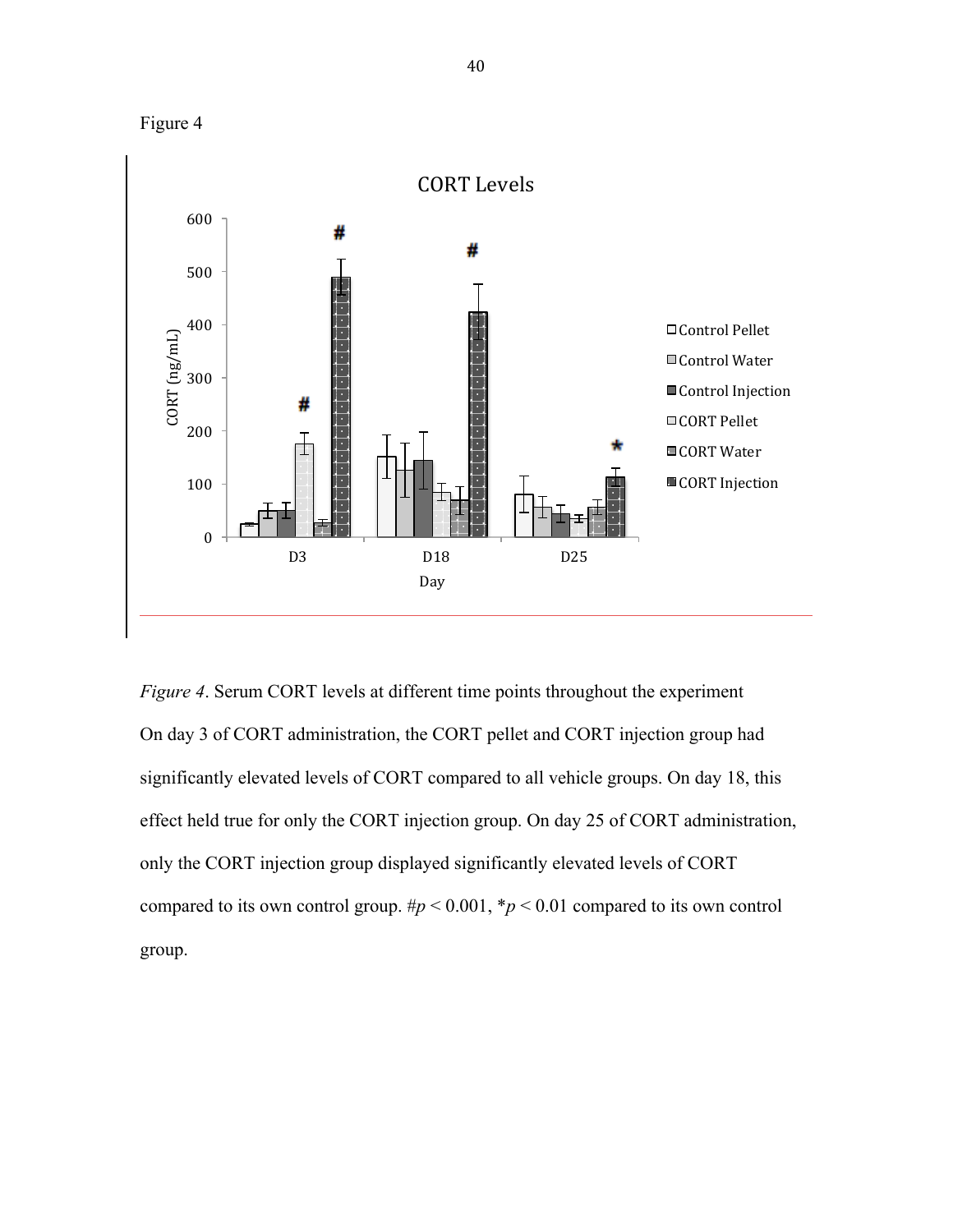



*Figure 4*. Serum CORT levels at different time points throughout the experiment On day 3 of CORT administration, the CORT pellet and CORT injection group had significantly elevated levels of CORT compared to all vehicle groups. On day 18, this effect held true for only the CORT injection group. On day 25 of CORT administration, only the CORT injection group displayed significantly elevated levels of CORT compared to its own control group.  $\#p < 0.001$ ,  $\#p < 0.01$  compared to its own control group.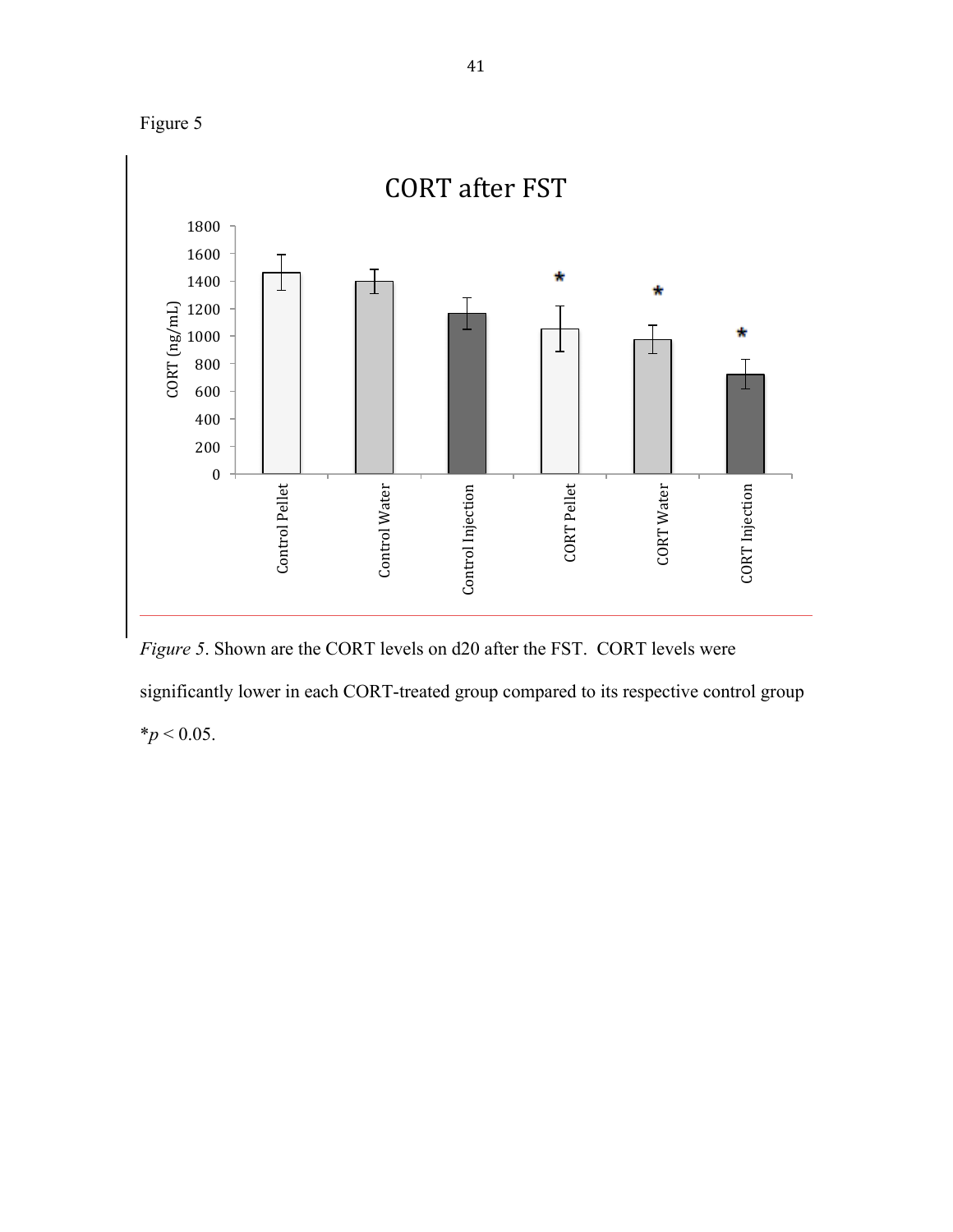



*Figure 5*. Shown are the CORT levels on d20 after the FST. CORT levels were significantly lower in each CORT-treated group compared to its respective control group  $*$ *p* < 0.05.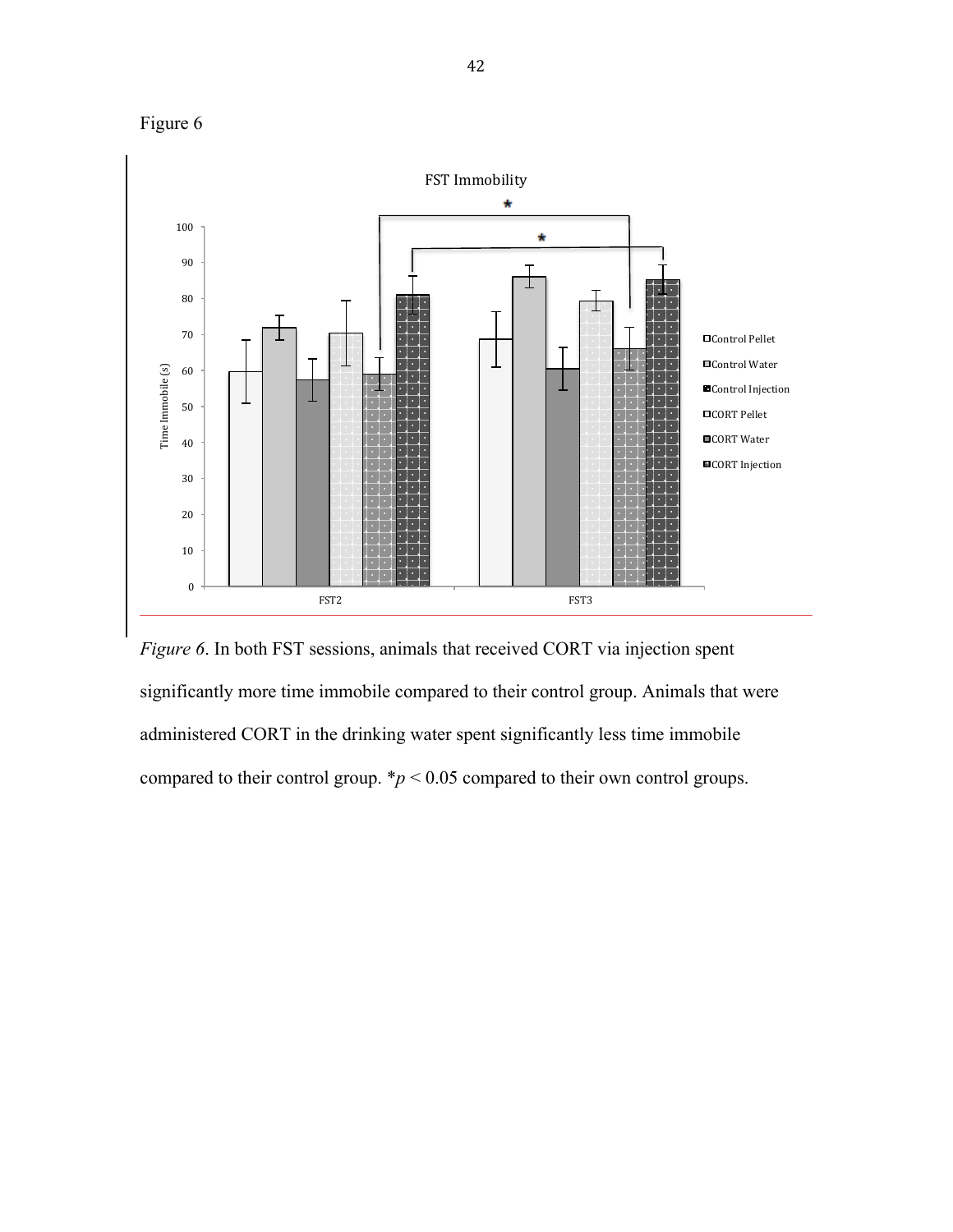

*Figure 6*. In both FST sessions, animals that received CORT via injection spent significantly more time immobile compared to their control group. Animals that were administered CORT in the drinking water spent significantly less time immobile compared to their control group.  $\frac{*}{p}$  < 0.05 compared to their own control groups.

FST2 FST3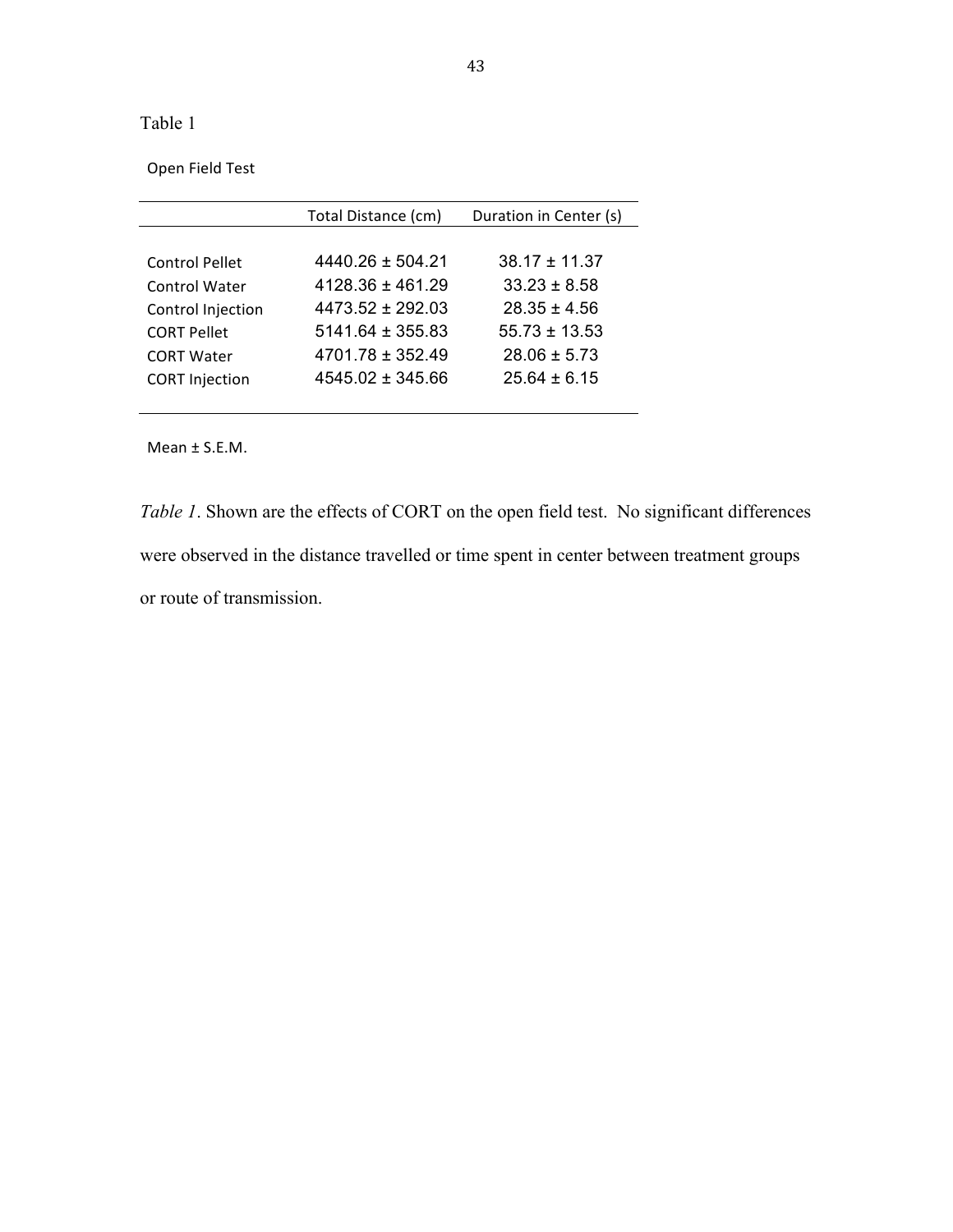Table 1

Open Field Test

|                       | Total Distance (cm)  | Duration in Center (s) |
|-----------------------|----------------------|------------------------|
|                       |                      |                        |
| <b>Control Pellet</b> | $4440.26 \pm 504.21$ | $38.17 \pm 11.37$      |
| Control Water         | $4128.36 \pm 461.29$ | $33.23 \pm 8.58$       |
| Control Injection     | $4473.52 \pm 292.03$ | $28.35 \pm 4.56$       |
| <b>CORT Pellet</b>    | $5141.64 \pm 355.83$ | $55.73 \pm 13.53$      |
| <b>CORT Water</b>     | $4701.78 \pm 352.49$ | $28.06 \pm 5.73$       |
| <b>CORT Injection</b> | $4545.02 \pm 345.66$ | $25.64 \pm 6.15$       |
|                       |                      |                        |

Mean  $\pm$  S.E.M.

*Table 1*. Shown are the effects of CORT on the open field test. No significant differences were observed in the distance travelled or time spent in center between treatment groups or route of transmission.